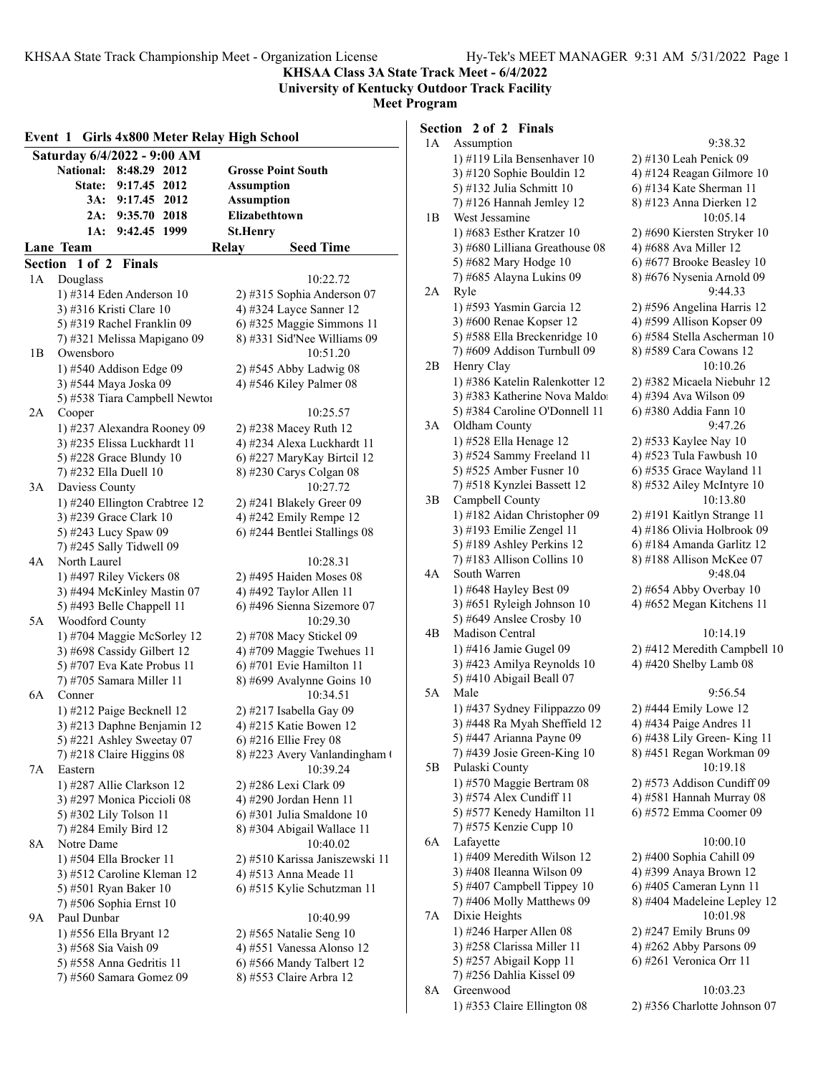**KHSAA Class 3A State Track Meet - 6/4/2022**

### **University of Kentucky Outdoor Track Facility Meet Program**

|                | <b>Girls 4x800 Meter Relay High School</b><br>Event 1    |                                                       |  |  |  |  |  |  |
|----------------|----------------------------------------------------------|-------------------------------------------------------|--|--|--|--|--|--|
|                | Saturday 6/4/2022 - 9:00 AM                              |                                                       |  |  |  |  |  |  |
|                | National:<br>8:48.29 2012                                | <b>Grosse Point South</b>                             |  |  |  |  |  |  |
|                | 9:17.45 2012<br><b>State:</b>                            | <b>Assumption</b>                                     |  |  |  |  |  |  |
|                | 2012<br>3A:<br>9:17.45                                   | <b>Assumption</b>                                     |  |  |  |  |  |  |
|                | 9:35.70<br>2018<br>2A:                                   | Elizabethtown                                         |  |  |  |  |  |  |
|                | 9:42.45<br>1999<br>1A:                                   | <b>St.Henry</b>                                       |  |  |  |  |  |  |
|                | Lane Team                                                | <b>Seed Time</b><br>Relay                             |  |  |  |  |  |  |
| <b>Section</b> | 1 of 2<br>Finals                                         |                                                       |  |  |  |  |  |  |
| 1A             | Douglass                                                 | 10:22.72                                              |  |  |  |  |  |  |
|                | 1) #314 Eden Anderson 10                                 | 2) #315 Sophia Anderson 07                            |  |  |  |  |  |  |
|                | 3) #316 Kristi Clare 10                                  | 4) #324 Layce Sanner 12                               |  |  |  |  |  |  |
|                | 5) #319 Rachel Franklin 09                               | 6) #325 Maggie Simmons 11                             |  |  |  |  |  |  |
|                | 7) #321 Melissa Mapigano 09                              | 8) #331 Sid'Nee Williams 09                           |  |  |  |  |  |  |
| 1В             | Owensboro                                                | 10:51.20                                              |  |  |  |  |  |  |
|                | 1) #540 Addison Edge 09                                  | $2)$ #545 Abby Ladwig 08                              |  |  |  |  |  |  |
|                | 3) #544 Maya Joska 09                                    | 4) #546 Kiley Palmer 08                               |  |  |  |  |  |  |
|                | 5) #538 Tiara Campbell Newtor                            |                                                       |  |  |  |  |  |  |
| 2A             | Cooper                                                   | 10:25.57                                              |  |  |  |  |  |  |
|                | 1) #237 Alexandra Rooney 09                              | 2) #238 Macey Ruth 12                                 |  |  |  |  |  |  |
|                | 3) #235 Elissa Luckhardt 11                              | 4) #234 Alexa Luckhardt 11                            |  |  |  |  |  |  |
|                | 5) #228 Grace Blundy 10                                  | 6) #227 MaryKay Birtcil 12                            |  |  |  |  |  |  |
|                | 7) #232 Ella Duell 10                                    | 8) #230 Carys Colgan 08                               |  |  |  |  |  |  |
| 3A             | Daviess County                                           | 10:27.72                                              |  |  |  |  |  |  |
|                | 1) #240 Ellington Crabtree 12                            | 2) #241 Blakely Greer 09                              |  |  |  |  |  |  |
|                | 3) #239 Grace Clark 10                                   | 4) #242 Emily Rempe 12                                |  |  |  |  |  |  |
|                | 5) #243 Lucy Spaw 09                                     | 6) #244 Bentlei Stallings 08                          |  |  |  |  |  |  |
|                | 7) #245 Sally Tidwell 09                                 |                                                       |  |  |  |  |  |  |
| 4Α             | North Laurel                                             | 10:28.31                                              |  |  |  |  |  |  |
|                | 1) #497 Riley Vickers 08                                 | 2) #495 Haiden Moses 08                               |  |  |  |  |  |  |
|                | 3) #494 McKinley Mastin 07                               | 4) #492 Taylor Allen 11                               |  |  |  |  |  |  |
|                | 5) #493 Belle Chappell 11                                | 6) #496 Sienna Sizemore 07                            |  |  |  |  |  |  |
| 5A             | Woodford County                                          | 10:29.30                                              |  |  |  |  |  |  |
|                | 1) #704 Maggie McSorley 12                               | 2) #708 Macy Stickel 09                               |  |  |  |  |  |  |
|                | 3) #698 Cassidy Gilbert 12<br>5) #707 Eva Kate Probus 11 | 4) #709 Maggie Twehues 11<br>6) #701 Evie Hamilton 11 |  |  |  |  |  |  |
|                | 7) #705 Samara Miller 11                                 | 8) #699 Avalynne Goins 10                             |  |  |  |  |  |  |
| 6A             | Conner                                                   | 10:34.51                                              |  |  |  |  |  |  |
|                | 1) #212 Paige Becknell 12                                | 2) #217 Isabella Gay 09                               |  |  |  |  |  |  |
|                | 3) #213 Daphne Benjamin 12                               | 4) #215 Katie Bowen 12                                |  |  |  |  |  |  |
|                | 5) #221 Ashley Sweetay 07                                | $(6)$ #216 Ellie Frey 08                              |  |  |  |  |  |  |
|                | 7) #218 Claire Higgins 08                                | 8) #223 Avery Vanlandingham (                         |  |  |  |  |  |  |
| 7Α             | Eastern                                                  | 10:39.24                                              |  |  |  |  |  |  |
|                | 1) #287 Allie Clarkson 12                                | 2) #286 Lexi Clark 09                                 |  |  |  |  |  |  |
|                | 3) #297 Monica Piccioli 08                               | 4) #290 Jordan Henn 11                                |  |  |  |  |  |  |
|                | 5) #302 Lily Tolson 11                                   | 6) #301 Julia Smaldone 10                             |  |  |  |  |  |  |
|                | 7) #284 Emily Bird 12                                    | 8) #304 Abigail Wallace 11                            |  |  |  |  |  |  |
| 8Α             | Notre Dame                                               | 10:40.02                                              |  |  |  |  |  |  |
|                | 1) #504 Ella Brocker 11                                  | 2) #510 Karissa Janiszewski 11                        |  |  |  |  |  |  |
|                | 3) #512 Caroline Kleman 12                               | 4) #513 Anna Meade 11                                 |  |  |  |  |  |  |
|                | 5) #501 Ryan Baker 10                                    | 6) #515 Kylie Schutzman 11                            |  |  |  |  |  |  |
|                | 7) #506 Sophia Ernst 10                                  |                                                       |  |  |  |  |  |  |
| 9А             | Paul Dunbar                                              | 10:40.99                                              |  |  |  |  |  |  |
|                | 1) #556 Ella Bryant 12                                   | 2) #565 Natalie Seng 10                               |  |  |  |  |  |  |
|                | 3) #568 Sia Vaish 09                                     | 4) #551 Vanessa Alonso 12                             |  |  |  |  |  |  |
|                | 5) #558 Anna Gedritis 11                                 | 6) #566 Mandy Talbert 12                              |  |  |  |  |  |  |
|                | 7) #560 Samara Gomez 09                                  | 8) #553 Claire Arbra 12                               |  |  |  |  |  |  |
|                |                                                          |                                                       |  |  |  |  |  |  |

## **Section 2 of 2 Finals**

| 1А | Assumption                                 | 9:38.32                              |
|----|--------------------------------------------|--------------------------------------|
|    | 1) #119 Lila Bensenhaver 10                | 2) #130 Leah Penick 09               |
|    | 3) #120 Sophie Bouldin 12                  | 4) #124 Reagan Gilmore 10            |
|    | 5) #132 Julia Schmitt 10                   | 6) #134 Kate Sherman 11              |
| 1В | 7) #126 Hannah Jemley 12<br>West Jessamine | 8) #123 Anna Dierken 12<br>10:05.14  |
|    | 1) #683 Esther Kratzer 10                  | 2) #690 Kiersten Stryker 10          |
|    | 3) #680 Lilliana Greathouse 08             | 4) #688 Ava Miller 12                |
|    | 5) #682 Mary Hodge 10                      | 6) #677 Brooke Beasley 10            |
| 2A | 7) #685 Alayna Lukins 09<br>Ryle           | 8) #676 Nysenia Arnold 09<br>9:44.33 |
|    | 1) #593 Yasmin Garcia 12                   | 2) #596 Angelina Harris 12           |
|    | 3) #600 Renae Kopser 12                    | 4) #599 Allison Kopser 09            |
|    | 5) #588 Ella Breckenridge 10               | 6) #584 Stella Ascherman 10          |
|    | 7) #609 Addison Turnbull 09                | 8) #589 Cara Cowans 12               |
| 2В | Henry Clay                                 | 10:10.26                             |
|    | 1) #386 Katelin Ralenkotter 12             | 2) #382 Micaela Niebuhr 12           |
|    | 3) #383 Katherine Nova Maldo               | 4) #394 Ava Wilson 09                |
|    | 5) #384 Caroline O'Donnell 11              | 6) #380 Addia Fann 10                |
| 3А | Oldham County                              | 9:47.26                              |
|    | 1) #528 Ella Henage 12                     | 2) #533 Kaylee Nay 10                |
|    | 3) #524 Sammy Freeland 11                  | 4) #523 Tula Fawbush 10              |
|    | 5) #525 Amber Fusner 10                    | $(6)$ #535 Grace Wayland 11          |
|    | 7) #518 Kynzlei Bassett 12                 | 8) #532 Ailey McIntyre 10            |
| 3B | Campbell County                            | 10:13.80                             |
|    | 1) #182 Aidan Christopher 09               | 2) #191 Kaitlyn Strange 11           |
|    | 3) #193 Emilie Zengel 11                   | 4) #186 Olivia Holbrook 09           |
|    | 5) #189 Ashley Perkins 12                  | 6) #184 Amanda Garlitz 12            |
|    | 7) #183 Allison Collins 10                 | 8) #188 Allison McKee 07             |
| 4A | South Warren                               | 9:48.04                              |
|    | 1) #648 Hayley Best 09                     | 2) #654 Abby Overbay 10              |
|    | 3) #651 Ryleigh Johnson 10                 | 4) #652 Megan Kitchens 11            |
|    | 5) #649 Anslee Crosby 10                   |                                      |
| 4B | Madison Central                            | 10:14.19                             |
|    | 1) #416 Jamie Gugel 09                     | 2) #412 Meredith Campbell 10         |
|    | 3) #423 Amilya Reynolds 10                 | 4) #420 Shelby Lamb 08               |
|    | 5) #410 Abigail Beall 07                   |                                      |
| 5A | Male                                       | 9:56.54                              |
|    | 1) #437 Sydney Filippazzo 09               | 2) #444 Emily Lowe 12                |
|    | 3) #448 Ra Myah Sheffield 12               | 4) #434 Paige Andres 11              |
|    | 5) #447 Arianna Payne 09                   | 6) #438 Lily Green-King 11           |
|    | 7) #439 Josie Green-King 10                | 8) #451 Regan Workman 09             |
| 5Β | Pulaski County                             | 10:19.18                             |
|    | 1) #570 Maggie Bertram 08                  | 2) #573 Addison Cundiff 09           |
|    | 3) #574 Alex Cundiff 11                    | 4) #581 Hannah Murray 08             |
|    | 5) #577 Kenedy Hamilton 11                 | 6) #572 Emma Coomer 09               |
|    | 7) #575 Kenzie Cupp 10                     |                                      |
| 6A | Lafayette                                  | 10:00.10                             |
|    | 1) #409 Meredith Wilson 12                 | 2) #400 Sophia Cahill 09             |
|    | 3) #408 Ileanna Wilson 09                  | 4) #399 Anaya Brown 12               |
|    | 5) #407 Campbell Tippey 10                 | 6) #405 Cameran Lynn 11              |
|    | 7) #406 Molly Matthews 09                  | 8) #404 Madeleine Lepley 12          |
| 7Α | Dixie Heights                              | 10:01.98                             |
|    | 1) #246 Harper Allen 08                    | 2) #247 Emily Bruns 09               |
|    | 3) #258 Clarissa Miller 11                 | 4) #262 Abby Parsons 09              |
|    | 5) #257 Abigail Kopp 11                    | 6) #261 Veronica Orr 11              |
|    | 7) #256 Dahlia Kissel 09                   |                                      |
| 8Α | Greenwood                                  | 10:03.23                             |
|    | 1) #353 Claire Ellington 08                | 2) #356 Charlotte Johnson 07         |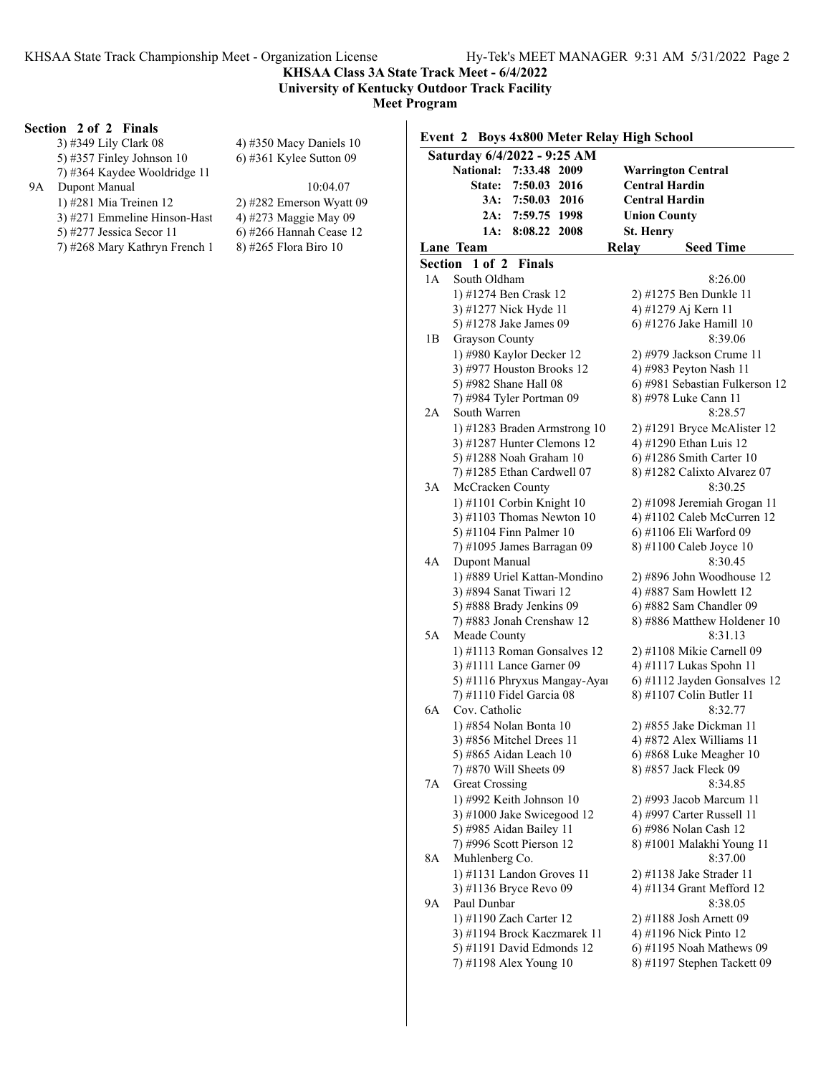### **KHSAA Class 3A State Track Meet - 6/4/2022 University of Kentucky Outdoor Track Facility**

**Meet Program**

### **Section 2 of 2 Finals**

|    | 3) #349 Lily Clark 08              | 4) #350 Macy Daniels 1         |
|----|------------------------------------|--------------------------------|
|    | 5) #357 Finley Johnson $10$        | 6) #361 Kylee Sutton $0$ !     |
|    | 7) #364 Kaydee Wooldridge 11       |                                |
| 9A | Dupont Manual                      | 10:04.07                       |
|    | 1) #281 Mia Treinen 12             | 2) #282 Emerson Wyatt          |
|    | 3) #271 Emmeline Hinson-Hast       | 4) #273 Maggie May 09          |
|    | $5\frac{1077}{1000000}$ Correct 11 | $\triangle$ 4766 House b Cassa |

5) #277 Jessica Secor 11 6) #266 Hannah Cease 12<br>
7) #268 Mary Kathryn French 1 8) #265 Flora Biro 10 7) #268 Mary Kathryn French 1

#350 Macy Daniels 10 #361 Kylee Sutton 09

- #282 Emerson Wyatt 09 #273 Maggie May 09
- 

### **Event 2 Boys 4x800 Meter Relay High School**

|         | Saturday 6/4/2022 - 9:25 AM                             |                  |  |                  |                                                     |  |  |  |
|---------|---------------------------------------------------------|------------------|--|------------------|-----------------------------------------------------|--|--|--|
|         | National:                                               | 7:33.48 2009     |  |                  | <b>Warrington Central</b>                           |  |  |  |
|         | <b>State:</b>                                           | 7:50.03 2016     |  |                  | Central Hardin                                      |  |  |  |
|         |                                                         | 3A: 7:50.03 2016 |  |                  | Central Hardin                                      |  |  |  |
|         | 2A:                                                     | 7:59.75 1998     |  |                  | <b>Union County</b>                                 |  |  |  |
|         | 1A:                                                     | 8:08.22 2008     |  | <b>St. Henry</b> |                                                     |  |  |  |
|         | <b>Lane Team</b>                                        |                  |  | Relay            | <b>Seed Time</b>                                    |  |  |  |
| Section | 1 of 2                                                  | Finals           |  |                  |                                                     |  |  |  |
| 1A      | South Oldham                                            |                  |  |                  | 8:26.00                                             |  |  |  |
|         | 1) #1274 Ben Crask 12                                   |                  |  |                  | 2) #1275 Ben Dunkle 11                              |  |  |  |
|         | 3) #1277 Nick Hyde 11                                   |                  |  |                  | 4) #1279 Aj Kern 11                                 |  |  |  |
|         | 5) #1278 Jake James 09                                  |                  |  |                  | 6) #1276 Jake Hamill 10                             |  |  |  |
| 1B      | <b>Grayson County</b>                                   |                  |  |                  | 8:39.06                                             |  |  |  |
|         | 1) #980 Kaylor Decker 12                                |                  |  |                  | 2) #979 Jackson Crume 11                            |  |  |  |
|         | 3) #977 Houston Brooks 12                               |                  |  |                  | 4) #983 Peyton Nash 11                              |  |  |  |
|         | 5) #982 Shane Hall 08                                   |                  |  |                  | 6) #981 Sebastian Fulkerson 12                      |  |  |  |
|         | 7) #984 Tyler Portman 09                                |                  |  |                  | 8) #978 Luke Cann 11                                |  |  |  |
| 2Α      | South Warren                                            |                  |  |                  | 8:28.57                                             |  |  |  |
|         | 1) #1283 Braden Armstrong 10                            |                  |  |                  | 2) #1291 Bryce McAlister 12                         |  |  |  |
|         | 3) #1287 Hunter Clemons 12                              |                  |  |                  | 4) #1290 Ethan Luis 12                              |  |  |  |
|         | 5) #1288 Noah Graham 10                                 |                  |  |                  | 6) #1286 Smith Carter 10                            |  |  |  |
|         | 7) #1285 Ethan Cardwell 07                              |                  |  |                  | 8) #1282 Calixto Alvarez 07                         |  |  |  |
| 3A      | McCracken County                                        |                  |  |                  | 8:30.25                                             |  |  |  |
|         | 1) #1101 Corbin Knight 10                               |                  |  |                  | 2) #1098 Jeremiah Grogan 11                         |  |  |  |
|         | 3) #1103 Thomas Newton $10$                             |                  |  |                  | 4) #1102 Caleb McCurren 12                          |  |  |  |
|         | 5) #1104 Finn Palmer 10                                 |                  |  |                  | 6) #1106 Eli Warford 09                             |  |  |  |
|         | 7) #1095 James Barragan 09                              |                  |  |                  | 8) #1100 Caleb Joyce 10                             |  |  |  |
| 4А      | Dupont Manual                                           |                  |  |                  | 8:30.45                                             |  |  |  |
|         | 1) #889 Uriel Kattan-Mondino<br>3) #894 Sanat Tiwari 12 |                  |  |                  | 2) #896 John Woodhouse 12<br>4) #887 Sam Howlett 12 |  |  |  |
|         | 5) #888 Brady Jenkins 09                                |                  |  |                  | 6) #882 Sam Chandler 09                             |  |  |  |
|         | 7) #883 Jonah Crenshaw 12                               |                  |  |                  | 8) #886 Matthew Holdener 10                         |  |  |  |
| 5A      | Meade County                                            |                  |  |                  | 8:31.13                                             |  |  |  |
|         | 1) #1113 Roman Gonsalves 12                             |                  |  |                  | 2) #1108 Mikie Carnell 09                           |  |  |  |
|         | 3) #1111 Lance Garner 09                                |                  |  |                  | 4) #1117 Lukas Spohn 11                             |  |  |  |
|         | 5) #1116 Phryxus Mangay-Ayaı                            |                  |  |                  | 6) #1112 Jayden Gonsalves 12                        |  |  |  |
|         | 7) #1110 Fidel Garcia 08                                |                  |  |                  | 8) #1107 Colin Butler 11                            |  |  |  |
| 6A      | Cov. Catholic                                           |                  |  |                  | 8:32.77                                             |  |  |  |
|         | 1) #854 Nolan Bonta 10                                  |                  |  |                  | 2) #855 Jake Dickman 11                             |  |  |  |
|         | 3) #856 Mitchel Drees 11                                |                  |  |                  | 4) #872 Alex Williams 11                            |  |  |  |
|         | 5) #865 Aidan Leach 10                                  |                  |  |                  | 6) #868 Luke Meagher 10                             |  |  |  |
|         | 7) #870 Will Sheets 09                                  |                  |  |                  | 8) #857 Jack Fleck 09                               |  |  |  |
| 7Α      | <b>Great Crossing</b>                                   |                  |  |                  | 8:34.85                                             |  |  |  |
|         | 1) #992 Keith Johnson 10                                |                  |  |                  | 2) #993 Jacob Marcum 11                             |  |  |  |
|         | 3) #1000 Jake Swicegood 12                              |                  |  |                  | 4) #997 Carter Russell 11                           |  |  |  |
|         | 5) #985 Aidan Bailey 11                                 |                  |  |                  | 6) #986 Nolan Cash 12                               |  |  |  |
|         | 7) #996 Scott Pierson 12                                |                  |  |                  | 8) #1001 Malakhi Young 11                           |  |  |  |
| 8Α      | Muhlenberg Co.                                          |                  |  |                  | 8:37.00                                             |  |  |  |
|         | 1) #1131 Landon Groves 11                               |                  |  |                  | 2) #1138 Jake Strader 11                            |  |  |  |
|         | 3) #1136 Bryce Revo 09                                  |                  |  |                  | 4) #1134 Grant Mefford 12                           |  |  |  |
| 9Α      | Paul Dunbar                                             |                  |  |                  | 8:38.05                                             |  |  |  |
|         | 1) #1190 Zach Carter 12                                 |                  |  |                  | 2) #1188 Josh Arnett 09                             |  |  |  |
|         | 3) #1194 Brock Kaczmarek 11                             |                  |  |                  | 4) #1196 Nick Pinto 12                              |  |  |  |
|         | 5) #1191 David Edmonds 12                               |                  |  |                  | 6) #1195 Noah Mathews 09                            |  |  |  |
|         | 7) #1198 Alex Young 10                                  |                  |  |                  | 8) #1197 Stephen Tackett 09                         |  |  |  |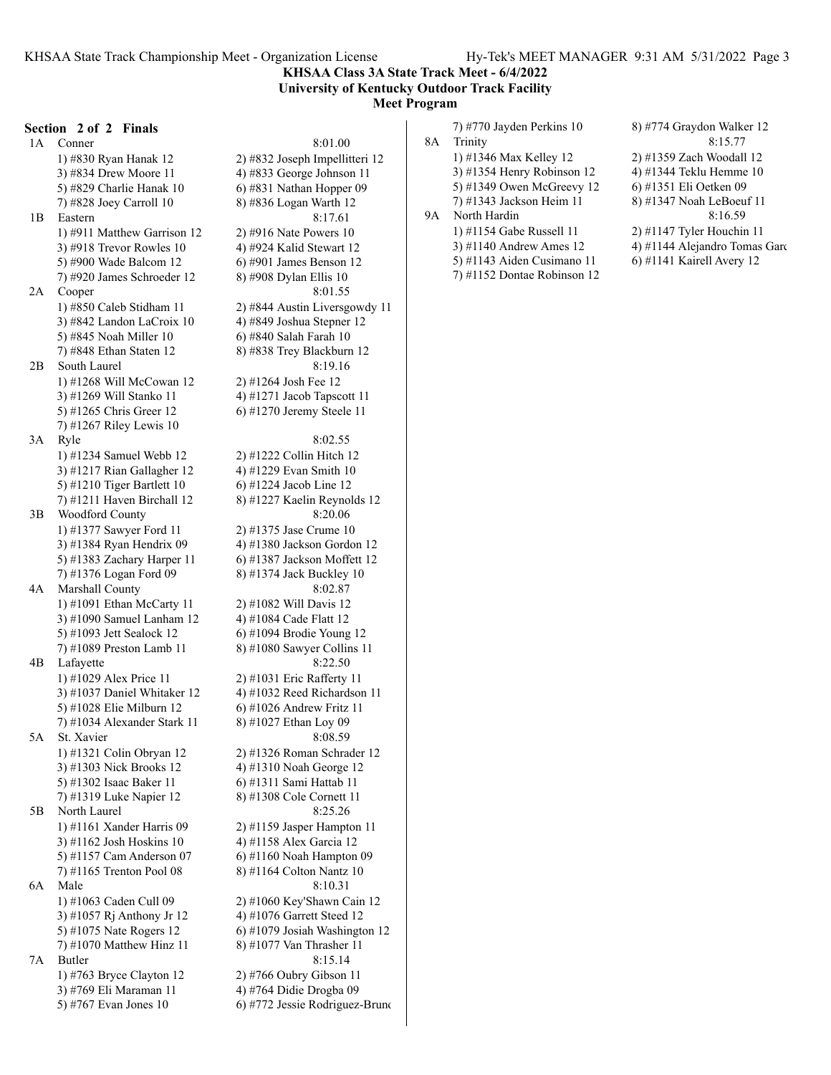**KHSAA Class 3A State Track Meet - 6/4/2022 University of Kentucky Outdoor Track Facility Meet Program**

**Section 2 of 2 Finals** 1A Conner 8:01.00 3) #834 Drew Moore 11  $\qquad \qquad$  4) #833 George Johnson 11 5) #829 Charlie Hanak 10 6) #831 Nathan Hopper 09 7) #828 Joey Carroll 10 8) #836 Logan Warth 12 1B Eastern 8:17.61 1) #911 Matthew Garrison 12 2) #916 Nate Powers 10 3)  $\#918$  Trevor Rowles 10  $\qquad$  4)  $\#924$  Kalid Stewart 12 5) #900 Wade Balcom 12 6) #901 James Benson 12 7) #920 James Schroeder 12 8) #908 Dylan Ellis 10 2A Cooper 8:01.55 3) #842 Landon LaCroix 10 4) #849 Joshua Stepner 12 5) #845 Noah Miller 10 6) #840 Salah Farah 10 7) #848 Ethan Staten 12 8) #838 Trey Blackburn 12 2B South Laurel 8:19.16 1) #1268 Will McCowan 12 2) #1264 Josh Fee 12 3)  $\#1269$  Will Stanko 11  $\qquad \qquad$  4)  $\#1271$  Jacob Tapscott 11 5) #1265 Chris Greer 12 6) #1270 Jeremy Steele 11 7) #1267 Riley Lewis 10 3A Ryle 8:02.55 1) #1234 Samuel Webb 12 2) #1222 Collin Hitch 12 3) #1217 Rian Gallagher 12 4) #1229 Evan Smith 10 5) #1210 Tiger Bartlett 10 6) #1224 Jacob Line 12 7) #1211 Haven Birchall 12 8) #1227 Kaelin Reynolds 12 3B Woodford County 8:20.06 1) #1377 Sawyer Ford 11 2) #1375 Jase Crume 10 3) #1384 Ryan Hendrix 09 4) #1380 Jackson Gordon 12 5) #1383 Zachary Harper 11 6) #1387 Jackson Moffett 12 7) #1376 Logan Ford 09 8) #1374 Jack Buckley 10 4A Marshall County 8:02.87 1) #1091 Ethan McCarty 11 2) #1082 Will Davis 12 3) #1090 Samuel Lanham 12 4) #1084 Cade Flatt 12 5) #1093 Jett Sealock 12 6) #1094 Brodie Young 12 7) #1089 Preston Lamb 11 8) #1080 Sawyer Collins 11 4B Lafayette 8:22.50 1) #1029 Alex Price 11 2) #1031 Eric Rafferty 11 3) #1037 Daniel Whitaker 12 4) #1032 Reed Richardson 11 5) #1028 Elie Milburn 12 6) #1026 Andrew Fritz 11 7) #1034 Alexander Stark 11 8) #1027 Ethan Loy 09 5A St. Xavier 8:08.59 1) #1321 Colin Obryan 12 2) #1326 Roman Schrader 12 3) #1303 Nick Brooks 12 4) #1310 Noah George 12 5) #1302 Isaac Baker 11 6) #1311 Sami Hattab 11 7) #1319 Luke Napier 12 8) #1308 Cole Cornett 11 5B North Laurel 8:25.26 1) #1161 Xander Harris 09 2) #1159 Jasper Hampton 11 3) #1162 Josh Hoskins 10 4) #1158 Alex Garcia 12 5) #1157 Cam Anderson 07 6) #1160 Noah Hampton 09 7) #1165 Trenton Pool 08 8) #1164 Colton Nantz 10 6A Male 8:10.31 1) #1063 Caden Cull 09 2) #1060 Key'Shawn Cain 12 3) #1057 Rj Anthony Jr 12 4) #1076 Garrett Steed 12 7) #1070 Matthew Hinz 11 8) #1077 Van Thrasher 11 7A Butler 8:15.14 1) #763 Bryce Clayton 12 2) #766 Oubry Gibson 11 3) #769 Eli Maraman 11 4) #764 Didie Drogba 09

1) #830 Ryan Hanak 12 2) #832 Joseph Impellitteri 12 1) #850 Caleb Stidham 11 2) #844 Austin Liversgowdy 11 5) #1075 Nate Rogers 12 6) #1079 Josiah Washington 12 5) #767 Evan Jones 10 6) #772 Jessie Rodriguez-Bruno

|    | 7) #770 Jayden Perkins 10   | 8) #774 Graydon Walker 12     |
|----|-----------------------------|-------------------------------|
| 8A | Trinity                     | 8:15.77                       |
|    | 1) #1346 Max Kelley 12      | 2) #1359 Zach Woodall 12      |
|    | 3) #1354 Henry Robinson 12  | 4) #1344 Teklu Hemme 10       |
|    | 5) #1349 Owen McGreevy 12   | 6) #1351 Eli Oetken 09        |
|    | 7) #1343 Jackson Heim 11    | 8) #1347 Noah LeBoeuf 11      |
| 9А | North Hardin                | 8:16.59                       |
|    | 1) #1154 Gabe Russell 11    | $2)$ #1147 Tyler Houchin 11   |
|    | $3)$ #1140 Andrew Ames 12   | 4) #1144 Alejandro Tomas Gard |
|    | 5) #1143 Aiden Cusimano 11  | $(6)$ #1141 Kairell Avery 12  |
|    | 7) #1152 Dontae Robinson 12 |                               |

| 8) #774 Graydon Walker 12   |
|-----------------------------|
| 8:15.77                     |
| 2) #1359 Zach Woodall 12    |
| 4) #1344 Teklu Hemme 10     |
| 6) #1351 Eli Oetken 09      |
| 8) #1347 Noah LeBoeuf 11    |
| 8:16.59                     |
| 2) #1147 Tyler Houchin 11   |
| 4) #1144 Alejandro Tomas Ga |
| 6) #1141 Kairell Avery 12   |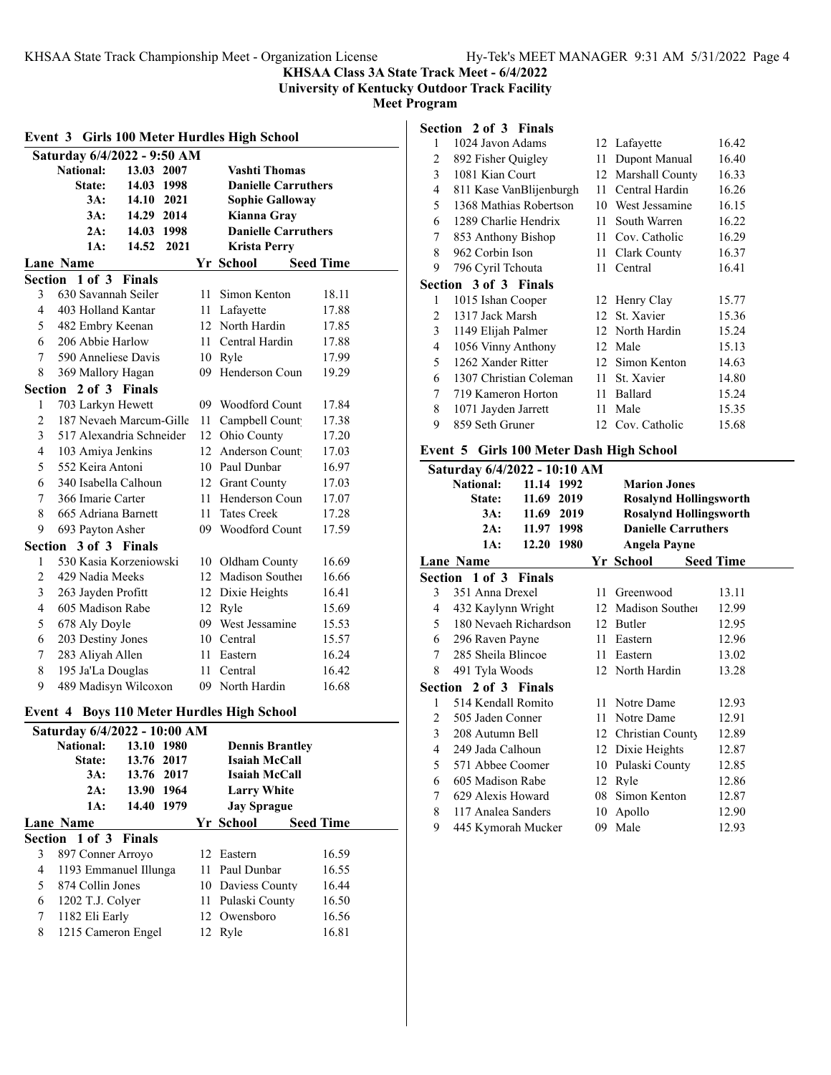### **KHSAA Class 3A State Track Meet - 6/4/2022 University of Kentucky Outdoor Track Facility**

**Meet Program**

|                          | Event 3 Girls 100 Meter Hurdles High School |               |      |      |                                            |       |  |  |
|--------------------------|---------------------------------------------|---------------|------|------|--------------------------------------------|-------|--|--|
|                          | Saturday 6/4/2022 - 9:50 AM                 |               |      |      |                                            |       |  |  |
|                          | <b>National:</b>                            | 13.03 2007    |      |      | <b>Vashti Thomas</b>                       |       |  |  |
|                          | State:                                      | 14.03         | 1998 |      | <b>Danielle Carruthers</b>                 |       |  |  |
|                          | 3A:                                         | 14.10 2021    |      |      | <b>Sophie Galloway</b>                     |       |  |  |
|                          | 3A:                                         | 14.29 2014    |      |      | Kianna Gray                                |       |  |  |
|                          | 2A:                                         | 14.03 1998    |      |      | <b>Danielle Carruthers</b>                 |       |  |  |
|                          | 1A:                                         | 14.52         | 2021 |      | <b>Krista Perry</b>                        |       |  |  |
|                          | Lane Name<br>Yr School<br><b>Seed Time</b>  |               |      |      |                                            |       |  |  |
|                          | Section 1 of 3                              | <b>Finals</b> |      |      |                                            |       |  |  |
| 3                        | 630 Savannah Seiler                         |               |      | 11 - | Simon Kenton                               | 18.11 |  |  |
| 4                        | 403 Holland Kantar                          |               |      |      | 11 Lafayette                               | 17.88 |  |  |
| 5                        | 482 Embry Keenan                            |               |      |      | 12 North Hardin                            | 17.85 |  |  |
| 6                        | 206 Abbie Harlow                            |               |      |      | 11 Central Hardin                          | 17.88 |  |  |
| 7                        | 590 Anneliese Davis                         |               |      |      | 10 Ryle                                    | 17.99 |  |  |
| 8                        | 369 Mallory Hagan                           |               |      | 09-  | Henderson Coun                             | 19.29 |  |  |
| Section<br>2 of 3 Finals |                                             |               |      |      |                                            |       |  |  |
| 1                        | 703 Larkyn Hewett                           |               |      |      | 09 Woodford Count                          | 17.84 |  |  |
| $\overline{c}$           | 187 Nevaeh Marcum-Gille                     |               |      |      | 11 Campbell Count                          | 17.38 |  |  |
| 3                        | 517 Alexandria Schneider                    |               |      |      | 12 Ohio County                             | 17.20 |  |  |
| $\overline{\mathbf{4}}$  | 103 Amiya Jenkins                           |               |      |      | 12 Anderson Count                          | 17.03 |  |  |
| 5                        | 552 Keira Antoni                            |               |      |      | 10 Paul Dunbar                             | 16.97 |  |  |
| 6                        | 340 Isabella Calhoun                        |               |      |      | 12 Grant County                            | 17.03 |  |  |
| 7                        | 366 Imarie Carter                           |               |      |      | 11 Henderson Coun                          | 17.07 |  |  |
| 8                        | 665 Adriana Barnett                         |               |      | 11 - | <b>Tates Creek</b>                         | 17.28 |  |  |
| 9                        | 693 Payton Asher                            |               |      |      | 09 Woodford Count                          | 17.59 |  |  |
| Section                  |                                             | 3 of 3 Finals |      |      |                                            |       |  |  |
| 1                        | 530 Kasia Korzeniowski                      |               |      |      | 10 Oldham County                           | 16.69 |  |  |
| $\overline{2}$           | 429 Nadia Meeks                             |               |      |      | 12 Madison Souther                         | 16.66 |  |  |
| 3                        | 263 Jayden Profitt                          |               |      |      | 12 Dixie Heights                           | 16.41 |  |  |
| $\overline{4}$           | 605 Madison Rabe                            |               |      |      | 12 Ryle                                    | 15.69 |  |  |
| 5                        | 678 Aly Doyle                               |               |      |      | 09 West Jessamine                          | 15.53 |  |  |
| 6                        | 203 Destiny Jones                           |               |      |      | 10 Central                                 | 15.57 |  |  |
| 7                        | 283 Aliyah Allen                            |               |      |      | 11 Eastern                                 | 16.24 |  |  |
| 8                        | 195 Ja'La Douglas                           |               |      | 11   | Central                                    | 16.42 |  |  |
| 9                        | 489 Madisyn Wilcoxon                        |               |      |      | 09 North Hardin                            | 16.68 |  |  |
|                          |                                             |               |      |      | Event 4 Boys 110 Meter Hurdles High School |       |  |  |
|                          | Saturday 6/4/2022 - 10:00 AM                |               |      |      |                                            |       |  |  |

| Saturday 6/4/2022 - 10:00 AM |                       |            |  |  |                        |  |                  |  |
|------------------------------|-----------------------|------------|--|--|------------------------|--|------------------|--|
|                              | <b>National:</b>      | 13.10 1980 |  |  | <b>Dennis Brantley</b> |  |                  |  |
|                              | State:                | 13.76 2017 |  |  | Isaiah McCall          |  |                  |  |
|                              | 3A:                   | 13.76 2017 |  |  | Isaiah McCall          |  |                  |  |
|                              | 2A:                   | 13.90 1964 |  |  | <b>Larry White</b>     |  |                  |  |
|                              | 1A:                   | 14.40 1979 |  |  | <b>Jay Sprague</b>     |  |                  |  |
|                              | Lane Name             |            |  |  | Yr School              |  | <b>Seed Time</b> |  |
|                              | Section 1 of 3 Finals |            |  |  |                        |  |                  |  |
| 3                            | 897 Conner Arroyo     |            |  |  | 12 Eastern             |  | 16.59            |  |
| 4                            | 1193 Emmanuel Illunga |            |  |  | 11 Paul Dunbar         |  | 16.55            |  |
| 5.                           | 874 Collin Jones      |            |  |  | 10 Daviess County      |  | 16.44            |  |
| 6                            | 1202 T.J. Colyer      |            |  |  | 11 Pulaski County      |  | 16.50            |  |
| 7                            | 1182 Eli Early        |            |  |  | 12 Owensboro           |  | 16.56            |  |
| 8                            | 1215 Cameron Engel    |            |  |  | 12 Ryle                |  | 16.81            |  |
|                              |                       |            |  |  |                        |  |                  |  |

| 1 | 1024 Javon Adams             |    | 12 Lafayette    | 16.42 |
|---|------------------------------|----|-----------------|-------|
| 2 | 892 Fisher Quigley           | 11 | Dupont Manual   | 16.40 |
| 3 | 1081 Kian Court              | 12 | Marshall County | 16.33 |
| 4 | 811 Kase VanBlijenburgh      | 11 | Central Hardin  | 16.26 |
| 5 | 1368 Mathias Robertson       | 10 | West Jessamine  | 16.15 |
| 6 | 1289 Charlie Hendrix         | 11 | South Warren    | 16.22 |
| 7 | 853 Anthony Bishop           | 11 | Cov. Catholic   | 16.29 |
| 8 | 962 Corbin Ison              | 11 | Clark County    | 16.37 |
| 9 | 796 Cyril Tchouta            | 11 | Central         | 16.41 |
|   | <b>Section 3 of 3 Finals</b> |    |                 |       |
| 1 | 1015 Ishan Cooper            |    | 12 Henry Clay   | 15.77 |
| 2 | 1317 Jack Marsh              | 12 | St. Xavier      | 15.36 |
| 3 | 1149 Elijah Palmer           |    | 12 North Hardin | 15.24 |
| 4 | 1056 Vinny Anthony           | 12 | Male            | 15.13 |
| 5 | 1262 Xander Ritter           | 12 | Simon Kenton    | 14.63 |
| 6 | 1307 Christian Coleman       | 11 | St. Xavier      | 14.80 |
| 7 | 719 Kameron Horton           | 11 | Ballard         | 15.24 |
| 8 | 1071 Jayden Jarrett          | 11 | Male            | 15.35 |
| 9 | 859 Seth Gruner              | 12 | Cov. Catholic   | 15.68 |
|   |                              |    |                 |       |

### **Event 5 Girls 100 Meter Dash High School**

|   | Saturday 6/4/2022 - 10:10 AM |            |      |    |                               |                  |  |
|---|------------------------------|------------|------|----|-------------------------------|------------------|--|
|   | <b>National:</b>             | 11.14 1992 |      |    | <b>Marion Jones</b>           |                  |  |
|   | State:                       | 11.69 2019 |      |    | <b>Rosalynd Hollingsworth</b> |                  |  |
|   | 3A:                          | 11.69      | 2019 |    | <b>Rosalynd Hollingsworth</b> |                  |  |
|   | 2A:                          | 11.97 1998 |      |    | <b>Danielle Carruthers</b>    |                  |  |
|   | 1A:                          | 12.20 1980 |      |    | <b>Angela Payne</b>           |                  |  |
|   | Lane Name                    |            |      |    | Yr School                     | <b>Seed Time</b> |  |
|   | Section 1 of 3 Finals        |            |      |    |                               |                  |  |
| 3 | 351 Anna Drexel              |            |      | 11 | Greenwood                     | 13.11            |  |
| 4 | 432 Kaylynn Wright           |            |      |    | 12 Madison Souther            | 12.99            |  |
| 5 | 180 Nevaeh Richardson        |            |      |    | 12 Butler                     | 12.95            |  |
| 6 | 296 Raven Payne              |            |      | 11 | Eastern                       | 12.96            |  |
| 7 | 285 Sheila Blincoe           |            |      | 11 | Eastern                       | 13.02            |  |
| 8 | 491 Tyla Woods               |            |      |    | 12 North Hardin               | 13.28            |  |
|   | Section 2 of 3 Finals        |            |      |    |                               |                  |  |
| 1 | 514 Kendall Romito           |            |      |    | 11 Notre Dame                 | 12.93            |  |
| 2 | 505 Jaden Conner             |            |      | 11 | Notre Dame                    | 12.91            |  |
| 3 | 208 Autumn Bell              |            |      |    | 12 Christian County           | 12.89            |  |
| 4 | 249 Jada Calhoun             |            |      |    | 12 Dixie Heights              | 12.87            |  |
| 5 | 571 Abbee Coomer             |            |      |    | 10 Pulaski County             | 12.85            |  |
| 6 | 605 Madison Rabe             |            |      | 12 | Ryle                          | 12.86            |  |
| 7 | 629 Alexis Howard            |            |      | 08 | Simon Kenton                  | 12.87            |  |
| 8 | 117 Analea Sanders           |            |      | 10 | Apollo                        | 12.90            |  |
| 9 | 445 Kymorah Mucker           |            |      | 09 | Male                          | 12.93            |  |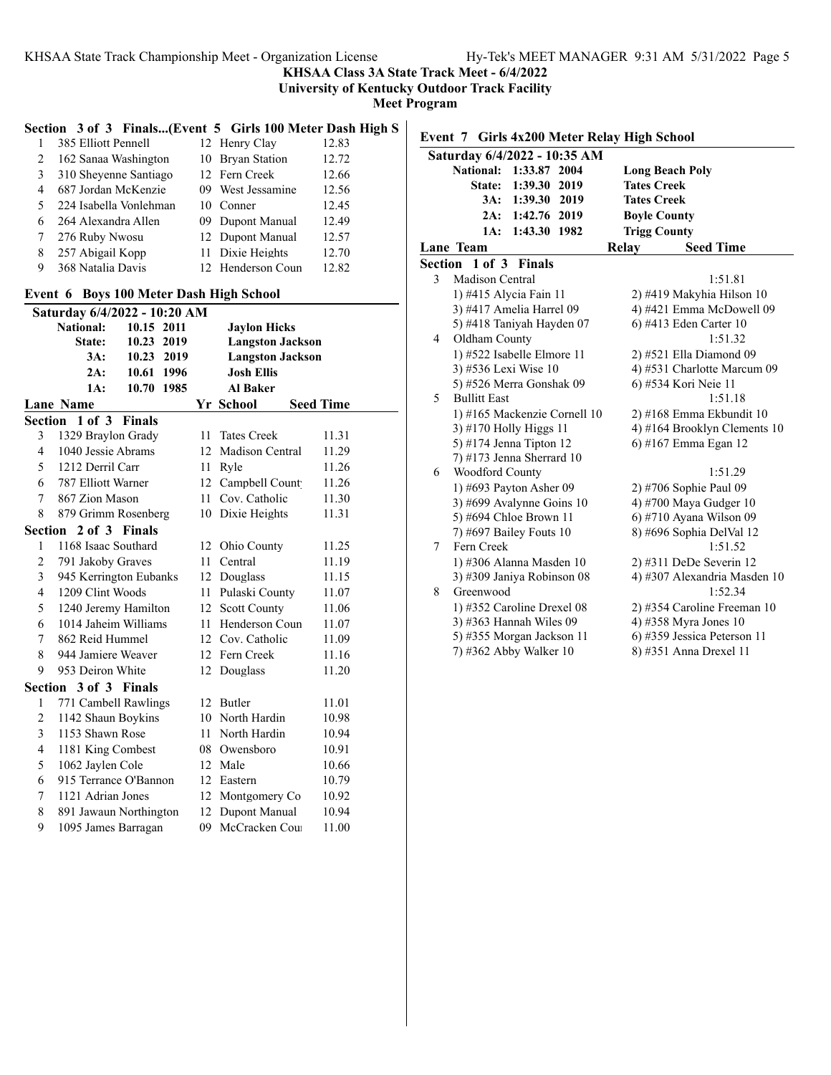**KHSAA Class 3A State Track Meet - 6/4/2022**

**University of Kentucky Outdoor Track Facility**

**Meet Program**

### **Section 3 of 3 Finals...(Event 5 Girls 100 Meter Dash High S**

| 385 Elliott Pennell    |  | 12.83                                                                                                                                                                 |
|------------------------|--|-----------------------------------------------------------------------------------------------------------------------------------------------------------------------|
| 162 Sanaa Washington   |  | 12.72                                                                                                                                                                 |
| 310 Sheyenne Santiago  |  | 12.66                                                                                                                                                                 |
| 687 Jordan McKenzie    |  | 12.56                                                                                                                                                                 |
| 224 Isabella Vonlehman |  | 12.45                                                                                                                                                                 |
| 264 Alexandra Allen    |  | 12.49                                                                                                                                                                 |
| 276 Ruby Nwosu         |  | 12.57                                                                                                                                                                 |
| 257 Abigail Kopp       |  | 12.70                                                                                                                                                                 |
| 368 Natalia Davis      |  | 12.82                                                                                                                                                                 |
|                        |  | 12 Henry Clay<br>10 Bryan Station<br>12 Fern Creek<br>09 West Jessamine<br>10 Conner<br>09 Dupont Manual<br>12 Dupont Manual<br>11 Dixie Heights<br>12 Henderson Coun |

### **Event 6 Boys 100 Meter Dash High School**

| Saturday 6/4/2022 - 10:20 AM |                                 |            |    |                         |                  |  |
|------------------------------|---------------------------------|------------|----|-------------------------|------------------|--|
|                              | <b>National:</b>                | 10.15 2011 |    | <b>Jaylon Hicks</b>     |                  |  |
|                              | State:                          | 10.23 2019 |    | <b>Langston Jackson</b> |                  |  |
|                              | 3A:                             | 10.23 2019 |    | <b>Langston Jackson</b> |                  |  |
|                              | 2A:                             | 10.61 1996 |    | <b>Josh Ellis</b>       |                  |  |
|                              | 1A:<br>10.70                    | 1985       |    | <b>Al Baker</b>         |                  |  |
|                              | <b>Lane Name</b>                |            |    | Yr School               | <b>Seed Time</b> |  |
|                              | Section 1 of 3<br><b>Finals</b> |            |    |                         |                  |  |
| 3                            | 1329 Braylon Grady              |            | 11 | <b>Tates Creek</b>      | 11.31            |  |
| 4                            | 1040 Jessie Abrams              |            | 12 | Madison Central         | 11.29            |  |
| 5                            | 1212 Derril Carr                |            | 11 | Ryle                    | 11.26            |  |
| 6                            | 787 Elliott Warner              |            |    | 12 Campbell Count       | 11.26            |  |
| 7                            | 867 Zion Mason                  |            | 11 | Cov. Catholic           | 11.30            |  |
| 8                            | 879 Grimm Rosenberg             |            | 10 | Dixie Heights           | 11.31            |  |
|                              | Section 2 of 3 Finals           |            |    |                         |                  |  |
| 1                            | 1168 Isaac Southard             |            |    | 12 Ohio County          | 11.25            |  |
| 2                            | 791 Jakoby Graves               |            | 11 | Central                 | 11.19            |  |
| 3                            | 945 Kerrington Eubanks          |            |    | 12 Douglass             | 11.15            |  |
| $\overline{4}$               | 1209 Clint Woods                |            | 11 | Pulaski County          | 11.07            |  |
| 5                            | 1240 Jeremy Hamilton            |            |    | 12 Scott County         | 11.06            |  |
| 6                            | 1014 Jaheim Williams            |            | 11 | Henderson Coun          | 11.07            |  |
| 7                            | 862 Reid Hummel                 |            |    | 12 Cov. Catholic        | 11.09            |  |
| 8                            | 944 Jamiere Weaver              |            |    | 12 Fern Creek           | 11.16            |  |
| 9                            | 953 Deiron White                |            | 12 | Douglass                | 11.20            |  |
|                              | Section 3 of 3 Finals           |            |    |                         |                  |  |
| 1                            | 771 Cambell Rawlings            |            |    | 12 Butler               | 11.01            |  |
| $\overline{c}$               | 1142 Shaun Boykins              |            |    | 10 North Hardin         | 10.98            |  |
| 3                            | 1153 Shawn Rose                 |            | 11 | North Hardin            | 10.94            |  |
| $\overline{4}$               | 1181 King Combest               |            |    | 08 Owensboro            | 10.91            |  |
| 5                            | 1062 Jaylen Cole                |            |    | 12 Male                 | 10.66            |  |
| 6                            | 915 Terrance O'Bannon           |            |    | 12 Eastern              | 10.79            |  |
| 7                            | 1121 Adrian Jones               |            |    | 12 Montgomery Co        | 10.92            |  |
| 8                            | 891 Jawaun Northington          |            | 12 | Dupont Manual           | 10.94            |  |
| 9                            | 1095 James Barragan             |            | 09 | McCracken Cou           | 11.00            |  |

**Event 7 Girls 4x200 Meter Relay High School**

|   | Saturday 6/4/2022 - 10:35 AM        |                              |
|---|-------------------------------------|------------------------------|
|   | <b>National:</b><br>1:33.87<br>2004 | <b>Long Beach Poly</b>       |
|   | State: 1:39.30 2019                 | <b>Tates Creek</b>           |
|   | 3A: 1:39.30 2019                    | <b>Tates Creek</b>           |
|   | 2A: 1:42.76 2019                    | <b>Boyle County</b>          |
|   | 1:43.30 1982<br>1A:                 | <b>Trigg County</b>          |
|   | Lane Team                           | <b>Seed Time</b><br>Relay    |
|   | Section 1 of 3 Finals               |                              |
| 3 | Madison Central                     | 1:51.81                      |
|   | 1) #415 Alycia Fain 11              | 2) #419 Makyhia Hilson 10    |
|   | 3) #417 Amelia Harrel 09            | 4) #421 Emma McDowell 09     |
|   | 5) #418 Taniyah Hayden 07           | 6) #413 Eden Carter 10       |
| 4 | Oldham County                       | 1:51.32                      |
|   | 1) #522 Isabelle Elmore 11          | 2) #521 Ella Diamond 09      |
|   | 3) #536 Lexi Wise 10                | 4) #531 Charlotte Marcum 09  |
|   | 5) #526 Merra Gonshak 09            | 6) #534 Kori Neie 11         |
| 5 | <b>Bullitt East</b>                 | 1:51.18                      |
|   | 1) #165 Mackenzie Cornell 10        | 2) #168 Emma Ekbundit 10     |
|   | 3) #170 Holly Higgs 11              | 4) #164 Brooklyn Clements 10 |
|   | 5) #174 Jenna Tipton $12$           | 6) #167 Emma Egan 12         |
|   | $(7)$ #173 Jenna Sherrard 10        |                              |
| 6 | Woodford County                     | 1:51.29                      |
|   | 1) #693 Payton Asher 09             | 2) #706 Sophie Paul 09       |
|   | 3) #699 Avalynne Goins 10           | 4) #700 Maya Gudger 10       |
|   | 5) #694 Chloe Brown 11              | 6) #710 Ayana Wilson 09      |
|   | 7) #697 Bailey Fouts 10             | 8) #696 Sophia DelVal 12     |
| 7 | Fern Creek                          | 1:51.52                      |
|   | 1) #306 Alanna Masden 10            | 2) #311 DeDe Severin 12      |
|   | 3) #309 Janiya Robinson 08          | 4) #307 Alexandria Masden 10 |
| 8 | Greenwood                           | 1:52.34                      |
|   | 1) #352 Caroline Drexel 08          | 2) #354 Caroline Freeman 10  |
|   | 3) #363 Hannah Wiles 09             | 4) #358 Myra Jones 10        |
|   | 5) #355 Morgan Jackson 11           | 6) #359 Jessica Peterson 11  |
|   | 7) #362 Abby Walker 10              | 8) #351 Anna Drexel 11       |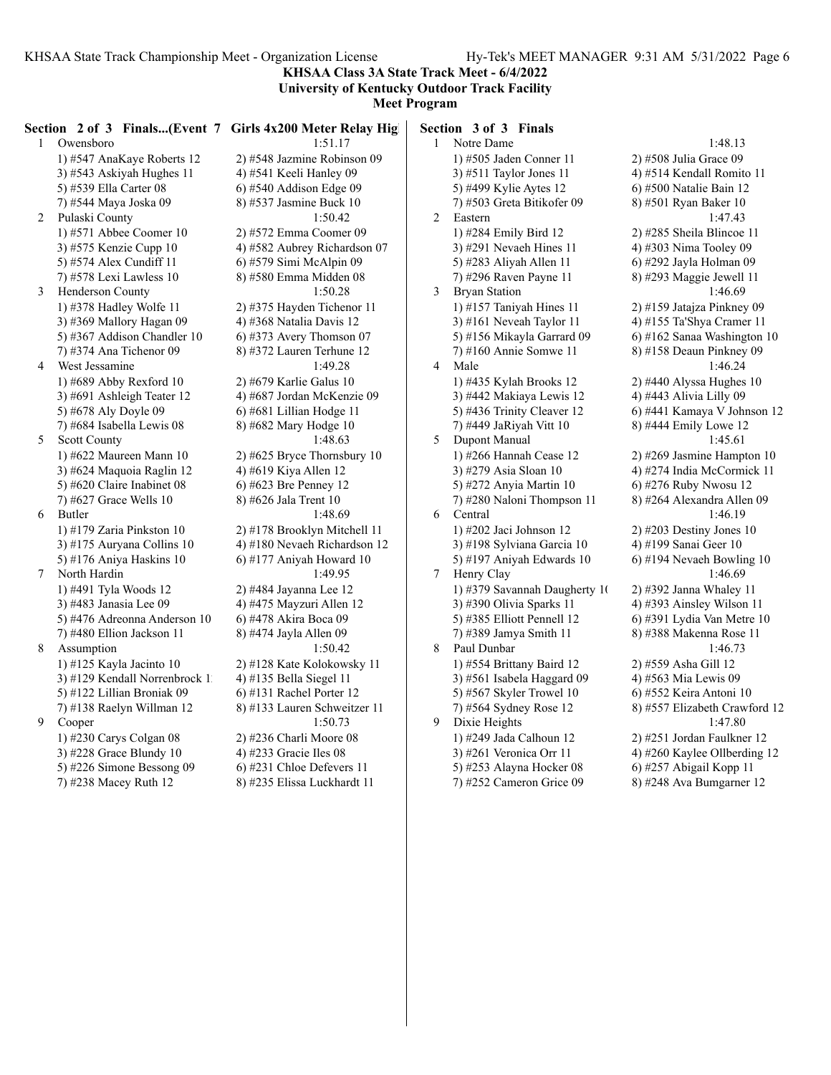**KHSAA Class 3A State Track Meet - 6/4/2022 University of Kentucky Outdoor Track Facility**

**Meet Program**

| $\mathbf{1}$   | Owensboro                               | Section 2 of 3 Finals(Event 7 Girls 4x200 Meter Relay High<br>1:51.17 | $\mathbf{1}$    | Section 3 of 3 Finals<br>Notre Dame   | 1:48.13                                         |
|----------------|-----------------------------------------|-----------------------------------------------------------------------|-----------------|---------------------------------------|-------------------------------------------------|
|                |                                         |                                                                       |                 |                                       |                                                 |
|                | 1) #547 AnaKaye Roberts 12              | 2) #548 Jazmine Robinson 09                                           |                 | 1) #505 Jaden Conner 11               | $2)$ #508 Julia Grace 09                        |
|                | 3) #543 Askiyah Hughes 11               | 4) #541 Keeli Hanley 09                                               |                 | 3) #511 Taylor Jones 11               | 4) #514 Kendall Romit                           |
|                | 5) #539 Ella Carter 08                  | 6) #540 Addison Edge 09                                               |                 | 5) #499 Kylie Aytes 12                | 6) #500 Natalie Bain 12                         |
| $\overline{2}$ | 7) #544 Maya Joska 09<br>Pulaski County | 8) #537 Jasmine Buck 10<br>1:50.42                                    | 2               | 7) #503 Greta Bitikofer 09<br>Eastern | 8) #501 Ryan Baker 10<br>1:47.43                |
|                | 1) #571 Abbee Coomer $10$               | 2) #572 Emma Coomer 09                                                |                 | 1) #284 Emily Bird 12                 | 2) #285 Sheila Blincoe                          |
|                | 3) #575 Kenzie Cupp 10                  | 4) #582 Aubrey Richardson 07                                          |                 | 3) #291 Nevaeh Hines 11               | 4) #303 Nima Tooley 0                           |
|                | 5) #574 Alex Cundiff 11                 | 6) #579 Simi McAlpin 09                                               |                 | 5) #283 Aliyah Allen 11               | 6) #292 Jayla Holman                            |
|                | 7) #578 Lexi Lawless 10                 | 8) #580 Emma Midden 08                                                |                 | 7) #296 Raven Payne 11                | 8) #293 Maggie Jewell                           |
| 3              | <b>Henderson County</b>                 | 1:50.28                                                               | 3               | <b>Bryan Station</b>                  | 1:46.69                                         |
|                | 1) #378 Hadley Wolfe 11                 | 2) #375 Hayden Tichenor 11                                            |                 | 1) #157 Taniyah Hines $11$            | 2) #159 Jatajza Pinkney                         |
|                | 3) #369 Mallory Hagan 09                | 4) #368 Natalia Davis 12                                              |                 | 3) #161 Neveah Taylor 11              | 4) #155 Ta'Shya Crame                           |
|                | 5) #367 Addison Chandler 10             | $(6)$ #373 Avery Thomson 07                                           |                 | 5) #156 Mikayla Garrard 09            | 6) #162 Sanaa Washing                           |
|                | 7) #374 Ana Tichenor 09                 | 8) #372 Lauren Terhune 12                                             |                 | 7) #160 Annie Somwe 11                | 8) #158 Deaun Pinkney                           |
| 4              | West Jessamine                          | 1:49.28                                                               | 4               | Male                                  | 1:46.24                                         |
|                | 1) #689 Abby Rexford $10$               | 2) #679 Karlie Galus 10                                               |                 | 1) #435 Kylah Brooks 12               | 2) #440 Alyssa Hughes                           |
|                | $3)$ #691 Ashleigh Teater 12            | 4) #687 Jordan McKenzie 09                                            |                 | 3) #442 Makiaya Lewis 12              | 4) #443 Alivia Lilly 09                         |
|                | 5) #678 Aly Doyle 09                    | 6) #681 Lillian Hodge 11                                              |                 | 5) #436 Trinity Cleaver 12            | 6) #441 Kamaya V Joh                            |
|                | 7) #684 Isabella Lewis 08               | 8) #682 Mary Hodge 10                                                 |                 | 7) #449 JaRiyah Vitt 10               | 8) #444 Emily Lowe 12                           |
| 5              | <b>Scott County</b>                     | 1:48.63                                                               | 5               | Dupont Manual                         | 1:45.61                                         |
|                | 1) #622 Maureen Mann 10                 | 2) #625 Bryce Thornsbury 10                                           |                 | 1) #266 Hannah Cease 12               | 2) #269 Jasmine Hamp                            |
|                | 3) #624 Maquoia Raglin 12               | 4) #619 Kiya Allen 12                                                 |                 | 3) #279 Asia Sloan 10                 | 4) #274 India McCorm                            |
|                | 5) #620 Claire Inabinet 08              | 6) #623 Bre Penney 12                                                 |                 | 5) #272 Anyia Martin 10               | 6) #276 Ruby Nwosu 1                            |
|                | 7) #627 Grace Wells $10$                | 8) #626 Jala Trent 10                                                 |                 | 7) #280 Naloni Thompson 11            | 8) #264 Alexandra Alle                          |
| 6              | Butler                                  | 1:48.69                                                               | 6               | Central                               | 1:46.19                                         |
|                | 1) #179 Zaria Pinkston 10               | 2) #178 Brooklyn Mitchell 11                                          |                 | 1) #202 Jaci Johnson 12               | 2) #203 Destiny Jones                           |
|                | 3) #175 Auryana Collins 10              | 4) #180 Nevaeh Richardson 12                                          |                 | 3) #198 Sylviana Garcia 10            | 4) #199 Sanai Geer 10                           |
|                | 5) #176 Aniya Haskins $10$              | 6) #177 Aniyah Howard 10                                              |                 | 5) #197 Aniyah Edwards 10             | 6) #194 Nevaeh Bowlin                           |
| 7              | North Hardin                            | 1:49.95                                                               | $7\phantom{.0}$ | Henry Clay                            | 1:46.69                                         |
|                | 1) #491 Tyla Woods 12                   |                                                                       |                 | 1) #379 Savannah Daugherty 1(         |                                                 |
|                | 3) #483 Janasia Lee 09                  | 2) #484 Jayanna Lee 12                                                |                 | 3) #390 Olivia Sparks 11              | $2)$ #392 Janna Whaley                          |
|                | 5) #476 Adreonna Anderson 10            | 4) #475 Mayzuri Allen 12<br>6) #478 Akira Boca 09                     |                 | 5) #385 Elliott Pennell 12            | 4) #393 Ainsley Wilsor<br>6) #391 Lydia Van Met |
|                |                                         |                                                                       |                 |                                       |                                                 |
| 8              | 7) #480 Ellion Jackson 11               | 8) #474 Jayla Allen 09                                                | 8               | 7) #389 Jamya Smith 11                | 8) #388 Makenna Rose                            |
|                | Assumption                              | 1:50.42                                                               |                 | Paul Dunbar                           | 1:46.73                                         |
|                | 1) #125 Kayla Jacinto 10                | 2) #128 Kate Kolokowsky 11                                            |                 | 1) #554 Brittany Baird 12             | 2) #559 Asha Gill 12                            |
|                | 3) #129 Kendall Norrenbrock 1           | 4) #135 Bella Siegel 11                                               |                 | 3) #561 Isabela Haggard 09            | 4) #563 Mia Lewis 09                            |
|                | 5) #122 Lillian Broniak 09              | $(6)$ #131 Rachel Porter 12                                           |                 | 5) #567 Skyler Trowel 10              | 6) #552 Keira Antoni 1                          |
|                | 7) #138 Raelyn Willman 12               | 8) #133 Lauren Schweitzer 11                                          |                 | 7) #564 Sydney Rose 12                | 8) #557 Elizabeth Crav                          |
| 9              | Cooper                                  | 1:50.73                                                               | 9               | Dixie Heights                         | 1:47.80                                         |
|                | 1) #230 Carys Colgan 08                 | 2) #236 Charli Moore 08                                               |                 | 1) #249 Jada Calhoun 12               | 2) #251 Jordan Faulkne                          |
|                | 3) #228 Grace Blundy 10                 | 4) #233 Gracie Iles 08                                                |                 | 3) #261 Veronica Orr 11               | 4) #260 Kaylee Ollbero                          |
|                | 5) #226 Simone Bessong 09               | $(6)$ #231 Chloe Defevers 11                                          |                 | 5) #253 Alayna Hocker 08              | 6) #257 Abigail Kopp                            |
|                | 7) #238 Macey Ruth 12                   | 8) #235 Elissa Luckhardt 11                                           |                 | 7) #252 Cameron Grice 09              | 8) #248 Ava Bumgarne                            |

1:48.13 508 Julia Grace 09 14 Kendall Romito 11 500 Natalie Bain 12 501 Ryan Baker 10 1:47.43 285 Sheila Blincoe 11 303 Nima Tooley 09 292 Jayla Holman 09 293 Maggie Jewell 11 1:46.69 159 Jatajza Pinkney 09 55 Ta'Shya Cramer 11 162 Sanaa Washington 10 158 Deaun Pinkney 09 1:46.24 140 Alyssa Hughes 10 43 Alivia Lilly 09 441 Kamaya V Johnson 12 444 Emily Lowe 12  $1:45.61$ 269 Jasmine Hampton 10 274 India McCormick 11 276 Ruby Nwosu 12  $264$  Alexandra Allen 09<br> $1:46.19$ 203 Destiny Jones 10 99 Sanai Geer 10 194 Nevaeh Bowling 10 1:46.69 392 Janna Whaley 11 393 Ainsley Wilson 11 391 Lydia Van Metre 10 388 Makenna Rose 11  $1:46.73$ 559 Asha Gill 12 563 Mia Lewis 09 552 Keira Antoni 10 557 Elizabeth Crawford 12  $1:47.80$ 251 Jordan Faulkner 12 260 Kaylee Ollberding 12 257 Abigail Kopp 11 248 Ava Bumgarner 12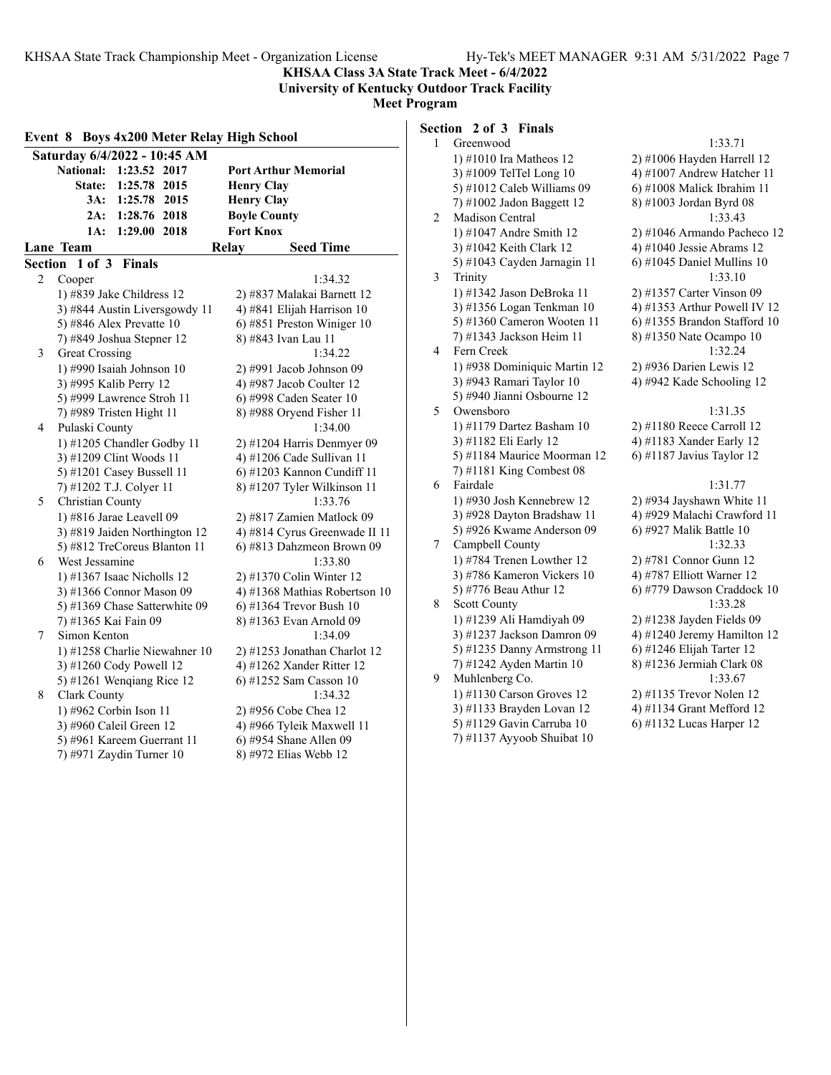**KHSAA Class 3A State Track Meet - 6/4/2022 University of Kentucky Outdoor Track Facility**

**Meet Program**

|   | Event 8 Boys 4x200 Meter Relay High School |                               |
|---|--------------------------------------------|-------------------------------|
|   | Saturday 6/4/2022 - 10:45 AM               |                               |
|   | <b>National:</b><br>1:23.52 2017           | <b>Port Arthur Memorial</b>   |
|   | 1:25.78 2015<br>State:                     | <b>Henry Clay</b>             |
|   | 3A:<br>1:25.78 2015                        | <b>Henry Clay</b>             |
|   | 1:28.76 2018<br>2A:                        | <b>Boyle County</b>           |
|   | 1A:<br>1:29.00 2018                        | <b>Fort Knox</b>              |
|   | <u>Lane Team</u>                           | <b>Seed Time</b><br>Relay     |
|   | Section 1 of 3 Finals                      |                               |
| 2 | Cooper                                     | 1:34.32                       |
|   | 1) #839 Jake Childress 12                  | 2) #837 Malakai Barnett 12    |
|   | 3) #844 Austin Liversgowdy 11              | 4) #841 Elijah Harrison 10    |
|   | 5) #846 Alex Prevatte $10$                 | 6) #851 Preston Winiger 10    |
|   | 7) #849 Joshua Stepner 12                  | 8) #843 Ivan Lau 11           |
| 3 | Great Crossing                             | 1:34.22                       |
|   | 1) #990 Isaiah Johnson 10                  | 2) #991 Jacob Johnson 09      |
|   | 3) #995 Kalib Perry 12                     | 4) #987 Jacob Coulter 12      |
|   | 5) #999 Lawrence Stroh 11                  | 6) #998 Caden Seater 10       |
|   | 7) #989 Tristen Hight 11                   | 8) #988 Oryend Fisher 11      |
| 4 | Pulaski County                             | 1:34.00                       |
|   | 1) #1205 Chandler Godby 11                 | $2)$ #1204 Harris Denmyer 09  |
|   | 3) #1209 Clint Woods 11                    | 4) #1206 Cade Sullivan 11     |
|   | 5) #1201 Casey Bussell 11                  | 6) #1203 Kannon Cundiff 11    |
|   | 7) #1202 T.J. Colyer 11                    | 8) #1207 Tyler Wilkinson 11   |
| 5 | Christian County                           | 1:33.76                       |
|   | 1) #816 Jarae Leavell 09                   | 2) #817 Zamien Matlock 09     |
|   | 3) #819 Jaiden Northington 12              | 4) #814 Cyrus Greenwade II 11 |
|   | 5) #812 TreCoreus Blanton 11               | 6) #813 Dahzmeon Brown 09     |
| 6 | West Jessamine                             | 1:33.80                       |
|   | 1) #1367 Isaac Nicholls 12                 | 2) #1370 Colin Winter 12      |
|   | 3) #1366 Connor Mason 09                   | 4) #1368 Mathias Robertson 10 |
|   | 5) #1369 Chase Satterwhite 09              | 6) #1364 Trevor Bush $10$     |
|   | 7) #1365 Kai Fain 09                       | 8) #1363 Evan Arnold 09       |
| 7 | Simon Kenton                               | 1:34.09                       |
|   | 1) #1258 Charlie Niewahner 10              | 2) #1253 Jonathan Charlot 12  |
|   | 3) #1260 Cody Powell 12                    | 4) #1262 Xander Ritter 12     |
|   | 5) #1261 Wenqiang Rice 12                  | 6) #1252 Sam Casson 10        |
| 8 | Clark County                               | 1:34.32                       |
|   | 1) #962 Corbin Ison 11                     | 2) #956 Cobe Chea 12          |
|   | 3) #960 Caleil Green 12                    | 4) #966 Tyleik Maxwell 11     |
|   | 5) #961 Kareem Guerrant 11                 | 6) #954 Shane Allen 09        |
|   | 7) #971 Zaydin Turner 10                   | 8) #972 Elias Webb 12         |

## **Section 2 of 3 Finals**

| 1 | Greenwood                    | 1:33.71                       |
|---|------------------------------|-------------------------------|
|   | 1) #1010 Ira Matheos 12      | 2) #1006 Hayden Harrell 12    |
|   | 3) #1009 TelTel Long 10      | 4) #1007 Andrew Hatcher 11    |
|   | 5) #1012 Caleb Williams 09   | 6) #1008 Malick Ibrahim 11    |
|   | 7) #1002 Jadon Baggett 12    | 8) #1003 Jordan Byrd 08       |
| 2 | Madison Central              | 1:33.43                       |
|   | 1) #1047 Andre Smith 12      | 2) #1046 Armando Pacheco 12   |
|   | 3) #1042 Keith Clark 12      | 4) #1040 Jessie Abrams 12     |
|   | 5) #1043 Cayden Jarnagin 11  | $6$ ) #1045 Daniel Mullins 10 |
| 3 | Trinity                      | 1:33.10                       |
|   | 1) #1342 Jason DeBroka 11    | 2) #1357 Carter Vinson 09     |
|   | 3) #1356 Logan Tenkman 10    | 4) #1353 Arthur Powell IV 12  |
|   | 5) #1360 Cameron Wooten 11   | 6) #1355 Brandon Stafford 10  |
|   | 7) #1343 Jackson Heim 11     | 8) #1350 Nate Ocampo 10       |
| 4 | Fern Creek                   | 1:32.24                       |
|   | 1) #938 Dominiquic Martin 12 | 2) #936 Darien Lewis 12       |
|   | 3) #943 Ramari Taylor 10     | 4) #942 Kade Schooling 12     |
|   | 5) #940 Jianni Osbourne 12   |                               |
| 5 | Owensboro                    | 1:31.35                       |
|   | 1) #1179 Dartez Basham 10    | 2) #1180 Reece Carroll 12     |
|   | 3) #1182 Eli Early 12        | 4) #1183 Xander Early 12      |
|   | 5) #1184 Maurice Moorman 12  | 6) #1187 Javius Taylor 12     |
|   | 7) #1181 King Combest 08     |                               |
| 6 | Fairdale                     | 1:31.77                       |
|   | 1) #930 Josh Kennebrew 12    | 2) #934 Jayshawn White 11     |
|   | 3) #928 Dayton Bradshaw 11   | 4) #929 Malachi Crawford 11   |
|   | 5) #926 Kwame Anderson 09    | 6) #927 Malik Battle 10       |
| 7 | Campbell County              | 1:32.33                       |
|   | 1) #784 Trenen Lowther 12    | 2) #781 Connor Gunn 12        |
|   | 3) #786 Kameron Vickers 10   | 4) #787 Elliott Warner 12     |
|   | 5) #776 Beau Athur 12        | 6) #779 Dawson Craddock 10    |
| 8 | Scott County                 | 1:33.28                       |
|   | 1) #1239 Ali Hamdiyah 09     | 2) #1238 Jayden Fields 09     |
|   | 3) #1237 Jackson Damron 09   | 4) #1240 Jeremy Hamilton 12   |
|   | 5) #1235 Danny Armstrong 11  | 6) #1246 Elijah Tarter 12     |
|   | 7) #1242 Ayden Martin 10     | 8) #1236 Jermiah Clark 08     |
| 9 | Muhlenberg Co.               | 1:33.67                       |
|   | 1) #1130 Carson Groves 12    | 2) #1135 Trevor Nolen 12      |
|   | 3) #1133 Brayden Lovan 12    | 4) #1134 Grant Mefford 12     |
|   | 5) #1129 Gavin Carruba 10    | 6) #1132 Lucas Harper 12      |
|   | 7) #1137 Ayyoob Shuibat 10   |                               |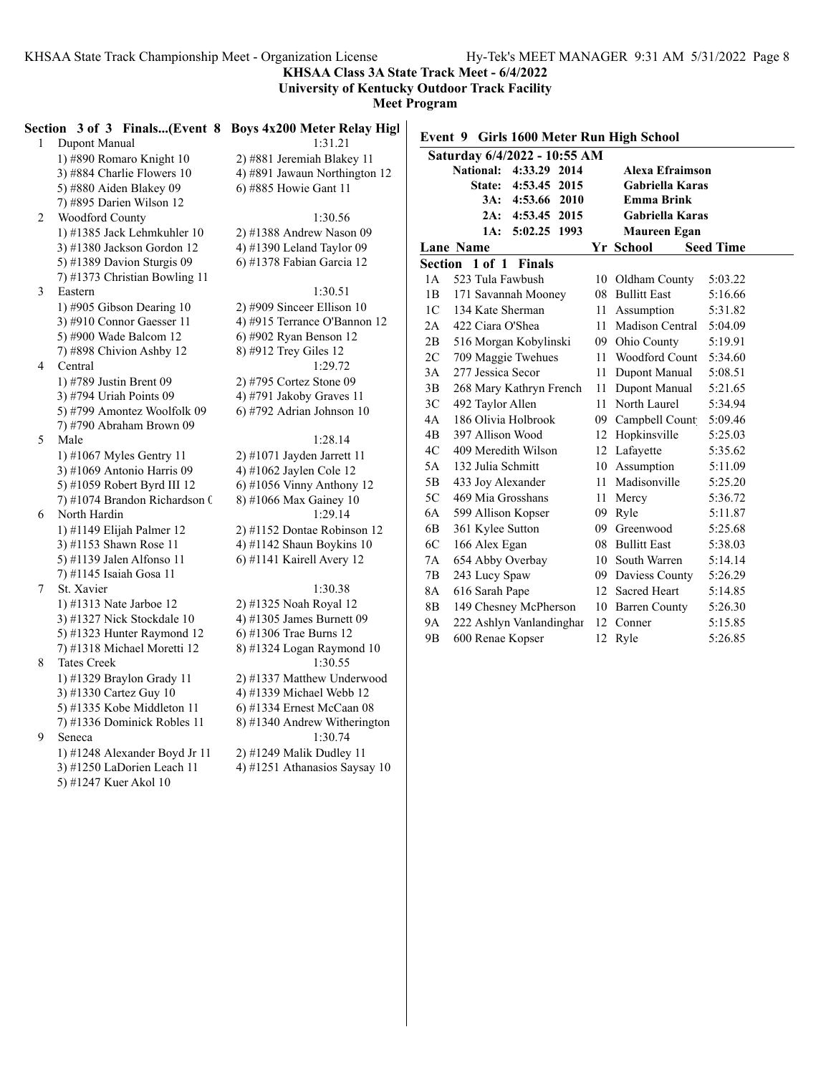**KHSAA Class 3A State Track Meet - 6/4/2022**

**University of Kentucky Outdoor Track Facility**

**Meet Program**

|   | Section 3 of 3 Finals(Event 8 Boys 4x200 Meter Relay Hig  |                                      |
|---|-----------------------------------------------------------|--------------------------------------|
| 1 | Dupont Manual                                             | 1:31.21                              |
|   | 1) #890 Romaro Knight 10                                  | 2) #881 Jeremiah Blakey 11           |
|   | 3) #884 Charlie Flowers 10                                | 4) #891 Jawaun Northington 12        |
|   | 5) #880 Aiden Blakey 09                                   | 6) #885 Howie Gant 11                |
|   | 7) #895 Darien Wilson 12                                  |                                      |
| 2 | Woodford County                                           | 1:30.56                              |
|   | 1) #1385 Jack Lehmkuhler 10                               | 2) #1388 Andrew Nason 09             |
|   | 3) #1380 Jackson Gordon 12                                | 4) #1390 Leland Taylor 09            |
|   | 5) #1389 Davion Sturgis 09                                | 6) #1378 Fabian Garcia 12            |
|   | 7) #1373 Christian Bowling 11                             |                                      |
| 3 | Eastern                                                   | 1:30.51                              |
|   | 1) #905 Gibson Dearing 10                                 | 2) #909 Sinceer Ellison 10           |
|   | 3) #910 Connor Gaesser 11                                 | 4) #915 Terrance O'Bannon 12         |
|   | 5) #900 Wade Balcom 12                                    | 6) #902 Ryan Benson 12               |
|   | 7) #898 Chivion Ashby 12                                  | 8) #912 Trey Giles 12                |
| 4 | Central                                                   | 1:29.72                              |
|   | 1) #789 Justin Brent 09                                   | 2) #795 Cortez Stone 09              |
|   | 3) #794 Uriah Points 09                                   | 4) #791 Jakoby Graves 11             |
|   | 5) #799 Amontez Woolfolk 09                               | 6) #792 Adrian Johnson 10            |
|   | 7) #790 Abraham Brown 09                                  |                                      |
| 5 | Male                                                      | 1:28.14                              |
|   | 1) #1067 Myles Gentry 11                                  | 2) #1071 Jayden Jarrett 11           |
|   | 3) #1069 Antonio Harris 09                                | 4) #1062 Jaylen Cole 12              |
|   | 5) #1059 Robert Byrd III 12                               | $6$ ) #1056 Vinny Anthony 12         |
|   | 7) #1074 Brandon Richardson (                             | 8) #1066 Max Gainey 10               |
| 6 | North Hardin                                              | 1:29.14                              |
|   | 1) #1149 Elijah Palmer 12                                 | 2) #1152 Dontae Robinson 12          |
|   | 3) #1153 Shawn Rose 11                                    | 4) #1142 Shaun Boykins 10            |
|   | 5) #1139 Jalen Alfonso 11                                 | 6) #1141 Kairell Avery 12            |
|   | 7) #1145 Isaiah Gosa 11                                   |                                      |
| 7 | St. Xavier                                                | 1:30.38                              |
|   | 1) #1313 Nate Jarboe 12                                   | 2) #1325 Noah Royal 12               |
|   | 3) #1327 Nick Stockdale 10                                | 4) #1305 James Burnett 09            |
|   | 5) #1323 Hunter Raymond 12<br>7) #1318 Michael Moretti 12 | 6) #1306 Trae Burns 12               |
| 8 | <b>Tates Creek</b>                                        | 8) #1324 Logan Raymond 10<br>1:30.55 |
|   | 1) #1329 Braylon Grady 11                                 | 2) #1337 Matthew Underwood           |
|   | 3) #1330 Cartez Guy 10                                    | 4) #1339 Michael Webb 12             |
|   | 5) #1335 Kobe Middleton 11                                | 6) #1334 Ernest McCaan 08            |
|   | 7) #1336 Dominick Robles 11                               | 8) #1340 Andrew Witherington         |
| 9 | Seneca                                                    | 1:30.74                              |
|   | 1) #1248 Alexander Boyd Jr 11                             | $2)$ #1249 Malik Dudley 11           |
|   | 3) #1250 LaDorien Leach 11                                | 4) #1251 Athanasios Saysay 10        |
|   | 5) #1247 Kuer Akol 10                                     |                                      |
|   |                                                           |                                      |

| ys 4x200 Meter Relay Higl                       |  |
|-------------------------------------------------|--|
| 1:31.21                                         |  |
| #881 Jeremiah Blakey 11                         |  |
| #891 Jawaun Northington 12                      |  |
| #885 Howie Gant 11                              |  |
| 1:30.56                                         |  |
| #1388 Andrew Nason 09                           |  |
| #1390 Leland Taylor 09                          |  |
| #1378 Fabian Garcia 12                          |  |
|                                                 |  |
| 1:30.51                                         |  |
| #909 Sinceer Ellison 10                         |  |
| #915 Terrance O'Bannon 12                       |  |
| #902 Ryan Benson 12<br>#912 Trey Giles 12       |  |
| 1:29.72                                         |  |
|                                                 |  |
| #795 Cortez Stone 09                            |  |
| #791 Jakoby Graves 11<br>#792 Adrian Johnson 10 |  |
|                                                 |  |
| 1:28.14                                         |  |
| #1071 Jayden Jarrett 11                         |  |
| #1062 Jaylen Cole 12                            |  |
| #1056 Vinny Anthony 12                          |  |
| #1066 Max Gainey 10                             |  |
| 1:29.14                                         |  |
| #1152 Dontae Robinson 12                        |  |
| #1142 Shaun Boykins 10                          |  |
| #1141 Kairell Avery 12                          |  |
| 1:30.38                                         |  |
| #1325 Noah Royal 12                             |  |
| #1305 James Burnett 09                          |  |
| #1306 Trae Burns 12                             |  |
| #1324 Logan Raymond 10                          |  |
| 1:30.55                                         |  |
| #1337 Matthew Underwood                         |  |
| #1339 Michael Webb 12                           |  |
| #1334 Ernest McCaan 08                          |  |
| #1340 Andrew Witherington                       |  |
| 1:30.74                                         |  |

|                | Event 9 Girls 1600 Meter Run High School |                 |                        |                  |  |  |  |
|----------------|------------------------------------------|-----------------|------------------------|------------------|--|--|--|
|                | Saturday 6/4/2022 - 10:55 AM             |                 |                        |                  |  |  |  |
|                | National:<br>4:33.29 2014                |                 | Alexa Efraimson        |                  |  |  |  |
|                | 4:53.45<br><b>State:</b><br>2015         |                 | <b>Gabriella Karas</b> |                  |  |  |  |
|                | 3A: 4:53.66<br>2010                      |                 | <b>Emma Brink</b>      |                  |  |  |  |
|                | 2A: 4:53.45 2015                         |                 | <b>Gabriella Karas</b> |                  |  |  |  |
|                | 5:02.25 1993<br>1A:                      |                 | Maureen Egan           |                  |  |  |  |
|                | <b>Lane Name</b>                         |                 | Yr School              | <b>Seed Time</b> |  |  |  |
| Section        | $1$ of $1$<br><b>Finals</b>              |                 |                        |                  |  |  |  |
| 1A             | 523 Tula Fawbush                         | 10              | Oldham County          | 5:03.22          |  |  |  |
| 1B             | 171 Savannah Mooney                      | 08              | <b>Bullitt East</b>    | 5:16.66          |  |  |  |
| 1 <sup>C</sup> | 134 Kate Sherman                         | 11              | Assumption             | 5:31.82          |  |  |  |
| 2A             | 422 Ciara O'Shea                         |                 | 11 Madison Central     | 5:04.09          |  |  |  |
| 2B             | 516 Morgan Kobylinski                    |                 | 09 Ohio County         | 5:19.91          |  |  |  |
| 2C             | 709 Maggie Twehues                       |                 | 11 Woodford Count      | 5:34.60          |  |  |  |
| 3A             | 277 Jessica Secor                        | 11              | Dupont Manual          | 5:08.51          |  |  |  |
| 3B             | 268 Mary Kathryn French                  | 11              | Dupont Manual          | 5:21.65          |  |  |  |
| 3C             | 492 Taylor Allen                         | 11.             | North Laurel           | 5:34.94          |  |  |  |
| 4A             | 186 Olivia Holbrook                      | 09              | Campbell Count         | 5:09.46          |  |  |  |
| 4B             | 397 Allison Wood                         | 12 <sup>2</sup> | Hopkinsville           | 5:25.03          |  |  |  |
| 4C             | 409 Meredith Wilson                      |                 | 12 Lafayette           | 5:35.62          |  |  |  |
| 5A             | 132 Julia Schmitt                        |                 | 10 Assumption          | 5:11.09          |  |  |  |
| 5B             | 433 Joy Alexander                        | 11              | Madisonville           | 5:25.20          |  |  |  |
| 5C             | 469 Mia Grosshans                        | 11              | Mercy                  | 5:36.72          |  |  |  |
| 6A             | 599 Allison Kopser                       |                 | 09 Ryle                | 5:11.87          |  |  |  |
| 6B             | 361 Kylee Sutton                         | 09              | Greenwood              | 5:25.68          |  |  |  |
| 6C             | 166 Alex Egan                            | 08              | <b>Bullitt East</b>    | 5:38.03          |  |  |  |
| 7A             | 654 Abby Overbay                         | 10              | South Warren           | 5:14.14          |  |  |  |
| 7B             | 243 Lucy Spaw                            |                 | 09 Daviess County      | 5:26.29          |  |  |  |
| 8A             | 616 Sarah Pape                           |                 | 12 Sacred Heart        | 5:14.85          |  |  |  |
| 8B             | 149 Chesney McPherson                    | 10              | <b>Barren County</b>   | 5:26.30          |  |  |  |
| 9A             | 222 Ashlyn Vanlandinghar                 | 12              | Conner                 | 5:15.85          |  |  |  |
| 9Β             | 600 Renae Kopser                         | 12              | Ryle                   | 5:26.85          |  |  |  |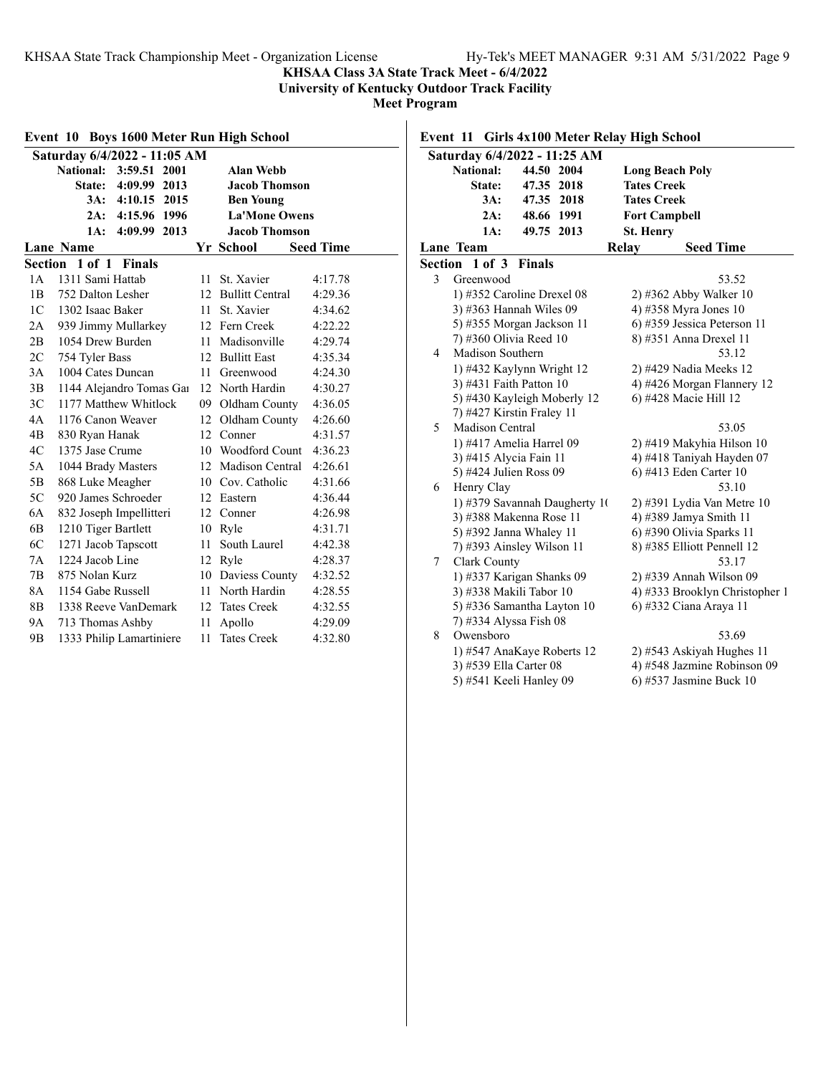### **KHSAA Class 3A State Track Meet - 6/4/2022**

**University of Kentucky Outdoor Track Facility**

**Meet Program**

|                | Event 10 Boys 1600 Meter Run High School |                  |                        |                  |
|----------------|------------------------------------------|------------------|------------------------|------------------|
|                | Saturday 6/4/2022 - 11:05 AM             |                  |                        |                  |
|                | <b>National:</b><br>3:59.51<br>2001      |                  | <b>Alan Webb</b>       |                  |
|                | 4:09.99<br>State:<br>2013                |                  | <b>Jacob Thomson</b>   |                  |
|                | 3A:<br>4:10.15<br>2015                   |                  | <b>Ben Young</b>       |                  |
|                | 4:15.96 1996<br>2A:                      |                  | <b>La'Mone Owens</b>   |                  |
|                | 1A:<br>4:09.99<br>2013                   |                  | <b>Jacob Thomson</b>   |                  |
|                | Lane Name                                |                  | Yr School              | <b>Seed Time</b> |
|                | Section 1 of 1<br><b>Finals</b>          |                  |                        |                  |
| 1 A            | 1311 Sami Hattab                         | 11               | St. Xavier             | 4:17.78          |
| 1B             | 752 Dalton Lesher                        | 12               | <b>Bullitt Central</b> | 4:29.36          |
| 1 <sup>C</sup> | 1302 Isaac Baker                         | 11               | St. Xavier             | 4:34.62          |
| 2A             | 939 Jimmy Mullarkey                      |                  | 12 Fern Creek          | 4:22.22          |
| 2B             | 1054 Drew Burden                         | 11               | Madisonville           | 4:29.74          |
| 2C             | 754 Tyler Bass                           | 12 <sup>12</sup> | <b>Bullitt East</b>    | 4:35.34          |
| 3A             | 1004 Cates Duncan                        | 11               | Greenwood              | 4:24.30          |
| 3B             | 1144 Alejandro Tomas Gai                 |                  | 12 North Hardin        | 4:30.27          |
| 3 <sup>C</sup> | 1177 Matthew Whitlock                    | 09               | Oldham County          | 4:36.05          |
| 4A             | 1176 Canon Weaver                        | 12               | Oldham County          | 4:26.60          |
| 4B             | 830 Ryan Hanak                           | 12               | Conner                 | 4:31.57          |
| 4C             | 1375 Jase Crume                          |                  | 10 Woodford Count      | 4:36.23          |
| 5A             | 1044 Brady Masters                       |                  | 12 Madison Central     | 4:26.61          |
| 5B             | 868 Luke Meagher                         | 10               | Cov. Catholic          | 4:31.66          |
| 5C             | 920 James Schroeder                      |                  | 12 Eastern             | 4:36.44          |
| 6A             | 832 Joseph Impellitteri                  |                  | 12 Conner              | 4:26.98          |
| 6B             | 1210 Tiger Bartlett                      | 10               | Ryle                   | 4:31.71          |
| 6C             | 1271 Jacob Tapscott                      | 11               | South Laurel           | 4:42.38          |
| 7A             | 1224 Jacob Line                          | 12               | Ryle                   | 4:28.37          |
| 7B             | 875 Nolan Kurz                           |                  | 10 Daviess County      | 4:32.52          |
| 8A             | 1154 Gabe Russell                        |                  | 11 North Hardin        | 4:28.55          |
| 8B             | 1338 Reeve VanDemark                     |                  | 12 Tates Creek         | 4:32.55          |
| 9А             | 713 Thomas Ashby                         | 11               | Apollo                 | 4:29.09          |
| 9 <sub>B</sub> | 1333 Philip Lamartiniere                 | 11               | <b>Tates Creek</b>     | 4:32.80          |

## **Event 11 Girls 4x100 Meter Relay High School**

|   | Saturday 6/4/2022 - 11:25 AM  |               |       |                                |
|---|-------------------------------|---------------|-------|--------------------------------|
|   | <b>National:</b>              | 44.50 2004    |       | <b>Long Beach Poly</b>         |
|   | <b>State:</b>                 | 47.35 2018    |       | <b>Tates Creek</b>             |
|   | $3A$ :                        | 47.35 2018    |       | <b>Tates Creek</b>             |
|   | 2A:                           | 48.66 1991    |       | <b>Fort Campbell</b>           |
|   | 1A:                           | 49.75 2013    |       | St. Henry                      |
|   | Lane Team                     |               | Relay | <b>Seed Time</b>               |
|   | Section 1 of 3                | <b>Finals</b> |       |                                |
| 3 | Greenwood                     |               |       | 53.52                          |
|   | 1) #352 Caroline Drexel 08    |               |       | 2) #362 Abby Walker 10         |
|   | 3) #363 Hannah Wiles 09       |               |       | 4) #358 Myra Jones 10          |
|   | 5) #355 Morgan Jackson 11     |               |       | 6) #359 Jessica Peterson 11    |
|   | 7) #360 Olivia Reed 10        |               |       | 8) #351 Anna Drexel 11         |
| 4 | Madison Southern              |               |       | 53.12                          |
|   | 1) #432 Kaylynn Wright 12     |               |       | 2) #429 Nadia Meeks 12         |
|   | 3) #431 Faith Patton 10       |               |       | 4) #426 Morgan Flannery 12     |
|   | 5) #430 Kayleigh Moberly 12   |               |       | 6) #428 Macie Hill 12          |
|   | 7) #427 Kirstin Fraley 11     |               |       |                                |
| 5 | Madison Central               |               |       | 53.05                          |
|   | 1) #417 Amelia Harrel 09      |               |       | 2) #419 Makyhia Hilson 10      |
|   | 3) #415 Alycia Fain 11        |               |       | 4) #418 Taniyah Hayden 07      |
|   | 5) #424 Julien Ross 09        |               |       | 6) #413 Eden Carter 10         |
| 6 | Henry Clay                    |               |       | 53.10                          |
|   | 1) #379 Savannah Daugherty 10 |               |       | 2) #391 Lydia Van Metre 10     |
|   | 3) #388 Makenna Rose 11       |               |       | 4) #389 Jamya Smith 11         |
|   | 5) #392 Janna Whaley 11       |               |       | 6) #390 Olivia Sparks 11       |
|   | 7) #393 Ainsley Wilson 11     |               |       | 8) #385 Elliott Pennell 12     |
| 7 | Clark County                  |               |       | 53.17                          |
|   | 1) #337 Karigan Shanks 09     |               |       | 2) #339 Annah Wilson 09        |
|   | 3) #338 Makili Tabor 10       |               |       | 4) #333 Brooklyn Christopher 1 |
|   | 5) #336 Samantha Layton 10    |               |       | 6) #332 Ciana Araya 11         |
|   | 7) #334 Alyssa Fish 08        |               |       |                                |
| 8 | Owensboro                     |               |       | 53.69                          |
|   | 1) #547 AnaKaye Roberts 12    |               |       | 2) #543 Askiyah Hughes 11      |
|   | 3) #539 Ella Carter 08        |               |       | 4) #548 Jazmine Robinson 09    |
|   | 5) #541 Keeli Hanley 09       |               |       | 6) #537 Jasmine Buck 10        |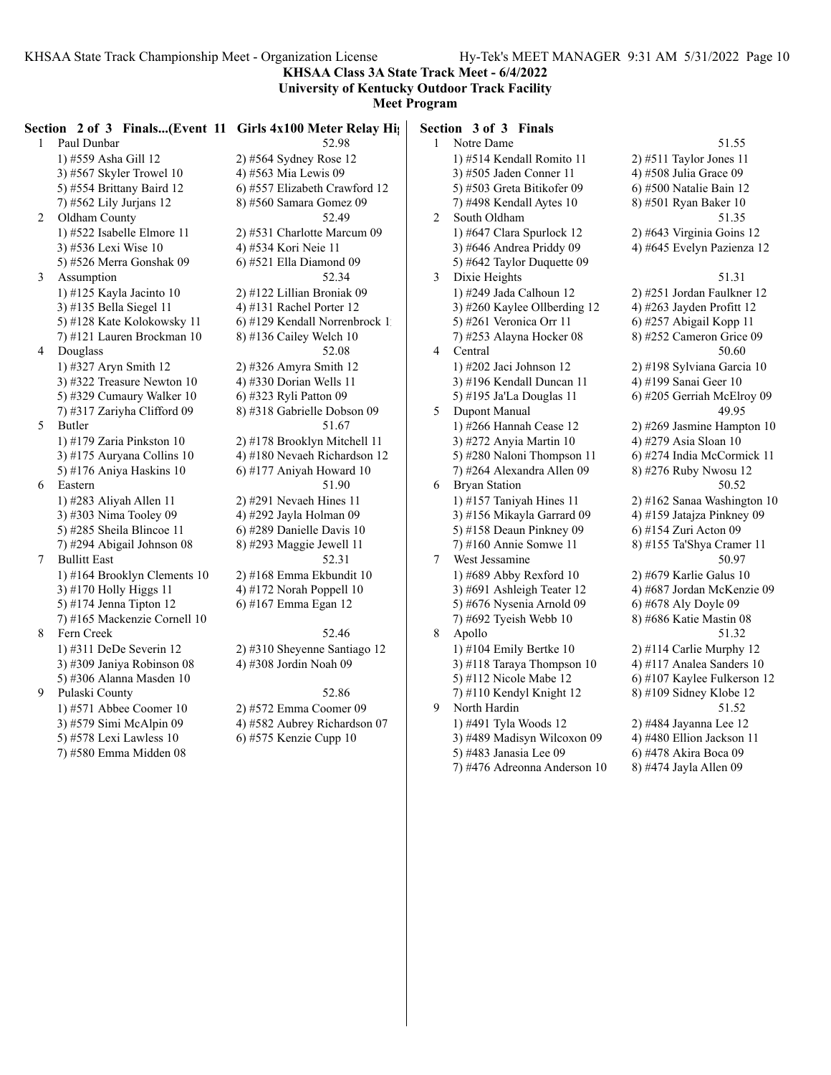**KHSAA Class 3A State Track Meet - 6/4/2022 University of Kentucky Outdoor Track Facility**

|   |                              | Section 2 of 3 Finals(Event 11 Girls 4x100 Meter Relay Hights) |                | Section 3 of 3 Finals        |                             |
|---|------------------------------|----------------------------------------------------------------|----------------|------------------------------|-----------------------------|
|   | 1 Paul Dunbar                | 52.98                                                          |                | 1 Notre Dame                 | 51.55                       |
|   | 1) #559 Asha Gill 12         | $2)$ #564 Sydney Rose 12                                       |                | 1) #514 Kendall Romito 11    | $2)$ #511 Taylor Jones 11   |
|   | 3) #567 Skyler Trowel 10     | 4) #563 Mia Lewis 09                                           |                | 3) #505 Jaden Conner 11      | 4) #508 Julia Grace 09      |
|   | 5) #554 Brittany Baird 12    | 6) #557 Elizabeth Crawford 12                                  |                | 5) #503 Greta Bitikofer 09   | 6) #500 Natalie Bain 12     |
|   | 7) #562 Lily Jurjans 12      | 8) #560 Samara Gomez 09                                        |                | 7) #498 Kendall Aytes 10     | 8) #501 Ryan Baker 10       |
| 2 | Oldham County                | 52.49                                                          | $\overline{2}$ | South Oldham                 | 51.35                       |
|   | 1) #522 Isabelle Elmore $11$ | 2) #531 Charlotte Marcum 09                                    |                | 1) #647 Clara Spurlock 12    | 2) #643 Virginia Goins 12   |
|   | 3) #536 Lexi Wise 10         | 4) #534 Kori Neie 11                                           |                | 3) #646 Andrea Priddy 09     | 4) #645 Evelyn Pazienza 12  |
|   | 5) #526 Merra Gonshak 09     | 6) #521 Ella Diamond 09                                        |                | 5) #642 Taylor Duquette 09   |                             |
| 3 | Assumption                   | 52.34                                                          | 3              | Dixie Heights                | 51.31                       |
|   | 1) #125 Kayla Jacinto 10     | 2) #122 Lillian Broniak 09                                     |                | 1) #249 Jada Calhoun 12      | 2) #251 Jordan Faulkner 12  |
|   | 3) #135 Bella Siegel 11      | 4) #131 Rachel Porter $12$                                     |                | 3) #260 Kaylee Ollberding 12 | 4) #263 Jayden Profitt 12   |
|   | 5) #128 Kate Kolokowsky 11   | 6) #129 Kendall Norrenbrock 1                                  |                | 5) #261 Veronica Orr 11      | 6) #257 Abigail Kopp 11     |
|   | 7) #121 Lauren Brockman 10   | 8) #136 Cailey Welch 10                                        |                | 7) #253 Alayna Hocker 08     | 8) #252 Cameron Grice 09    |
| 4 | Douglass                     | 52.08                                                          | 4              | Central                      | 50.60                       |
|   | 1) #327 Aryn Smith 12        | 2) #326 Amyra Smith 12                                         |                | 1) #202 Jaci Johnson 12      | 2) #198 Sylviana Garcia 10  |
|   | 3) #322 Treasure Newton 10   | 4) #330 Dorian Wells 11                                        |                | 3) #196 Kendall Duncan 11    | 4) #199 Sanai Geer 10       |
|   | 5) #329 Cumaury Walker 10    | 6) #323 Ryli Patton 09                                         |                | 5) #195 Ja'La Douglas 11     | 6) #205 Gerriah McElroy 09  |
|   | 7) #317 Zariyha Clifford 09  | 8) #318 Gabrielle Dobson 09                                    | 5              | <b>Dupont Manual</b>         | 49.95                       |
| 5 | Butler                       | 51.67                                                          |                | 1) #266 Hannah Cease 12      | 2) #269 Jasmine Hampton 10  |
|   | 1) #179 Zaria Pinkston $10$  | 2) #178 Brooklyn Mitchell 11                                   |                | 3) #272 Anyia Martin 10      | 4) #279 Asia Sloan 10       |
|   | 3) #175 Auryana Collins 10   | 4) #180 Nevaeh Richardson 12                                   |                | 5) #280 Naloni Thompson 11   | 6) #274 India McCormick 11  |
|   | 5) #176 Aniya Haskins 10     | 6) #177 Aniyah Howard 10                                       |                | 7) #264 Alexandra Allen 09   | 8) #276 Ruby Nwosu 12       |
| 6 | Eastern                      | 51.90                                                          | 6              | <b>Bryan Station</b>         | 50.52                       |
|   | 1) #283 Aliyah Allen 11      | $2)$ #291 Nevaeh Hines 11                                      |                | 1) #157 Taniyah Hines $11$   | 2) #162 Sanaa Washington 10 |
|   | 3) #303 Nima Tooley 09       | 4) #292 Jayla Holman 09                                        |                | 3) #156 Mikayla Garrard 09   | 4) #159 Jatajza Pinkney 09  |
|   | 5) #285 Sheila Blincoe 11    | 6) #289 Danielle Davis 10                                      |                | 5) #158 Deaun Pinkney 09     | 6) #154 Zuri Acton 09       |
|   | 7) #294 Abigail Johnson 08   | 8) #293 Maggie Jewell 11                                       |                | 7) #160 Annie Somwe 11       | 8) #155 Ta'Shya Cramer 11   |
| 7 | <b>Bullitt East</b>          | 52.31                                                          | $\tau$         | West Jessamine               | 50.97                       |
|   | 1) #164 Brooklyn Clements 10 | 2) #168 Emma Ekbundit 10                                       |                | 1) #689 Abby Rexford 10      | 2) #679 Karlie Galus 10     |
|   | 3) #170 Holly Higgs 11       | 4) #172 Norah Poppell 10                                       |                | 3) #691 Ashleigh Teater 12   | 4) #687 Jordan McKenzie 09  |
|   | 5) #174 Jenna Tipton $12$    | 6) #167 Emma Egan 12                                           |                | 5) #676 Nysenia Arnold 09    | 6) #678 Aly Doyle 09        |
|   | 7) #165 Mackenzie Cornell 10 |                                                                |                | 7) #692 Tyeish Webb 10       | 8) #686 Katie Mastin 08     |
| 8 | Fern Creek                   | 52.46                                                          | 8              | Apollo                       | 51.32                       |
|   | 1) #311 DeDe Severin 12      | 2) #310 Sheyenne Santiago 12                                   |                | 1) #104 Emily Bertke $10$    | 2) #114 Carlie Murphy 12    |
|   | 3) #309 Janiya Robinson 08   | 4) #308 Jordin Noah 09                                         |                | 3) #118 Taraya Thompson 10   | 4) #117 Analea Sanders 10   |
|   | 5) #306 Alanna Masden 10     |                                                                |                | 5) #112 Nicole Mabe 12       | 6) #107 Kaylee Fulkerson 12 |
| 9 | Pulaski County               | 52.86                                                          |                | $(7)$ #110 Kendyl Knight 12  | 8) #109 Sidney Klobe 12     |
|   | 1) #571 Abbee Coomer $10$    | 2) #572 Emma Coomer 09                                         | 9              | North Hardin                 | 51.52                       |
|   | 3) #579 Simi McAlpin 09      | 4) #582 Aubrey Richardson 07                                   |                | 1) #491 Tyla Woods 12        | 2) #484 Jayanna Lee 12      |
|   | 5) #578 Lexi Lawless 10      | 6) #575 Kenzie Cupp 10                                         |                | 3) #489 Madisyn Wilcoxon 09  | 4) #480 Ellion Jackson 11   |
|   | 7) #580 Emma Midden 08       |                                                                |                | 5) #483 Janasia Lee 09       | 6) #478 Akira Boca 09       |
|   |                              |                                                                |                | 7) #476 Adreonna Anderson 10 | 8) #474 Jayla Allen 09      |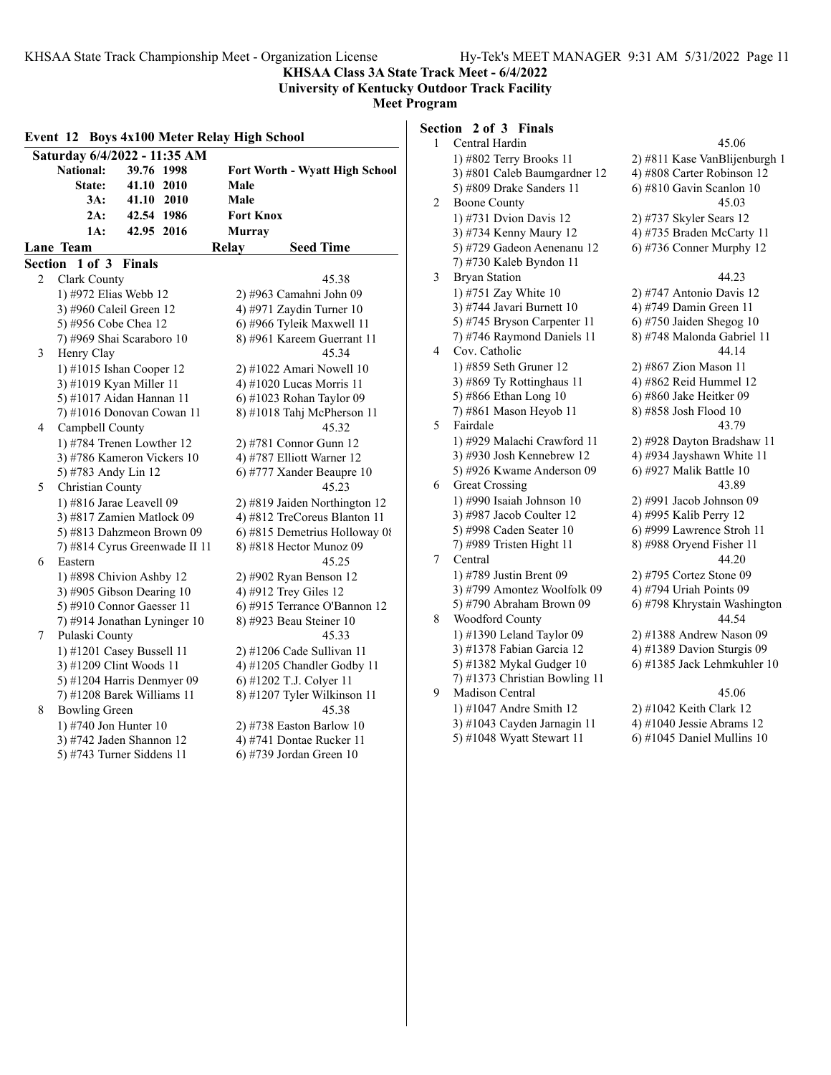**KHSAA Class 3A State Track Meet - 6/4/2022**

**University of Kentucky Outdoor Track Facility Meet Program**

# **Section 2 of 3 Finals**

|         | Event 12 Boys 4x100 Meter Relay High School |                                       |   | Section 2 |
|---------|---------------------------------------------|---------------------------------------|---|-----------|
|         | Saturday 6/4/2022 - 11:35 AM                |                                       | 1 | Centr     |
|         | National:<br>39.76 1998                     |                                       |   | $1)$ #80  |
|         |                                             | <b>Fort Worth - Wyatt High School</b> |   | $3)$ #80  |
|         | State:<br>41.10 2010                        | Male                                  |   | 5)#80     |
|         | $3A$ :<br>41.10 2010                        | Male                                  | 2 | Boon      |
|         | 42.54 1986<br>2A:                           | <b>Fort Knox</b>                      |   | $1)$ #7.  |
|         | 42.95 2016<br>1A:                           | <b>Murray</b>                         |   | $3)$ #7.  |
|         | Lane Team                                   | <b>Seed Time</b><br>Relay             |   | 5) #7.    |
| Section | 1 of 3 Finals                               |                                       |   | $7)$ #7.  |
| 2       | Clark County                                | 45.38                                 | 3 | Bryar     |
|         | 1) #972 Elias Webb 12                       | 2) #963 Camahni John 09               |   | $1)$ #7:  |
|         | 3) #960 Caleil Green 12                     | 4) #971 Zaydin Turner $10$            |   | $3)$ #74  |
|         | 5) #956 Cobe Chea 12                        | 6) #966 Tyleik Maxwell 11             |   | 5) $#74$  |
|         | 7) #969 Shai Scaraboro 10                   | 8) #961 Kareem Guerrant 11            |   | $7)$ #74  |
| 3       | Henry Clay                                  | 45.34                                 | 4 | Cov.      |
|         | 1) #1015 Ishan Cooper 12                    | 2) #1022 Amari Nowell 10              |   | $1)$ #8:  |
|         | 3) #1019 Kyan Miller 11                     | 4) #1020 Lucas Morris 11              |   | $3)$ #8   |
|         | 5) #1017 Aidan Hannan 11                    | 6) #1023 Rohan Taylor 09              |   | 5) #8(    |
|         | 7) #1016 Donovan Cowan 11                   | 8) #1018 Tahj McPherson 11            |   | $(7)$ #8  |
| 4       | Campbell County                             | 45.32                                 | 5 | Faird     |
|         | 1) #784 Trenen Lowther 12                   | 2) #781 Connor Gunn 12                |   | $1)$ #92  |
|         | 3) #786 Kameron Vickers 10                  | 4) #787 Elliott Warner 12             |   | $3)$ #9.  |
|         | 5) #783 Andy Lin 12                         | 6) #777 Xander Beaupre 10             |   | 5) #92    |
| 5       | Christian County                            | 45.23                                 | 6 | Great     |
|         | 1) #816 Jarae Leavell 09                    | 2) #819 Jaiden Northington 12         |   | $1)$ #99  |
|         | 3) #817 Zamien Matlock 09                   | 4) #812 TreCoreus Blanton 11          |   | 3) #98    |
|         | 5) #813 Dahzmeon Brown 09                   | 6) #815 Demetrius Holloway 08         |   | 5) #99    |
|         | 7) #814 Cyrus Greenwade II 11               | 8) #818 Hector Munoz 09               |   | $7)$ #98  |
| 6       | Eastern                                     | 45.25                                 | 7 | Centr     |
|         | 1) #898 Chivion Ashby 12                    | 2) #902 Ryan Benson 12                |   | $1)$ #7   |
|         | 3) #905 Gibson Dearing 10                   | 4) #912 Trey Giles 12                 |   | $3)$ #79  |
|         | 5) #910 Connor Gaesser 11                   | 6) #915 Terrance O'Bannon 12          |   | 5) $#79$  |
|         | 7) #914 Jonathan Lyninger 10                | 8) #923 Beau Steiner 10               | 8 | Wood      |
| 7       | Pulaski County                              | 45.33                                 |   | $1)$ #1.  |
|         | 1) #1201 Casey Bussell 11                   | $2)$ #1206 Cade Sullivan 11           |   | $3)$ #1.  |
|         | 3) #1209 Clint Woods 11                     | 4) #1205 Chandler Godby 11            |   | 5)#1.     |
|         | 5) #1204 Harris Denmyer 09                  | 6) #1202 T.J. Colyer 11               |   | $7)$ #1.  |
|         | 7) #1208 Barek Williams 11                  | 8) #1207 Tyler Wilkinson 11           | 9 | Madi      |
| 8       | <b>Bowling Green</b>                        | 45.38                                 |   | $1)$ #1   |
|         | 1) #740 Jon Hunter 10                       | $2)$ #738 Easton Barlow 10            |   | $3)$ #1   |
|         | 3) #742 Jaden Shannon 12                    | 4) #741 Dontae Rucker 11              |   | 5) $#10$  |
|         | 5) #743 Turner Siddens 11                   | 6) #739 Jordan Green 10               |   |           |

| $\mathbf{1}$ | Central Hardin                | 45.06                         |
|--------------|-------------------------------|-------------------------------|
|              | 1) #802 Terry Brooks 11       | 2) #811 Kase VanBlijenburgh 1 |
|              | 3) #801 Caleb Baumgardner 12  | 4) #808 Carter Robinson 12    |
|              | 5) #809 Drake Sanders 11      | 6) #810 Gavin Scanlon 10      |
| 2            | <b>Boone County</b>           | 45.03                         |
|              | 1) #731 Dvion Davis 12        | 2) #737 Skyler Sears 12       |
|              | 3) #734 Kenny Maury 12        | 4) #735 Braden McCarty 11     |
|              | 5) #729 Gadeon Aenenanu 12    | 6) #736 Conner Murphy 12      |
|              | 7) #730 Kaleb Byndon 11       |                               |
| 3            | <b>Bryan Station</b>          | 44.23                         |
|              | 1) #751 Zay White 10          | 2) #747 Antonio Davis 12      |
|              | 3) #744 Javari Burnett 10     | 4) #749 Damin Green 11        |
|              | 5) #745 Bryson Carpenter 11   | 6) #750 Jaiden Shegog $10$    |
|              | 7) #746 Raymond Daniels 11    | 8) #748 Malonda Gabriel 11    |
| 4            | Cov. Catholic                 | 44.14                         |
|              | 1) #859 Seth Gruner 12        | 2) #867 Zion Mason 11         |
|              | 3) #869 Ty Rottinghaus 11     | 4) #862 Reid Hummel 12        |
|              | 5) #866 Ethan Long 10         | 6) #860 Jake Heitker 09       |
|              | 7) #861 Mason Heyob 11        | 8) #858 Josh Flood 10         |
| 5            | Fairdale                      | 43.79                         |
|              | 1) #929 Malachi Crawford 11   | 2) #928 Dayton Bradshaw 11    |
|              | 3) #930 Josh Kennebrew 12     | 4) #934 Jayshawn White 11     |
|              | 5) #926 Kwame Anderson 09     | 6) #927 Malik Battle 10       |
| 6            | <b>Great Crossing</b>         | 43.89                         |
|              | 1) #990 Isaiah Johnson 10     | 2) #991 Jacob Johnson 09      |
|              | 3) #987 Jacob Coulter 12      | 4) #995 Kalib Perry 12        |
|              | 5) #998 Caden Seater 10       | $(6)$ #999 Lawrence Stroh 11  |
|              | 7) #989 Tristen Hight 11      | 8) #988 Oryend Fisher 11      |
| 7            | Central                       | 44.20                         |
|              | 1) #789 Justin Brent 09       | 2) #795 Cortez Stone 09       |
|              | 3) #799 Amontez Woolfolk 09   | 4) #794 Uriah Points 09       |
|              | 5) #790 Abraham Brown 09      | 6) #798 Khrystain Washington  |
| 8            | Woodford County               | 44.54                         |
|              | 1) #1390 Leland Taylor 09     | 2) #1388 Andrew Nason 09      |
|              | 3) #1378 Fabian Garcia 12     | 4) #1389 Davion Sturgis 09    |
|              | 5) #1382 Mykal Gudger 10      | 6) #1385 Jack Lehmkuhler 10   |
|              | 7) #1373 Christian Bowling 11 |                               |
| 9            | Madison Central               | 45.06                         |
|              | 1) #1047 Andre Smith 12       | 2) #1042 Keith Clark 12       |
|              | 3) #1043 Cayden Jarnagin 11   | 4) #1040 Jessie Abrams 12     |
|              | 5) #1048 Wyatt Stewart 11     | $6$ ) #1045 Daniel Mullins 10 |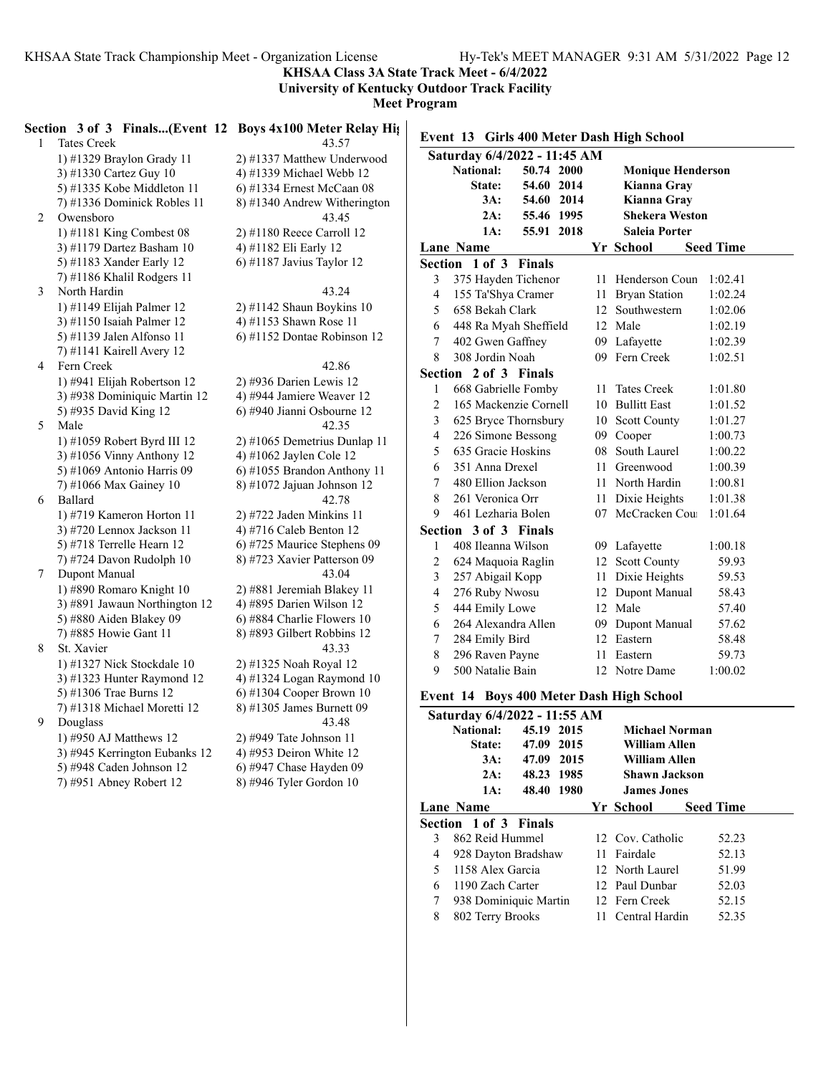**KHSAA Class 3A State Track Meet - 6/4/2022**

**University of Kentucky Outdoor Track Facility**

**Meet Program**

|   | Section 3 of 3 Finals(Event 12 Boys 4x100 Meter Relay Hights |                                                     |
|---|--------------------------------------------------------------|-----------------------------------------------------|
| 1 | <b>Tates Creek</b>                                           | 43.57                                               |
|   | 1) #1329 Braylon Grady 11                                    | 2) #1337 Matthew Underwood                          |
|   | 3) #1330 Cartez Guy 10                                       | 4) #1339 Michael Webb 12                            |
|   | 5) #1335 Kobe Middleton 11                                   | 6) #1334 Ernest McCaan 08                           |
|   | 7) #1336 Dominick Robles 11                                  | 8) #1340 Andrew Witherington                        |
| 2 | Owensboro                                                    | 43.45                                               |
|   | 1) #1181 King Combest 08                                     | 2) #1180 Reece Carroll 12                           |
|   | 3) #1179 Dartez Basham 10                                    | 4) #1182 Eli Early 12                               |
|   | 5) #1183 Xander Early 12                                     | 6) #1187 Javius Taylor 12                           |
|   | 7) #1186 Khalil Rodgers 11                                   |                                                     |
| 3 | North Hardin                                                 | 43.24                                               |
|   | $1)$ #1149 Elijah Palmer 12                                  | $2)$ #1142 Shaun Boykins 10                         |
|   | 3) #1150 Isaiah Palmer 12                                    | 4) #1153 Shawn Rose 11                              |
|   | 5) #1139 Jalen Alfonso 11                                    | 6) #1152 Dontae Robinson 12                         |
|   | 7) #1141 Kairell Avery 12                                    |                                                     |
| 4 | Fern Creek                                                   | 42.86                                               |
|   | 1) #941 Elijah Robertson 12                                  | 2) #936 Darien Lewis 12                             |
|   | 3) #938 Dominiquic Martin 12                                 | 4) #944 Jamiere Weaver 12                           |
|   | 5) #935 David King 12                                        | 6) #940 Jianni Osbourne 12                          |
| 5 | Male                                                         | 42.35                                               |
|   | 1) #1059 Robert Byrd III 12                                  | 2) #1065 Demetrius Dunlap 11                        |
|   | 3) #1056 Vinny Anthony 12                                    | 4) #1062 Jaylen Cole 12                             |
|   | 5) #1069 Antonio Harris 09                                   | 6) #1055 Brandon Anthony 11                         |
|   | 7) #1066 Max Gainey 10                                       | 8) #1072 Jajuan Johnson 12                          |
| 6 | Ballard                                                      | 42.78                                               |
|   | 1) #719 Kameron Horton 11                                    | 2) #722 Jaden Minkins 11                            |
|   | 3) #720 Lennox Jackson 11                                    | 4) #716 Caleb Benton 12                             |
|   | 5) #718 Terrelle Hearn 12                                    | 6) #725 Maurice Stephens 09                         |
|   | 7) #724 Davon Rudolph 10                                     | 8) #723 Xavier Patterson 09                         |
| 7 | Dupont Manual                                                | 43.04                                               |
|   | 1) #890 Romaro Knight 10                                     | 2) #881 Jeremiah Blakey 11                          |
|   | 3) #891 Jawaun Northington 12                                | 4) #895 Darien Wilson 12                            |
|   | 5) #880 Aiden Blakey 09                                      | 6) #884 Charlie Flowers 10                          |
|   | 7) #885 Howie Gant 11<br>St. Xavier                          | 8) #893 Gilbert Robbins 12                          |
| 8 |                                                              | 43.33                                               |
|   | 1) #1327 Nick Stockdale 10<br>3) #1323 Hunter Raymond 12     | 2) #1325 Noah Royal 12<br>4) #1324 Logan Raymond 10 |
|   | 5) #1306 Trae Burns 12                                       | 6) #1304 Cooper Brown $10$                          |
|   | 7) #1318 Michael Moretti 12                                  | 8) #1305 James Burnett 09                           |
| 9 | Douglass                                                     | 43.48                                               |
|   | 1) #950 AJ Matthews 12                                       | 2) #949 Tate Johnson 11                             |
|   | 3) #945 Kerrington Eubanks 12                                | 4) #953 Deiron White 12                             |
|   | 5) #948 Caden Johnson 12                                     | 6) #947 Chase Hayden 09                             |
|   | 7) #951 Abney Robert 12                                      | 8) #946 Tyler Gordon 10                             |
|   |                                                              |                                                     |

### **Event 13 Girls 400 Meter Dash High School**

|                                            | Saturday 6/4/2022 - 11:45 AM |               |  |  |                                        |                  |
|--------------------------------------------|------------------------------|---------------|--|--|----------------------------------------|------------------|
|                                            | <b>National:</b>             | 50.74 2000    |  |  | <b>Monique Henderson</b>               |                  |
| 54.60 2014<br>Kianna Gray<br><b>State:</b> |                              |               |  |  |                                        |                  |
|                                            | 3A:                          | 54.60 2014    |  |  | Kianna Gray                            |                  |
|                                            | 2A:                          | 55.46 1995    |  |  | <b>Shekera Weston</b>                  |                  |
|                                            | 1A:                          | 55.91 2018    |  |  | Saleia Porter                          |                  |
|                                            | <b>Lane Name</b>             |               |  |  | Yr School                              | <b>Seed Time</b> |
|                                            | Section 1 of 3               | <b>Finals</b> |  |  |                                        |                  |
| 3                                          | 375 Hayden Tichenor          |               |  |  | 11 Henderson Coun                      | 1:02.41          |
| 4                                          | 155 Ta'Shya Cramer           |               |  |  | 11 Bryan Station                       | 1:02.24          |
| 5                                          | 658 Bekah Clark              |               |  |  | 12 Southwestern                        | 1:02.06          |
| 6                                          | 448 Ra Myah Sheffield        |               |  |  | 12 Male                                | 1:02.19          |
| 7                                          | 402 Gwen Gaffney             |               |  |  | 09 Lafayette                           | 1:02.39          |
| 8                                          | 308 Jordin Noah              |               |  |  | 09 Fern Creek                          | 1:02.51          |
|                                            | Section 2 of 3 Finals        |               |  |  |                                        |                  |
| 1                                          | 668 Gabrielle Fomby          |               |  |  | 11 Tates Creek                         | 1:01.80          |
| $\overline{c}$                             | 165 Mackenzie Cornell        |               |  |  | 10 Bullitt East                        | 1:01.52          |
| 3                                          | 625 Bryce Thornsbury         |               |  |  | 10 Scott County                        | 1:01.27          |
| 4                                          | 226 Simone Bessong           |               |  |  | 09 Cooper                              | 1:00.73          |
| 5                                          | 635 Gracie Hoskins           |               |  |  | 08 South Laurel                        | 1:00.22          |
| 6                                          | 351 Anna Drexel              |               |  |  | 11 Greenwood                           | 1:00.39          |
| 7                                          | 480 Ellion Jackson           |               |  |  | 11 North Hardin                        | 1:00.81          |
| 8                                          | 261 Veronica Orr             |               |  |  | 11 Dixie Heights                       | 1:01.38          |
| 9                                          | 461 Lezharia Bolen           |               |  |  | 07 McCracken Cou                       | 1:01.64          |
|                                            | Section 3 of 3 Finals        |               |  |  |                                        |                  |
| 1                                          | 408 Ileanna Wilson           |               |  |  | 09 Lafayette                           | 1:00.18          |
| $\overline{c}$                             | 624 Maquoia Raglin           |               |  |  | 12 Scott County                        | 59.93            |
| 3                                          | 257 Abigail Kopp             |               |  |  | 11 Dixie Heights                       | 59.53            |
| 4                                          | 276 Ruby Nwosu               |               |  |  | 12 Dupont Manual                       | 58.43            |
| 5                                          | 444 Emily Lowe               |               |  |  | 12 Male                                | 57.40            |
| 6                                          | 264 Alexandra Allen          |               |  |  | 09 Dupont Manual                       | 57.62            |
| 7                                          | 284 Emily Bird               |               |  |  | 12 Eastern                             | 58.48            |
| 8                                          | 296 Raven Payne              |               |  |  | 11 Eastern                             | 59.73            |
| 9                                          | 500 Natalie Bain             |               |  |  | 12 Notre Dame                          | 1:00.02          |
|                                            | Event 14                     |               |  |  | <b>Boys 400 Meter Dash High School</b> |                  |
|                                            | Saturday 6/4/2022 - 11:55 AM |               |  |  |                                        |                  |
|                                            | <b>National:</b>             | 45.19 2015    |  |  | <b>Michael Norman</b>                  |                  |
|                                            | State:                       | 47.09 2015    |  |  | William Allen                          |                  |

|    | State:                | 47.09 2015 |  | <b>William Allen</b> |                  |       |  |
|----|-----------------------|------------|--|----------------------|------------------|-------|--|
|    | 3A:                   | 47.09 2015 |  | William Allen        |                  |       |  |
|    | 2A:                   | 48.23 1985 |  | <b>Shawn Jackson</b> |                  |       |  |
|    | 1A:                   | 48.40 1980 |  | <b>James Jones</b>   |                  |       |  |
|    | Lane Name             |            |  | Yr School            | <b>Seed Time</b> |       |  |
|    | Section 1 of 3 Finals |            |  |                      |                  |       |  |
| 3  | 862 Reid Hummel       |            |  | 12 Cov. Catholic     |                  | 52.23 |  |
| 4  | 928 Dayton Bradshaw   |            |  | 11 Fairdale          |                  | 52.13 |  |
| 5. | 1158 Alex Garcia      |            |  | 12 North Laurel      |                  | 51.99 |  |
| 6  | 1190 Zach Carter      |            |  | 12 Paul Dunbar       |                  | 52.03 |  |
| 7  | 938 Dominiquic Martin |            |  | 12 Fern Creek        |                  | 52.15 |  |
| 8  | 802 Terry Brooks      |            |  | 11 Central Hardin    |                  | 52.35 |  |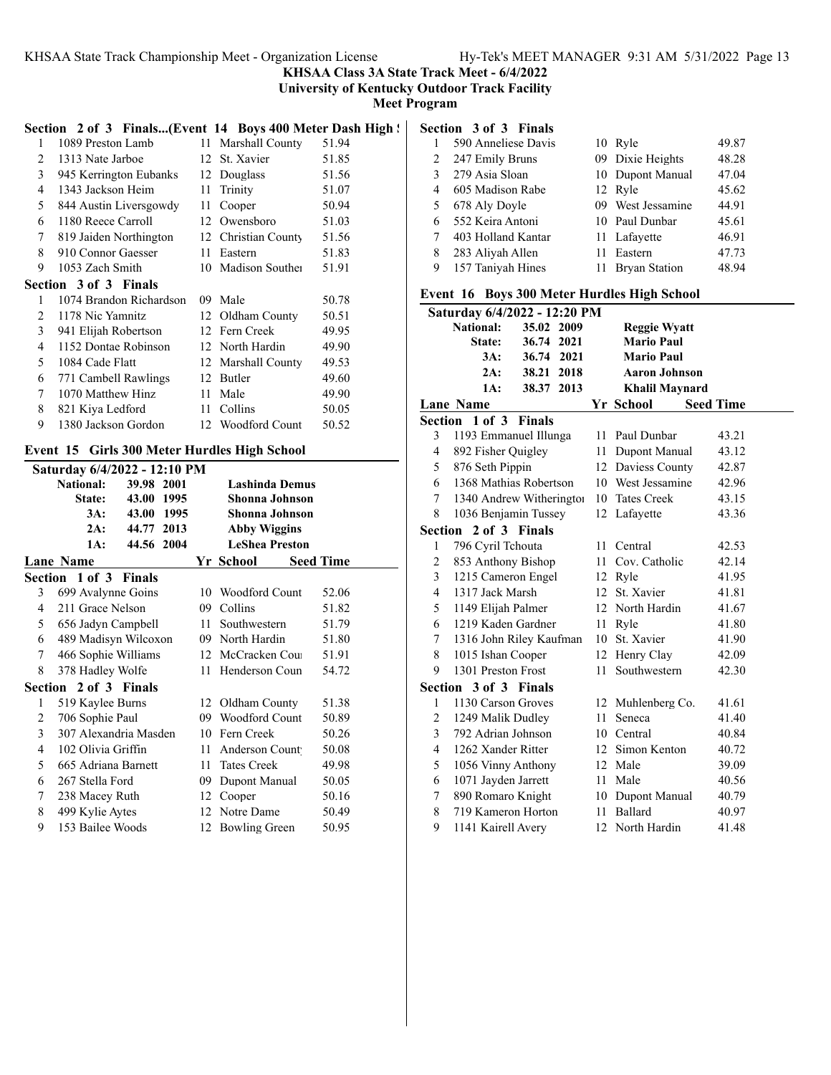**KHSAA Class 3A State Track Meet - 6/4/2022**

**University of Kentucky Outdoor Track Facility**

**Meet Program**

### Section 2 of 3 Finals...(Event 14 Boys 400 Meter Dash High ! **Section 3 of 3 Finals**

| 1              | 1089 Preston Lamb            | 11 | Marshall County   | 51.94 |
|----------------|------------------------------|----|-------------------|-------|
| 2              | 1313 Nate Jarboe             | 12 | St. Xavier        | 51.85 |
| 3              | 945 Kerrington Eubanks       | 12 | Douglass          | 51.56 |
| 4              | 1343 Jackson Heim            | 11 | Trinity           | 51.07 |
| 5              | 844 Austin Liversgowdy       | 11 | Cooper            | 50.94 |
| 6              | 1180 Reece Carroll           | 12 | Owensboro         | 51.03 |
| 7              | 819 Jaiden Northington       | 12 | Christian County  | 51.56 |
| 8              | 910 Connor Gaesser           | 11 | Eastern           | 51.83 |
| 9              | 1053 Zach Smith              | 10 | Madison Souther   | 51.91 |
|                | <b>Section 3 of 3 Finals</b> |    |                   |       |
|                |                              |    |                   |       |
| 1              | 1074 Brandon Richardson      | 09 | Male              | 50.78 |
| $\mathfrak{D}$ | 1178 Nic Yamnitz             | 12 | Oldham County     | 50.51 |
| 3              | 941 Elijah Robertson         | 12 | Fern Creek        | 49.95 |
| 4              | 1152 Dontae Robinson         |    | 12 North Hardin   | 49.90 |
| 5              | 1084 Cade Flatt              | 12 | Marshall County   | 49.53 |
| 6              | 771 Cambell Rawlings         | 12 | Butler            | 49.60 |
| 7              | 1070 Matthew Hinz            | 11 | Male              | 49.90 |
| 8              | 821 Kiya Ledford             | 11 | Collins           | 50.05 |
| 9              | 1380 Jackson Gordon          |    | 12 Woodford Count | 50.52 |

### **Event 15 Girls 300 Meter Hurdles High School**

| Saturday 6/4/2022 - 12:10 PM |                       |            |      |    |                       |  |                  |  |
|------------------------------|-----------------------|------------|------|----|-----------------------|--|------------------|--|
|                              | National:             | 39.98 2001 |      |    | <b>Lashinda Demus</b> |  |                  |  |
|                              | <b>State:</b>         | 43.00 1995 |      |    | Shonna Johnson        |  |                  |  |
|                              | 3A:                   | 43.00      | 1995 |    | Shonna Johnson        |  |                  |  |
|                              | 2A:                   | 44.77 2013 |      |    | <b>Abby Wiggins</b>   |  |                  |  |
|                              | 1A:                   | 44.56 2004 |      |    | <b>LeShea Preston</b> |  |                  |  |
|                              | Lane Name             |            |      |    | Yr School             |  | <b>Seed Time</b> |  |
|                              | Section 1 of 3 Finals |            |      |    |                       |  |                  |  |
| 3                            | 699 Avalynne Goins    |            |      | 10 | Woodford Count        |  | 52.06            |  |
| 4                            | 211 Grace Nelson      |            |      | 09 | Collins               |  | 51.82            |  |
| 5                            | 656 Jadyn Campbell    |            |      | 11 | Southwestern          |  | 51.79            |  |
| 6                            | 489 Madisyn Wilcoxon  |            |      |    | 09 North Hardin       |  | 51.80            |  |
| 7                            | 466 Sophie Williams   |            |      |    | 12 McCracken Cou      |  | 51.91            |  |
| 8                            | 378 Hadley Wolfe      |            |      | 11 | Henderson Coun        |  | 54.72            |  |
|                              | Section 2 of 3 Finals |            |      |    |                       |  |                  |  |
| 1                            | 519 Kaylee Burns      |            |      |    | 12 Oldham County      |  | 51.38            |  |
| 2                            | 706 Sophie Paul       |            |      |    | 09 Woodford Count     |  | 50.89            |  |
| 3                            | 307 Alexandria Masden |            |      |    | 10 Fern Creek         |  | 50.26            |  |
| 4                            | 102 Olivia Griffin    |            |      | 11 | Anderson Count        |  | 50.08            |  |
| 5                            | 665 Adriana Barnett   |            |      | 11 | <b>Tates Creek</b>    |  | 49.98            |  |
| 6                            | 267 Stella Ford       |            |      | 09 | Dupont Manual         |  | 50.05            |  |
| 7                            | 238 Macey Ruth        |            |      | 12 | Cooper                |  | 50.16            |  |
| 8                            | 499 Kylie Aytes       |            |      |    | 12 Notre Dame         |  | 50.49            |  |
| 9                            | 153 Bailee Woods      |            |      | 12 | <b>Bowling Green</b>  |  | 50.95            |  |
|                              |                       |            |      |    |                       |  |                  |  |

|   | 590 Anneliese Davis | 10 Ryle           | 49.87 |
|---|---------------------|-------------------|-------|
| 2 | 247 Emily Bruns     | 09 Dixie Heights  | 48.28 |
| 3 | 279 Asia Sloan      | 10 Dupont Manual  | 47.04 |
| 4 | 605 Madison Rabe    | 12 Ryle           | 45.62 |
| 5 | 678 Aly Doyle       | 09 West Jessamine | 44.91 |
| 6 | 552 Keira Antoni    | 10 Paul Dunbar    | 45.61 |
|   | 403 Holland Kantar  | 11 Lafayette      | 46.91 |
| 8 | 283 Aliyah Allen    | 11 Eastern        | 47.73 |
| 9 | 157 Taniyah Hines   | 11 Bryan Station  | 48.94 |

### **Event 16 Boys 300 Meter Hurdles High School**

|   | Saturday 6/4/2022 - 12:20 PM |               |      |      |                       |                  |
|---|------------------------------|---------------|------|------|-----------------------|------------------|
|   | <b>National:</b>             | 35.02 2009    |      |      | <b>Reggie Wyatt</b>   |                  |
|   | State:                       | 36.74 2021    |      |      | <b>Mario Paul</b>     |                  |
|   | 3A:                          | 36.74 2021    |      |      | <b>Mario Paul</b>     |                  |
|   | 2A:                          | 38.21         | 2018 |      | <b>Aaron Johnson</b>  |                  |
|   | 1A:                          | 38.37 2013    |      |      | <b>Khalil Maynard</b> |                  |
|   | <b>Lane Name</b>             |               |      |      | Yr School             | <b>Seed Time</b> |
|   | Section 1 of 3               | <b>Finals</b> |      |      |                       |                  |
| 3 | 1193 Emmanuel Illunga        |               |      | 11.  | Paul Dunbar           | 43.21            |
| 4 | 892 Fisher Quigley           |               |      |      | 11 Dupont Manual      | 43.12            |
| 5 | 876 Seth Pippin              |               |      |      | 12 Daviess County     | 42.87            |
| 6 | 1368 Mathias Robertson       |               |      |      | 10 West Jessamine     | 42.96            |
| 7 | 1340 Andrew Witheringtor     |               |      |      | 10 Tates Creek        | 43.15            |
| 8 | 1036 Benjamin Tussey         |               |      |      | 12 Lafayette          | 43.36            |
|   | Section 2 of 3 Finals        |               |      |      |                       |                  |
| 1 | 796 Cyril Tchouta            |               |      |      | 11 Central            | 42.53            |
| 2 | 853 Anthony Bishop           |               |      |      | 11 Cov. Catholic      | 42.14            |
| 3 | 1215 Cameron Engel           |               |      |      | 12 Ryle               | 41.95            |
| 4 | 1317 Jack Marsh              |               |      | 12   | St. Xavier            | 41.81            |
| 5 | 1149 Elijah Palmer           |               |      |      | 12 North Hardin       | 41.67            |
| 6 | 1219 Kaden Gardner           |               |      |      | 11 Ryle               | 41.80            |
| 7 | 1316 John Riley Kaufman      |               |      | 10   | St. Xavier            | 41.90            |
| 8 | 1015 Ishan Cooper            |               |      |      | 12 Henry Clay         | 42.09            |
| 9 | 1301 Preston Frost           |               |      | 11   | Southwestern          | 42.30            |
|   | Section 3 of 3 Finals        |               |      |      |                       |                  |
| 1 | 1130 Carson Groves           |               |      |      | 12 Muhlenberg Co.     | 41.61            |
| 2 | 1249 Malik Dudley            |               |      | 11   | Seneca                | 41.40            |
| 3 | 792 Adrian Johnson           |               |      | 10   | Central               | 40.84            |
| 4 | 1262 Xander Ritter           |               |      | 12   | Simon Kenton          | 40.72            |
| 5 | 1056 Vinny Anthony           |               |      |      | 12 Male               | 39.09            |
| 6 | 1071 Jayden Jarrett          |               |      |      | 11 Male               | 40.56            |
| 7 | 890 Romaro Knight            |               |      |      | 10 Dupont Manual      | 40.79            |
| 8 | 719 Kameron Horton           |               |      | 11 - | Ballard               | 40.97            |
| 9 | 1141 Kairell Avery           |               |      |      | 12 North Hardin       | 41.48            |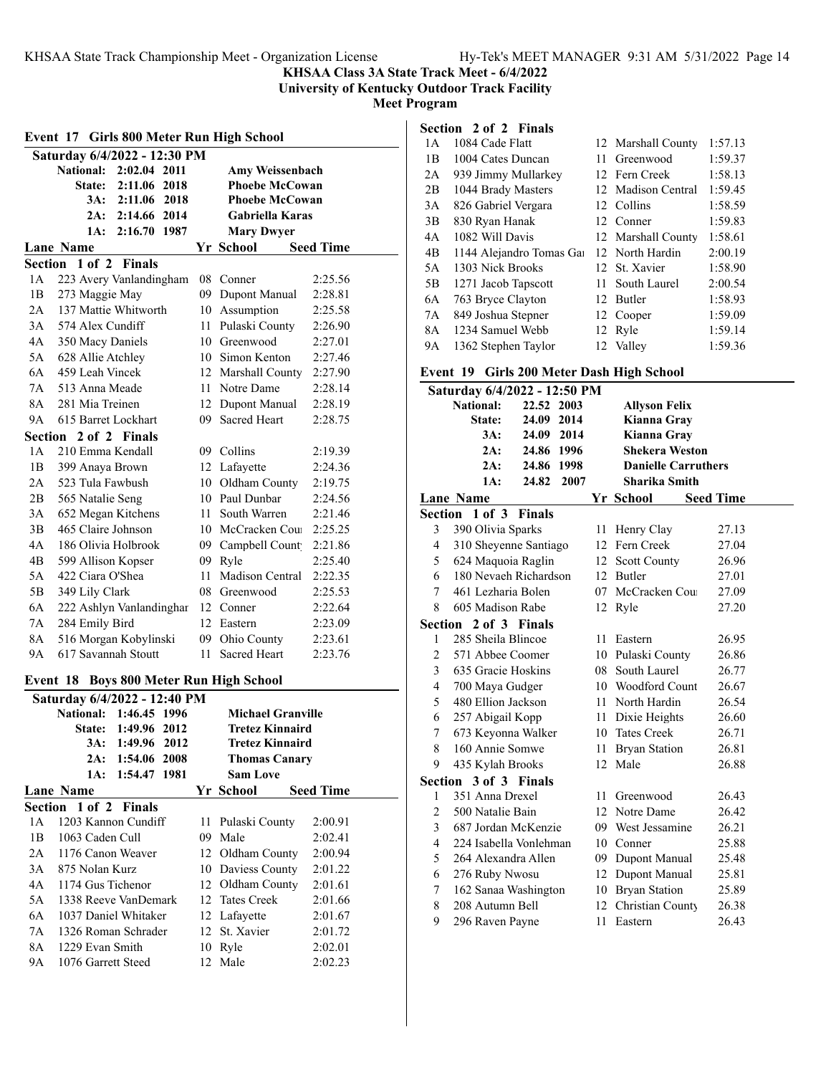**KHSAA Class 3A State Track Meet - 6/4/2022**

**University of Kentucky Outdoor Track Facility**

**Meet Program**

### **Event 17 Girls 800 Meter Run High School Saturday 6/4/2022 - 12:30 PM National: 2:02.04 2011 Amy Weissenbach State: 2:11.06 2018 Phoebe McCowan 3A: 2:11.06 2018 Phoebe McCowan 2A: 2:14.66 2014 Gabriella Karas 1A: 2:16.70 1987 Mary Dwyer Lane Name Seed Time** Seed Time **Section 1 of 2 Finals** 1A 223 Avery Vanlandingham 08 Conner 2:25.56 1B 273 Maggie May 09 Dupont Manual 2:28.81 2A 137 Mattie Whitworth 10 Assumption 2:25.58 3A 574 Alex Cundiff 11 Pulaski County 2:26.90 4A 350 Macy Daniels 10 Greenwood 2:27.01 5A 628 Allie Atchley 10 Simon Kenton 2:27.46 6A 459 Leah Vincek 12 Marshall County 2:27.90 7A 513 Anna Meade 11 Notre Dame 2:28.14 8A 281 Mia Treinen 12 Dupont Manual 2:28.19 9A 615 Barret Lockhart 09 Sacred Heart 2:28.75 **Section 2 of 2 Finals** 1A 210 Emma Kendall 09 Collins 2:19.39 1B 399 Anaya Brown 12 Lafayette 2:24.36 2A 523 Tula Fawbush 10 Oldham County 2:19.75 2B 565 Natalie Seng 10 Paul Dunbar 2:24.56 3A 652 Megan Kitchens 11 South Warren 2:21.46 3B 465 Claire Johnson 10 McCracken Cou 2:25.25 4A 186 Olivia Holbrook 09 Campbell Count 2:21.86 4B 599 Allison Kopser 09 Ryle 2:25.40 5A 422 Ciara O'Shea 11 Madison Central 2:22.35 5B 349 Lily Clark 08 Greenwood 2:25.53 6A 222 Ashlyn Vanlandingham 12 Conner 2:22.64 7A 284 Emily Bird 12 Eastern 2:23.09 8A 516 Morgan Kobylinski 09 Ohio County 2:23.61 9A 617 Savannah Stoutt 11 Sacred Heart 2:23.76 **Event 18 Boys 800 Meter Run High School Saturday 6/4/2022 - 12:40 PM National: 1:46.45 1996 Michael Granville State: 1:49.96 2012 Tretez Kinnaird 3A: 1:49.96 2012 Tretez Kinnaird 2A: 1:54.06 2008 Thomas Canary 1A: 1:54.47 1981 Sam Love Lane Name Seed Time Seed Time Section 1 of 2 Finals** 1A 1203 Kannon Cundiff 11 Pulaski County 2:00.91 1B 1063 Caden Cull 09 Male 2:02.41 2A 1176 Canon Weaver 12 Oldham County 2:00.94 3A 875 Nolan Kurz 10 Daviess County 2:01.22 4A 1174 Gus Tichenor 12 Oldham County 2:01.61 5A 1338 Reeve VanDemark 12 Tates Creek 2:01.66 6A 1037 Daniel Whitaker 12 Lafayette 2:01.67 7A 1326 Roman Schrader 12 St. Xavier 2:01.72 8A 1229 Evan Smith 10 Ryle 2:02.01 9A 1076 Garrett Steed 12 Male 2:02.23

| Section 2 of 2 Finals |                          |     |                    |         |  |  |  |  |
|-----------------------|--------------------------|-----|--------------------|---------|--|--|--|--|
| 1 A                   | 1084 Cade Flatt          |     | 12 Marshall County | 1:57.13 |  |  |  |  |
| 1 <sub>B</sub>        | 1004 Cates Duncan        | 11  | Greenwood          | 1:59.37 |  |  |  |  |
| 2A                    | 939 Jimmy Mullarkey      |     | 12 Fern Creek      | 1:58.13 |  |  |  |  |
| 2B                    | 1044 Brady Masters       |     | 12 Madison Central | 1:59.45 |  |  |  |  |
| 3A                    | 826 Gabriel Vergara      |     | 12 Collins         | 1:58.59 |  |  |  |  |
| 3B                    | 830 Ryan Hanak           |     | 12 Conner          | 1:59.83 |  |  |  |  |
| 4A                    | 1082 Will Davis          |     | 12 Marshall County | 1:58.61 |  |  |  |  |
| 4 <sub>B</sub>        | 1144 Alejandro Tomas Gai |     | 12 North Hardin    | 2:00.19 |  |  |  |  |
| 5A                    | 1303 Nick Brooks         |     | 12 St. Xavier      | 1:58.90 |  |  |  |  |
| 5B                    | 1271 Jacob Tapscott      | 11. | South Laurel       | 2:00.54 |  |  |  |  |
| 6A                    | 763 Bryce Clayton        |     | 12 Butler          | 1:58.93 |  |  |  |  |
| 7A                    | 849 Joshua Stepner       |     | 12 Cooper          | 1:59.09 |  |  |  |  |
| 8A                    | 1234 Samuel Webb         |     | 12 Ryle            | 1:59.14 |  |  |  |  |
| <b>9A</b>             | 1362 Stephen Taylor      |     | 12 Valley          | 1:59.36 |  |  |  |  |

### **Event 19 Girls 200 Meter Dash High School**

|                         | Saturday 6/4/2022 - 12:50 PM |            |      |    |                            |                  |  |
|-------------------------|------------------------------|------------|------|----|----------------------------|------------------|--|
|                         | <b>National:</b>             | 22.52 2003 |      |    | <b>Allyson Felix</b>       |                  |  |
|                         | State:                       | 24.09 2014 |      |    | Kianna Gray                |                  |  |
|                         | 3A:                          | 24.09 2014 |      |    | Kianna Gray                |                  |  |
|                         | 2A:                          | 24.86 1996 |      |    | <b>Shekera Weston</b>      |                  |  |
|                         | 2A:                          | 24.86 1998 |      |    | <b>Danielle Carruthers</b> |                  |  |
|                         | 1A:                          | 24.82      | 2007 |    | <b>Sharika Smith</b>       |                  |  |
|                         | Lane Name                    |            |      |    | Yr School                  | <b>Seed Time</b> |  |
|                         | Section 1 of 3 Finals        |            |      |    |                            |                  |  |
| 3                       | 390 Olivia Sparks            |            |      | 11 | Henry Clay                 | 27.13            |  |
| 4                       | 310 Sheyenne Santiago        |            |      |    | 12 Fern Creek              | 27.04            |  |
| 5                       | 624 Maquoia Raglin           |            |      |    | 12 Scott County            | 26.96            |  |
| 6                       | 180 Nevaeh Richardson        |            |      |    | 12 Butler                  | 27.01            |  |
| 7                       | 461 Lezharia Bolen           |            |      | 07 | McCracken Cou              | 27.09            |  |
| 8                       | 605 Madison Rabe             |            |      | 12 | Ryle                       | 27.20            |  |
|                         | Section 2 of 3 Finals        |            |      |    |                            |                  |  |
| $\mathbf{1}$            | 285 Sheila Blincoe           |            |      | 11 | Eastern                    | 26.95            |  |
| $\overline{\mathbf{c}}$ | 571 Abbee Coomer             |            |      |    | 10 Pulaski County          | 26.86            |  |
| 3                       | 635 Gracie Hoskins           |            |      |    | 08 South Laurel            | 26.77            |  |
| $\overline{4}$          | 700 Maya Gudger              |            |      |    | 10 Woodford Count          | 26.67            |  |
| 5                       | 480 Ellion Jackson           |            |      |    | 11 North Hardin            | 26.54            |  |
| 6                       | 257 Abigail Kopp             |            |      |    | 11 Dixie Heights           | 26.60            |  |
| 7                       | 673 Keyonna Walker           |            |      |    | 10 Tates Creek             | 26.71            |  |
| 8                       | 160 Annie Somwe              |            |      | 11 | <b>Bryan Station</b>       | 26.81            |  |
| 9                       | 435 Kylah Brooks             |            |      |    | 12 Male                    | 26.88            |  |
|                         | Section 3 of 3 Finals        |            |      |    |                            |                  |  |
| 1                       | 351 Anna Drexel              |            |      | 11 | Greenwood                  | 26.43            |  |
| 2                       | 500 Natalie Bain             |            |      | 12 | Notre Dame                 | 26.42            |  |
| 3                       | 687 Jordan McKenzie          |            |      | 09 | West Jessamine             | 26.21            |  |
| 4                       | 224 Isabella Vonlehman       |            |      |    | 10 Conner                  | 25.88            |  |
| 5                       | 264 Alexandra Allen          |            |      |    | 09 Dupont Manual           | 25.48            |  |
| 6                       | 276 Ruby Nwosu               |            |      |    | 12 Dupont Manual           | 25.81            |  |
| 7                       | 162 Sanaa Washington         |            |      |    | 10 Bryan Station           | 25.89            |  |
| 8                       | 208 Autumn Bell              |            |      | 12 | Christian County           | 26.38            |  |
| 9                       | 296 Raven Payne              |            |      | 11 | Eastern                    | 26.43            |  |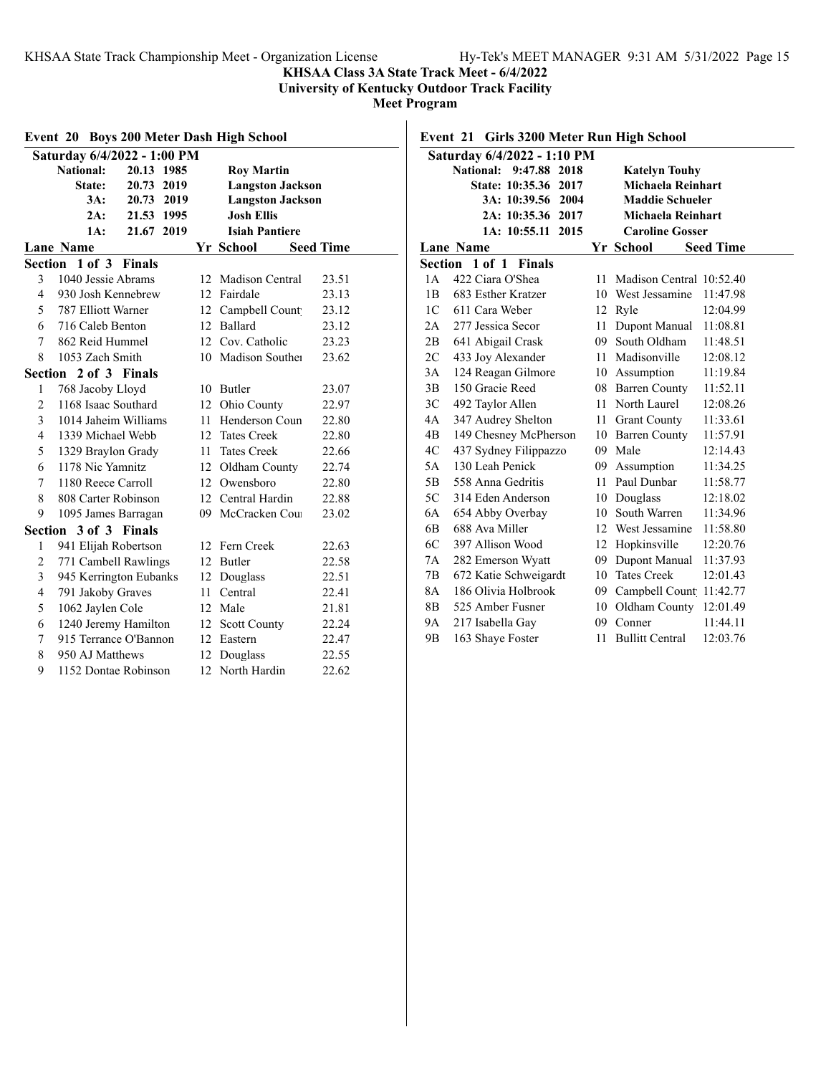### **KHSAA Class 3A State Track Meet - 6/4/2022**

**University of Kentucky Outdoor Track Facility**

**Meet Program**

| Event 20 Boys 200 Meter Dash High School |                                |     |                         |                  |  |  |  |  |
|------------------------------------------|--------------------------------|-----|-------------------------|------------------|--|--|--|--|
|                                          | Saturday 6/4/2022 - 1:00 PM    |     |                         |                  |  |  |  |  |
|                                          | <b>National:</b><br>20.13 1985 |     | <b>Roy Martin</b>       |                  |  |  |  |  |
|                                          | State:<br>20.73 2019           |     | <b>Langston Jackson</b> |                  |  |  |  |  |
|                                          | 3A:<br>20.73 2019              |     | <b>Langston Jackson</b> |                  |  |  |  |  |
|                                          | 2A:<br>21.53 1995              |     | <b>Josh Ellis</b>       |                  |  |  |  |  |
|                                          | 1A:<br>21.67 2019              |     | <b>Isiah Pantiere</b>   |                  |  |  |  |  |
|                                          | <b>Lane Name</b>               |     | Yr School               | <b>Seed Time</b> |  |  |  |  |
|                                          | Section 1 of 3 Finals          |     |                         |                  |  |  |  |  |
| 3                                        | 1040 Jessie Abrams             | 12  | Madison Central         | 23.51            |  |  |  |  |
| 4                                        | 930 Josh Kennebrew             |     | 12 Fairdale             | 23.13            |  |  |  |  |
| 5                                        | 787 Elliott Warner             | 12  | Campbell Count          | 23.12            |  |  |  |  |
| 6                                        | 716 Caleb Benton               | 12. | <b>Ballard</b>          | 23.12            |  |  |  |  |
| 7                                        | 862 Reid Hummel                | 12  | Cov. Catholic           | 23.23            |  |  |  |  |
| 8                                        | 1053 Zach Smith                |     | 10 Madison Souther      | 23.62            |  |  |  |  |
|                                          | Section 2 of 3 Finals          |     |                         |                  |  |  |  |  |
| 1                                        | 768 Jacoby Lloyd               |     | 10 Butler               | 23.07            |  |  |  |  |
| $\overline{2}$                           | 1168 Isaac Southard            |     | 12 Ohio County          | 22.97            |  |  |  |  |
| 3                                        | 1014 Jaheim Williams           |     | 11 Henderson Coun       | 22.80            |  |  |  |  |
| $\overline{4}$                           | 1339 Michael Webb              |     | 12 Tates Creek          | 22.80            |  |  |  |  |
| 5                                        | 1329 Braylon Grady             | 11  | <b>Tates Creek</b>      | 22.66            |  |  |  |  |
| 6                                        | 1178 Nic Yamnitz               | 12  | Oldham County           | 22.74            |  |  |  |  |
| 7                                        | 1180 Reece Carroll             | 12  | Owensboro               | 22.80            |  |  |  |  |
| 8                                        | 808 Carter Robinson            | 12  | Central Hardin          | 22.88            |  |  |  |  |
| 9                                        | 1095 James Barragan            | 09  | McCracken Cou           | 23.02            |  |  |  |  |
|                                          | Section 3 of 3 Finals          |     |                         |                  |  |  |  |  |
| 1                                        | 941 Elijah Robertson           |     | 12 Fern Creek           | 22.63            |  |  |  |  |
| $\overline{c}$                           | 771 Cambell Rawlings           |     | 12 Butler               | 22.58            |  |  |  |  |
| 3                                        | 945 Kerrington Eubanks         | 12  | Douglass                | 22.51            |  |  |  |  |
| $\overline{4}$                           | 791 Jakoby Graves              | 11  | Central                 | 22.41            |  |  |  |  |
| 5                                        | 1062 Jaylen Cole               | 12  | Male                    | 21.81            |  |  |  |  |
| 6                                        | 1240 Jeremy Hamilton           |     | 12 Scott County         | 22.24            |  |  |  |  |
| 7                                        | 915 Terrance O'Bannon          |     | 12 Eastern              | 22.47            |  |  |  |  |
| 8                                        | 950 AJ Matthews                |     | 12 Douglass             | 22.55            |  |  |  |  |
| 9                                        | 1152 Dontae Robinson           | 12. | North Hardin            | 22.62            |  |  |  |  |

### **Event 21 Girls 3200 Meter Run High School**

| Saturday 6/4/2022 - 1:10 PM                       |                                 |    |                          |                  |  |  |  |  |
|---------------------------------------------------|---------------------------------|----|--------------------------|------------------|--|--|--|--|
| 9:47.88 2018<br>National:<br><b>Katelyn Touhy</b> |                                 |    |                          |                  |  |  |  |  |
|                                                   | State: 10:35.36 2017            |    | Michaela Reinhart        |                  |  |  |  |  |
|                                                   | 3A: 10:39.56 2004               |    | <b>Maddie Schueler</b>   |                  |  |  |  |  |
|                                                   | 2A: 10:35.36 2017               |    | <b>Michaela Reinhart</b> |                  |  |  |  |  |
|                                                   | 1A: 10:55.11<br>2015            |    | <b>Caroline Gosser</b>   |                  |  |  |  |  |
|                                                   | <b>Lane Name</b>                |    | Yr School                | <b>Seed Time</b> |  |  |  |  |
|                                                   | Section 1 of 1<br><b>Finals</b> |    |                          |                  |  |  |  |  |
| 1 A                                               | 422 Ciara O'Shea                | 11 | Madison Central 10:52.40 |                  |  |  |  |  |
| 1B                                                | 683 Esther Kratzer              | 10 | West Jessamine           | 11:47.98         |  |  |  |  |
| 1 <sup>C</sup>                                    | 611 Cara Weber                  | 12 | Ryle                     | 12:04.99         |  |  |  |  |
| 2A                                                | 277 Jessica Secor               | 11 | Dupont Manual            | 11:08.81         |  |  |  |  |
| 2B                                                | 641 Abigail Crask               |    | 09 South Oldham          | 11:48.51         |  |  |  |  |
| 2C                                                | 433 Joy Alexander               |    | 11 Madisonville          | 12:08.12         |  |  |  |  |
| 3A                                                | 124 Reagan Gilmore              |    | 10 Assumption            | 11:19.84         |  |  |  |  |
| 3B                                                | 150 Gracie Reed                 |    | 08 Barren County         | 11:52.11         |  |  |  |  |
| 3C                                                | 492 Taylor Allen                | 11 | North Laurel             | 12:08.26         |  |  |  |  |
| 4A                                                | 347 Audrey Shelton              |    | 11 Grant County          | 11:33.61         |  |  |  |  |
| 4B                                                | 149 Chesney McPherson           |    | 10 Barren County         | 11:57.91         |  |  |  |  |
| 4C                                                | 437 Sydney Filippazzo           |    | 09 Male                  | 12:14.43         |  |  |  |  |
| 5A                                                | 130 Leah Penick                 |    | 09 Assumption            | 11:34.25         |  |  |  |  |
| 5B                                                | 558 Anna Gedritis               | 11 | Paul Dunbar              | 11:58.77         |  |  |  |  |
| 5C                                                | 314 Eden Anderson               | 10 | Douglass                 | 12:18.02         |  |  |  |  |
| 6A                                                | 654 Abby Overbay                | 10 | South Warren             | 11:34.96         |  |  |  |  |
| 6 <sub>B</sub>                                    | 688 Ava Miller                  |    | 12 West Jessamine        | 11:58.80         |  |  |  |  |
| 6C                                                | 397 Allison Wood                |    | 12 Hopkinsville          | 12:20.76         |  |  |  |  |
| 7Α                                                | 282 Emerson Wyatt               |    | 09 Dupont Manual         | 11:37.93         |  |  |  |  |
| 7B                                                | 672 Katie Schweigardt           |    | 10 Tates Creek           | 12:01.43         |  |  |  |  |
| 8A                                                | 186 Olivia Holbrook             | 09 | Campbell Count           | 11:42.77         |  |  |  |  |
| 8B                                                | 525 Amber Fusner                | 10 | Oldham County            | 12:01.49         |  |  |  |  |
| 9A                                                | 217 Isabella Gay                | 09 | Conner                   | 11:44.11         |  |  |  |  |
| 9Β                                                | 163 Shaye Foster                | 11 | <b>Bullitt Central</b>   | 12:03.76         |  |  |  |  |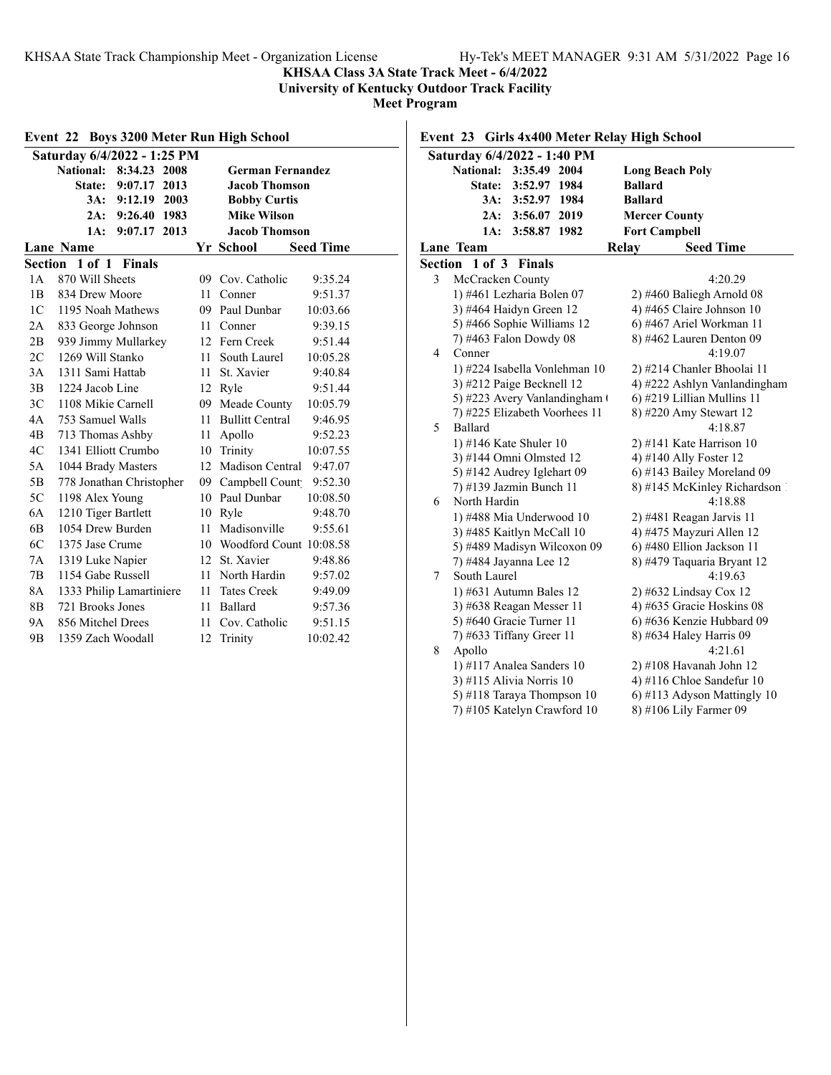**KHSAA Class 3A State Track Meet - 6/4/2022**

**University of Kentucky Outdoor Track Facility**

| Event 22 Boys 3200 Meter Run High School |                             |                  |      |    |                            |                  |  |
|------------------------------------------|-----------------------------|------------------|------|----|----------------------------|------------------|--|
|                                          | Saturday 6/4/2022 - 1:25 PM |                  |      |    |                            |                  |  |
|                                          | <b>National: 8:34.23</b>    |                  | 2008 |    | <b>German Fernandez</b>    |                  |  |
|                                          |                             | State: 9:07.17   | 2013 |    | <b>Jacob Thomson</b>       |                  |  |
|                                          |                             | 3A: 9:12.19 2003 |      |    | <b>Bobby Curtis</b>        |                  |  |
|                                          | 2A:                         | 9:26.40 1983     |      |    | <b>Mike Wilson</b>         |                  |  |
|                                          | 1A:                         | 9:07.17          | 2013 |    | <b>Jacob Thomson</b>       |                  |  |
|                                          | <b>Lane Name</b>            |                  |      |    | Yr School                  | <b>Seed Time</b> |  |
|                                          | Section 1 of 1 Finals       |                  |      |    |                            |                  |  |
| 1A                                       | 870 Will Sheets             |                  |      | 09 | Cov. Catholic              | 9:35.24          |  |
| 1B                                       | 834 Drew Moore              |                  |      | 11 | Conner                     | 9:51.37          |  |
| 1 <sup>C</sup>                           | 1195 Noah Mathews           |                  |      |    | 09 Paul Dunbar             | 10:03.66         |  |
| 2A                                       | 833 George Johnson          |                  |      | 11 | Conner                     | 9:39.15          |  |
| 2B                                       | 939 Jimmy Mullarkey         |                  |      | 12 | Fern Creek                 | 9:51.44          |  |
| 2C                                       | 1269 Will Stanko            |                  |      | 11 | South Laurel               | 10:05.28         |  |
| 3A                                       | 1311 Sami Hattab            |                  |      | 11 | St. Xavier                 | 9:40.84          |  |
| 3B                                       | 1224 Jacob Line             |                  |      |    | 12 Ryle                    | 9:51.44          |  |
| 3C                                       | 1108 Mikie Carnell          |                  |      | 09 | Meade County               | 10:05.79         |  |
| 4A                                       | 753 Samuel Walls            |                  |      | 11 | <b>Bullitt Central</b>     | 9:46.95          |  |
| 4B                                       | 713 Thomas Ashby            |                  |      | 11 | Apollo                     | 9:52.23          |  |
| 4C                                       | 1341 Elliott Crumbo         |                  |      | 10 | Trinity                    | 10:07.55         |  |
| 5A                                       | 1044 Brady Masters          |                  |      | 12 | Madison Central            | 9:47.07          |  |
| 5B                                       | 778 Jonathan Christopher    |                  |      | 09 | Campbell Count             | 9:52.30          |  |
| 5C                                       | 1198 Alex Young             |                  |      |    | 10 Paul Dunbar             | 10:08.50         |  |
| 6A                                       | 1210 Tiger Bartlett         |                  |      | 10 | Ryle                       | 9:48.70          |  |
| 6 <sub>B</sub>                           | 1054 Drew Burden            |                  |      | 11 | Madisonville               | 9:55.61          |  |
| 6C                                       | 1375 Jase Crume             |                  |      |    | 10 Woodford Count 10:08.58 |                  |  |
| 7A                                       | 1319 Luke Napier            |                  |      |    | 12 St. Xavier              | 9:48.86          |  |
| 7B                                       | 1154 Gabe Russell           |                  |      |    | 11 North Hardin            | 9:57.02          |  |
| 8A                                       | 1333 Philip Lamartiniere    |                  |      | 11 | <b>Tates Creek</b>         | 9:49.09          |  |
| 8B                                       | 721 Brooks Jones            |                  |      | 11 | Ballard                    | 9:57.36          |  |
| 9Α                                       | 856 Mitchel Drees           |                  |      | 11 | Cov. Catholic              | 9:51.15          |  |
| 9 <sub>B</sub>                           | 1359 Zach Woodall           |                  |      | 12 | Trinity                    | 10:02.42         |  |

| Saturday 6/4/2022 - 1:40 PM |                               |                     |      |                |                               |  |
|-----------------------------|-------------------------------|---------------------|------|----------------|-------------------------------|--|
|                             | <b>National:</b>              | 3:35.49 2004        |      |                | <b>Long Beach Poly</b>        |  |
|                             |                               | State: 3:52.97 1984 |      | <b>Ballard</b> |                               |  |
|                             |                               | 3A: 3:52.97 1984    |      | <b>Ballard</b> |                               |  |
|                             |                               | 2A: 3:56.07         | 2019 |                | <b>Mercer County</b>          |  |
|                             | 1A:                           | 3:58.87             | 1982 |                | <b>Fort Campbell</b>          |  |
|                             | Lane Team                     |                     |      | Relay          | <b>Seed Time</b>              |  |
| Section                     | 1 of 3                        | <b>Finals</b>       |      |                |                               |  |
| 3                           | McCracken County              |                     |      |                | 4:20.29                       |  |
|                             | 1) #461 Lezharia Bolen 07     |                     |      |                | $2)$ #460 Baliegh Arnold 08   |  |
|                             | 3) #464 Haidyn Green 12       |                     |      |                | 4) #465 Claire Johnson 10     |  |
|                             | 5) #466 Sophie Williams 12    |                     |      |                | 6) #467 Ariel Workman 11      |  |
|                             | 7) #463 Falon Dowdy 08        |                     |      |                | $8)$ #462 Lauren Denton 09    |  |
| $\overline{4}$              | Conner                        |                     |      |                | 4:19.07                       |  |
|                             | 1) #224 Isabella Vonlehman 10 |                     |      |                | 2) #214 Chanler Bhoolai 11    |  |
|                             | 3) #212 Paige Becknell 12     |                     |      |                | 4) #222 Ashlyn Vanlandingham  |  |
|                             | 5) #223 Avery Vanlandingham ( |                     |      |                | 6) #219 Lillian Mullins 11    |  |
|                             | 7) #225 Elizabeth Voorhees 11 |                     |      |                | 8) #220 Amy Stewart 12        |  |
| 5                           | Ballard                       |                     |      |                | 4:18.87                       |  |
|                             | 1) #146 Kate Shuler 10        |                     |      |                | 2) #141 Kate Harrison 10      |  |
|                             | 3) #144 Omni Olmsted 12       |                     |      |                | 4) #140 Ally Foster 12        |  |
|                             | 5) #142 Audrey Iglehart 09    |                     |      |                | 6) #143 Bailey Moreland 09    |  |
|                             | 7) #139 Jazmin Bunch 11       |                     |      |                | 8) #145 McKinley Richardson 1 |  |
| 6                           | North Hardin                  |                     |      |                | 4:18.88                       |  |
|                             | 1) #488 Mia Underwood 10      |                     |      |                | 2) #481 Reagan Jarvis 11      |  |
|                             | 3) #485 Kaitlyn McCall 10     |                     |      |                | 4) #475 Mayzuri Allen 12      |  |
|                             | 5) #489 Madisyn Wilcoxon 09   |                     |      |                | 6) #480 Ellion Jackson 11     |  |
|                             | 7) #484 Jayanna Lee 12        |                     |      |                | 8) #479 Taquaria Bryant 12    |  |
| 7                           | South Laurel                  |                     |      |                | 4:19.63                       |  |
|                             | 1) #631 Autumn Bales 12       |                     |      |                | 2) #632 Lindsay Cox 12        |  |
|                             | 3) #638 Reagan Messer 11      |                     |      |                | 4) #635 Gracie Hoskins 08     |  |
|                             | 5) #640 Gracie Turner 11      |                     |      |                | 6) #636 Kenzie Hubbard 09     |  |
|                             | 7) #633 Tiffany Greer 11      |                     |      |                | 8) #634 Haley Harris 09       |  |
| 8                           | Apollo                        |                     |      |                | 4:21.61                       |  |
|                             | 1) #117 Analea Sanders $10$   |                     |      |                | $2)$ #108 Havanah John 12     |  |
|                             | 3) #115 Alivia Norris 10      |                     |      |                | 4) #116 Chloe Sandefur 10     |  |
|                             | 5) #118 Taraya Thompson 10    |                     |      |                | 6) #113 Adyson Mattingly 10   |  |
|                             | 7) #105 Katelyn Crawford 10   |                     |      |                | 8) #106 Lily Farmer 09        |  |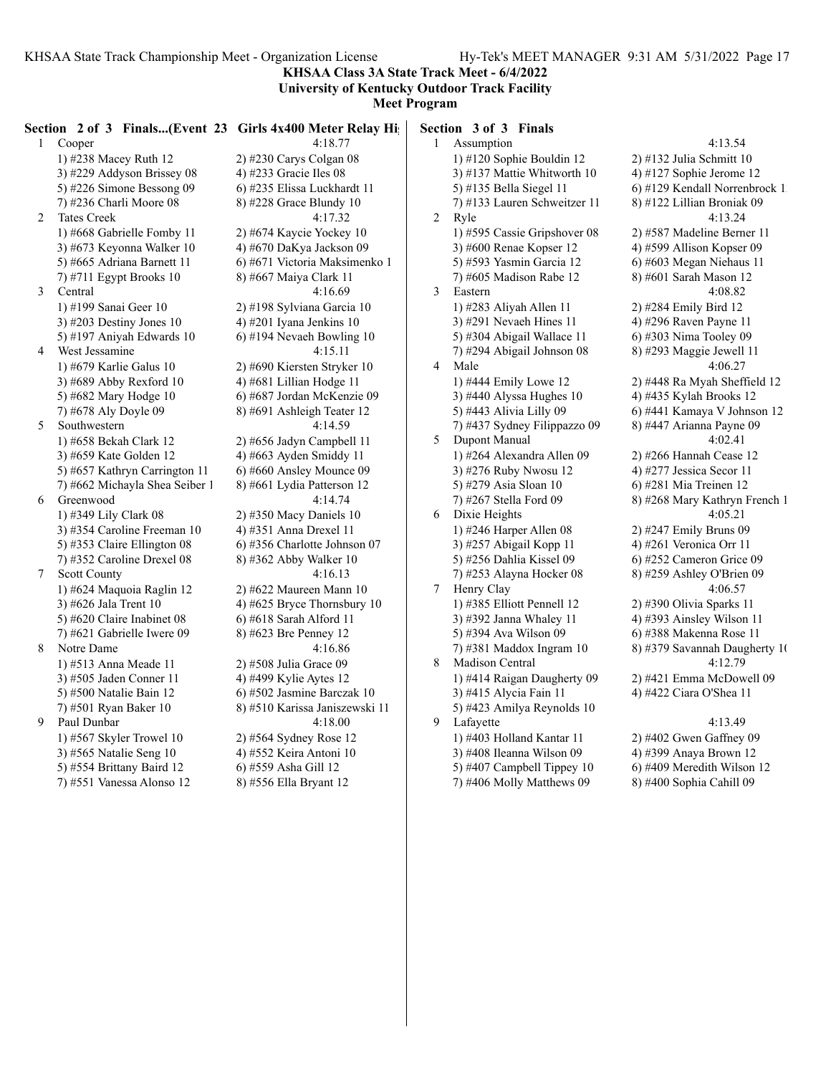**KHSAA Class 3A State Track Meet - 6/4/2022 University of Kentucky Outdoor Track Facility**

|   | Section 2 of 3 Finals(Event 23 Girls 4x400 Meter Relay High |                                | Section 3 of 3 Finals        |                               |
|---|-------------------------------------------------------------|--------------------------------|------------------------------|-------------------------------|
|   | 1 Cooper                                                    | 4:18.77                        | 1 Assumption                 | 4:13.54                       |
|   | 1) #238 Macey Ruth 12                                       | 2) #230 Carys Colgan 08        | 1) #120 Sophie Bouldin 12    | 2) #132 Julia Schmitt 10      |
|   | 3) #229 Addyson Brissey 08                                  | 4) #233 Gracie Iles 08         | 3) #137 Mattie Whitworth 10  | 4) #127 Sophie Jerome 12      |
|   | 5) #226 Simone Bessong 09                                   | 6) #235 Elissa Luckhardt 11    | 5) #135 Bella Siegel 11      | 6) #129 Kendall Norrenbrock 1 |
|   | 7) #236 Charli Moore 08                                     | 8) #228 Grace Blundy 10        | 7) #133 Lauren Schweitzer 11 | 8) #122 Lillian Broniak 09    |
| 2 | <b>Tates Creek</b>                                          | 4:17.32                        | 2 Ryle                       | 4:13.24                       |
|   | 1) #668 Gabrielle Fomby 11                                  | 2) #674 Kaycie Yockey 10       | 1) #595 Cassie Gripshover 08 | 2) #587 Madeline Berner 11    |
|   | 3) #673 Keyonna Walker 10                                   | 4) #670 DaKya Jackson 09       | 3) #600 Renae Kopser 12      | 4) #599 Allison Kopser 09     |
|   | 5) #665 Adriana Barnett 11                                  | 6) #671 Victoria Maksimenko 1  | 5) #593 Yasmin Garcia 12     | $6$ ) #603 Megan Niehaus 11   |
|   | 7) #711 Egypt Brooks 10                                     | 8) #667 Maiya Clark 11         | 7) #605 Madison Rabe 12      | 8) #601 Sarah Mason 12        |
| 3 | Central                                                     | 4:16.69                        | 3<br>Eastern                 | 4:08.82                       |
|   | 1) #199 Sanai Geer 10                                       | 2) #198 Sylviana Garcia 10     | 1) #283 Aliyah Allen 11      | 2) #284 Emily Bird 12         |
|   | 3) #203 Destiny Jones $10$                                  | 4) #201 Iyana Jenkins 10       | 3) #291 Nevaeh Hines 11      | 4) #296 Raven Payne 11        |
|   | 5) #197 Aniyah Edwards 10                                   | 6) #194 Nevaeh Bowling 10      | 5) #304 Abigail Wallace 11   | 6) #303 Nima Tooley 09        |
| 4 | West Jessamine                                              | 4:15.11                        | 7) #294 Abigail Johnson 08   | 8) #293 Maggie Jewell 11      |
|   | 1) #679 Karlie Galus 10                                     | 2) #690 Kiersten Stryker 10    | 4<br>Male                    | 4:06.27                       |
|   | 3) #689 Abby Rexford 10                                     | 4) #681 Lillian Hodge 11       | 1) #444 Emily Lowe 12        | 2) #448 Ra Myah Sheffield 12  |
|   | 5) #682 Mary Hodge 10                                       | 6) #687 Jordan McKenzie 09     | 3) #440 Alyssa Hughes 10     | 4) #435 Kylah Brooks 12       |
|   | 7) #678 Aly Doyle 09                                        | 8) #691 Ashleigh Teater 12     | 5) #443 Alivia Lilly 09      | 6) #441 Kamaya V Johnson 12   |
| 5 | Southwestern                                                | 4:14.59                        | 7) #437 Sydney Filippazzo 09 | 8) #447 Arianna Payne 09      |
|   | 1) #658 Bekah Clark 12                                      | 2) #656 Jadyn Campbell 11      | 5<br>Dupont Manual           | 4:02.41                       |
|   | 3) #659 Kate Golden 12                                      | 4) #663 Ayden Smiddy 11        | 1) #264 Alexandra Allen 09   | 2) #266 Hannah Cease 12       |
|   | 5) #657 Kathryn Carrington 11                               | 6) #660 Ansley Mounce 09       | 3) #276 Ruby Nwosu 12        | 4) #277 Jessica Secor 11      |
|   | 7) #662 Michayla Shea Seiber 1                              | 8) #661 Lydia Patterson 12     | 5) #279 Asia Sloan 10        | 6) #281 Mia Treinen 12        |
| 6 | Greenwood                                                   | 4:14.74                        | 7) #267 Stella Ford 09       | 8) #268 Mary Kathryn French 1 |
|   | 1) #349 Lily Clark 08                                       | $2)$ #350 Macy Daniels 10      | 6<br>Dixie Heights           | 4:05.21                       |
|   | 3) #354 Caroline Freeman 10                                 | 4) #351 Anna Drexel 11         | 1) #246 Harper Allen $08$    | 2) #247 Emily Bruns 09        |
|   | 5) #353 Claire Ellington 08                                 | 6) #356 Charlotte Johnson 07   | 3) #257 Abigail Kopp 11      | 4) #261 Veronica Orr 11       |
|   | 7) #352 Caroline Drexel 08                                  | 8) #362 Abby Walker 10         | 5) #256 Dahlia Kissel 09     | 6) #252 Cameron Grice 09      |
| 7 | <b>Scott County</b>                                         | 4:16.13                        | 7) #253 Alayna Hocker 08     | 8) #259 Ashley O'Brien 09     |
|   | 1) #624 Maquoia Raglin 12                                   | 2) #622 Maureen Mann 10        | 7 Henry Clay                 | 4:06.57                       |
|   | 3) #626 Jala Trent 10                                       | 4) #625 Bryce Thornsbury 10    | 1) #385 Elliott Pennell 12   | 2) #390 Olivia Sparks 11      |
|   | 5) #620 Claire Inabinet 08                                  | 6) #618 Sarah Alford 11        | 3) #392 Janna Whaley 11      | 4) #393 Ainsley Wilson 11     |
|   | 7) #621 Gabrielle Iwere 09                                  | 8) #623 Bre Penney 12          | 5) #394 Ava Wilson 09        | 6) #388 Makenna Rose 11       |
| 8 | Notre Dame                                                  | 4:16.86                        | 7) #381 Maddox Ingram 10     | 8) #379 Savannah Daugherty 10 |
|   | 1) #513 Anna Meade 11                                       | 2) #508 Julia Grace 09         | 8<br>Madison Central         | 4:12.79                       |
|   | 3) #505 Jaden Conner 11                                     | 4) #499 Kylie Aytes 12         | 1) #414 Raigan Daugherty 09  | 2) #421 Emma McDowell 09      |
|   | 5) #500 Natalie Bain 12                                     | 6) #502 Jasmine Barczak 10     | 3) #415 Alycia Fain 11       | 4) #422 Ciara O'Shea 11       |
|   | 7) #501 Ryan Baker 10                                       | 8) #510 Karissa Janiszewski 11 | 5) #423 Amilya Reynolds 10   |                               |
| 9 | Paul Dunbar                                                 | 4:18.00                        | 9 Lafayette                  | 4:13.49                       |
|   | 1) #567 Skyler Trowel $10$                                  | 2) #564 Sydney Rose 12         | 1) #403 Holland Kantar 11    | $2)$ #402 Gwen Gaffney 09     |
|   | 3) #565 Natalie Seng 10                                     | 4) #552 Keira Antoni 10        | 3) #408 Ileanna Wilson 09    | 4) #399 Anaya Brown 12        |
|   | 5) #554 Brittany Baird 12                                   | 6) #559 Asha Gill 12           | 5) #407 Campbell Tippey $10$ | 6) #409 Meredith Wilson 12    |
|   | 7) #551 Vanessa Alonso 12                                   | 8) #556 Ella Bryant 12         | 7) #406 Molly Matthews 09    | 8) #400 Sophia Cahill 09      |
|   |                                                             |                                |                              |                               |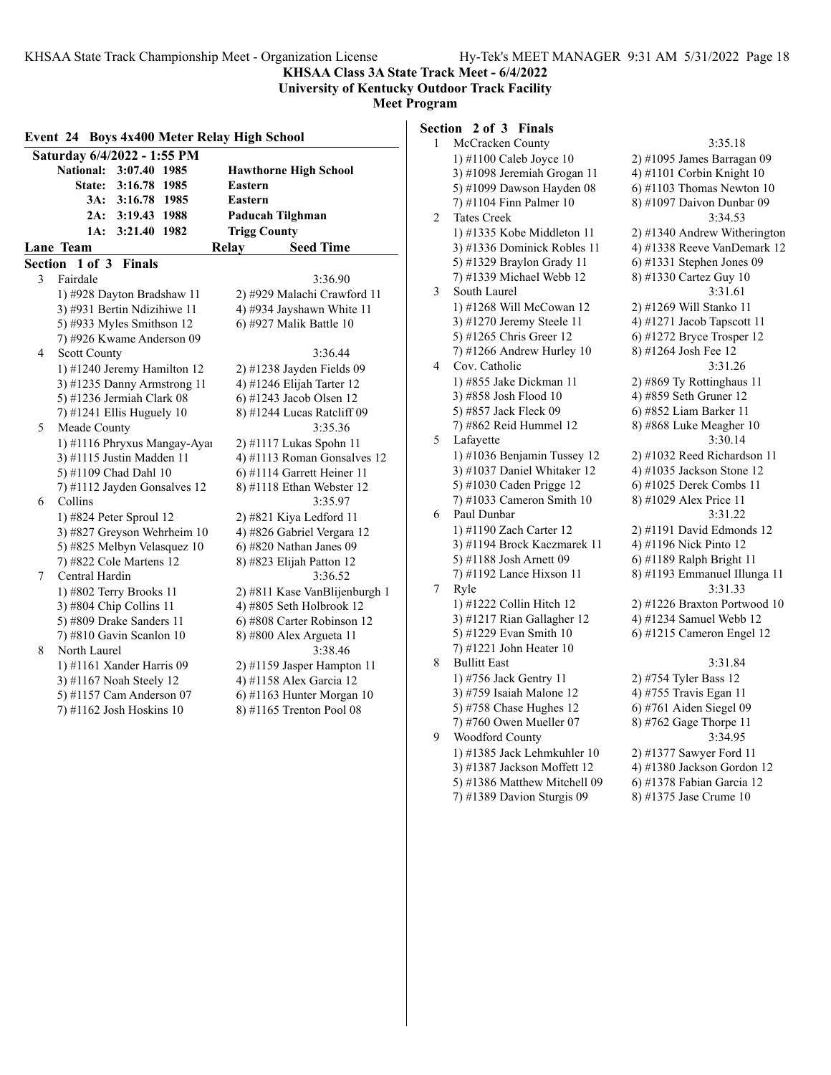**KHSAA Class 3A State Track Meet - 6/4/2022 University of Kentucky Outdoor Track Facility**

### **Meet Program**

| Event 24 Boys 4x400 Meter Relay High School |                               | ື້ |
|---------------------------------------------|-------------------------------|----|
| Saturday 6/4/2022 - 1:55 PM                 |                               |    |
| <b>National:</b><br>3:07.40 1985            | <b>Hawthorne High School</b>  |    |
| 3:16.78 1985<br><b>State:</b>               | <b>Eastern</b>                |    |
| 3A:<br>3:16.78 1985                         | <b>Eastern</b>                |    |
| 3:19.43 1988<br>2A:                         | Paducah Tilghman              |    |
| 3:21.40 1982<br>1A:                         | <b>Trigg County</b>           |    |
| Lane Team                                   | <b>Seed Time</b><br>Relay     |    |
| Section 1 of 3 Finals                       |                               |    |
| 3<br>Fairdale                               | 3:36.90                       |    |
| 1) #928 Dayton Bradshaw 11                  | 2) #929 Malachi Crawford 11   |    |
| 3) #931 Bertin Ndizihiwe 11                 | 4) #934 Jayshawn White 11     |    |
| 5) #933 Myles Smithson 12                   | 6) #927 Malik Battle 10       |    |
| 7) #926 Kwame Anderson 09                   |                               |    |
| 4<br><b>Scott County</b>                    | 3:36.44                       |    |
| 1) #1240 Jeremy Hamilton 12                 | 2) #1238 Jayden Fields 09     |    |
| 3) #1235 Danny Armstrong 11                 | 4) #1246 Elijah Tarter 12     |    |
| 5) #1236 Jermiah Clark 08                   | 6) #1243 Jacob Olsen 12       |    |
| 7) #1241 Ellis Huguely $10$                 | 8) #1244 Lucas Ratcliff 09    |    |
| 5<br>Meade County                           | 3:35.36                       |    |
| 1) #1116 Phryxus Mangay-Ayar                | 2) #1117 Lukas Spohn 11       |    |
| 3) #1115 Justin Madden 11                   | 4) #1113 Roman Gonsalves 12   |    |
| 5) #1109 Chad Dahl 10                       | 6) #1114 Garrett Heiner 11    |    |
| 7) #1112 Jayden Gonsalves 12                | 8) #1118 Ethan Webster 12     |    |
| Collins<br>6                                | 3:35.97                       |    |
| 1) #824 Peter Sproul 12                     | $2)$ #821 Kiya Ledford 11     |    |
| 3) #827 Greyson Wehrheim 10                 | 4) #826 Gabriel Vergara 12    |    |
| 5) #825 Melbyn Velasquez 10                 | $6$ ) #820 Nathan Janes 09    |    |
| 7) #822 Cole Martens 12                     | 8) #823 Elijah Patton 12      |    |
| Central Hardin<br>7                         | 3:36.52                       |    |
| 1) #802 Terry Brooks 11                     | 2) #811 Kase VanBlijenburgh 1 |    |
| 3) #804 Chip Collins 11                     | 4) #805 Seth Holbrook 12      |    |
| 5) #809 Drake Sanders 11                    | 6) #808 Carter Robinson 12    |    |
| 7) #810 Gavin Scanlon 10                    | 8) #800 Alex Argueta 11       |    |
| North Laurel<br>8                           | 3:38.46                       |    |
| 1) #1161 Xander Harris 09                   | 2) #1159 Jasper Hampton 11    |    |
| 3) #1167 Noah Steely 12                     | 4) #1158 Alex Garcia 12       |    |
| 5) #1157 Cam Anderson 07                    | 6) #1163 Hunter Morgan $10$   |    |
| 7) #1162 Josh Hoskins 10                    | 8) #1165 Trenton Pool 08      |    |
|                                             |                               |    |

# **Section 2 of 3 Finals**

| 1 | McCracken County             | 3:35.18                      |
|---|------------------------------|------------------------------|
|   | 1) #1100 Caleb Joyce 10      | 2) #1095 James Barragan 09   |
|   | 3) #1098 Jeremiah Grogan 11  | 4) #1101 Corbin Knight 10    |
|   | 5) #1099 Dawson Hayden 08    | $6)$ #1103 Thomas Newton 10  |
|   | 7) #1104 Finn Palmer 10      | 8) #1097 Daivon Dunbar 09    |
| 2 | <b>Tates Creek</b>           | 3:34.53                      |
|   | 1) #1335 Kobe Middleton 11   | 2) #1340 Andrew Witherington |
|   | 3) #1336 Dominick Robles 11  | 4) #1338 Reeve VanDemark 12  |
|   | 5) #1329 Braylon Grady 11    | $6)$ #1331 Stephen Jones 09  |
|   | 7) #1339 Michael Webb 12     | 8) #1330 Cartez Guy 10       |
| 3 | South Laurel                 | 3:31.61                      |
|   | 1) #1268 Will McCowan 12     | 2) #1269 Will Stanko 11      |
|   | 3) #1270 Jeremy Steele 11    | 4) #1271 Jacob Tapscott 11   |
|   | 5) #1265 Chris Greer 12      | 6) #1272 Bryce Trosper 12    |
|   | 7) #1266 Andrew Hurley 10    | 8) #1264 Josh Fee 12         |
| 4 | Cov. Catholic                | 3:31.26                      |
|   | 1) #855 Jake Dickman 11      | 2) #869 Ty Rottinghaus 11    |
|   | 3) #858 Josh Flood 10        | 4) #859 Seth Gruner 12       |
|   | 5) #857 Jack Fleck 09        | 6) #852 Liam Barker 11       |
|   | 7) #862 Reid Hummel 12       | 8) #868 Luke Meagher 10      |
| 5 | Lafayette                    | 3:30.14                      |
|   | 1) #1036 Benjamin Tussey 12  | 2) #1032 Reed Richardson 11  |
|   | 3) #1037 Daniel Whitaker 12  | 4) #1035 Jackson Stone 12    |
|   | 5) #1030 Caden Prigge 12     | 6) #1025 Derek Combs 11      |
|   | $(7)$ #1033 Cameron Smith 10 | 8) #1029 Alex Price 11       |
| 6 | Paul Dunbar                  | 3:31.22                      |
|   | 1) #1190 Zach Carter 12      | 2) #1191 David Edmonds 12    |
|   | 3) #1194 Brock Kaczmarek 11  | 4) #1196 Nick Pinto 12       |
|   | 5) #1188 Josh Arnett 09      | 6) #1189 Ralph Bright 11     |
|   | 7) #1192 Lance Hixson 11     | 8) #1193 Emmanuel Illunga 11 |
| 7 | Ryle                         | 3:31.33                      |
|   | 1) #1222 Collin Hitch 12     | 2) #1226 Braxton Portwood 10 |
|   | 3) #1217 Rian Gallagher 12   | 4) #1234 Samuel Webb 12      |
|   | 5) #1229 Evan Smith 10       | 6) #1215 Cameron Engel 12    |
|   | 7) #1221 John Heater 10      |                              |
| 8 | <b>Bullitt East</b>          | 3:31.84                      |
|   | 1) #756 Jack Gentry 11       | 2) #754 Tyler Bass 12        |
|   | 3) #759 Isaiah Malone 12     | 4) #755 Travis Egan 11       |
|   | 5) #758 Chase Hughes 12      | 6) #761 Aiden Siegel 09      |
|   | 7) #760 Owen Mueller 07      | 8) #762 Gage Thorpe 11       |
| 9 | Woodford County              | 3:34.95                      |
|   | 1) #1385 Jack Lehmkuhler 10  | 2) #1377 Sawyer Ford 11      |
|   | 3) #1387 Jackson Moffett 12  | 4) #1380 Jackson Gordon 12   |
|   | 5) #1386 Matthew Mitchell 09 | 6) #1378 Fabian Garcia 12    |
|   | 7) #1389 Davion Sturgis 09   | 8) #1375 Jase Crume 10       |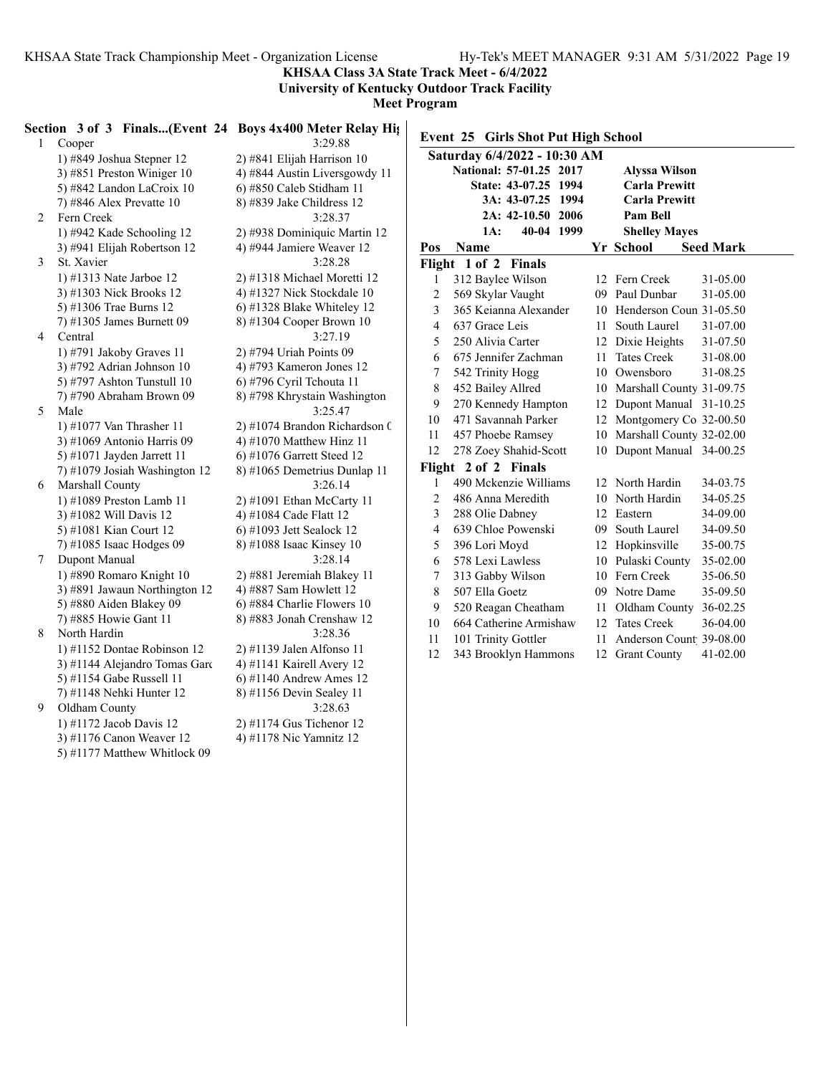**KHSAA Class 3A State Track Meet - 6/4/2022**

**University of Kentucky Outdoor Track Facility**

**Meet Pro** 

|   | Section 3 of 3 Finals(Event 24 Boys 4x400 Meter Relay Hights |                               |
|---|--------------------------------------------------------------|-------------------------------|
| 1 | Cooper                                                       | 3:29.88                       |
|   | 1) #849 Joshua Stepner 12                                    | 2) #841 Elijah Harrison 10    |
|   | 3) #851 Preston Winiger 10                                   | 4) #844 Austin Liversgowdy 11 |
|   | 5) #842 Landon LaCroix 10                                    | 6) #850 Caleb Stidham 11      |
|   | 7) #846 Alex Prevatte $10$                                   | 8) #839 Jake Childress 12     |
| 2 | Fern Creek                                                   | 3:28.37                       |
|   | 1) #942 Kade Schooling 12                                    | 2) #938 Dominiquic Martin 12  |
|   | 3) #941 Elijah Robertson 12                                  | 4) #944 Jamiere Weaver 12     |
| 3 | St. Xavier                                                   | 3:28.28                       |
|   | 1) #1313 Nate Jarboe 12                                      | 2) #1318 Michael Moretti 12   |
|   | 3) #1303 Nick Brooks 12                                      | 4) #1327 Nick Stockdale 10    |
|   | 5) #1306 Trae Burns 12                                       | 6) #1328 Blake Whiteley 12    |
|   | 7) #1305 James Burnett 09                                    | 8) #1304 Cooper Brown 10      |
| 4 | Central                                                      | 3:27.19                       |
|   | 1) #791 Jakoby Graves 11                                     | 2) #794 Uriah Points 09       |
|   | 3) #792 Adrian Johnson 10                                    | 4) #793 Kameron Jones 12      |
|   | 5) #797 Ashton Tunstull 10                                   | 6) #796 Cyril Tchouta 11      |
|   | 7) #790 Abraham Brown 09                                     | 8) #798 Khrystain Washington  |
| 5 | Male                                                         | 3:25.47                       |
|   | 1) #1077 Van Thrasher 11                                     | 2) #1074 Brandon Richardson ( |
|   | 3) #1069 Antonio Harris 09                                   | 4) #1070 Matthew Hinz 11      |
|   | 5) #1071 Jayden Jarrett 11                                   | 6) #1076 Garrett Steed 12     |
|   | 7) #1079 Josiah Washington 12                                | 8) #1065 Demetrius Dunlap 11  |
| 6 | Marshall County                                              | 3:26.14                       |
|   | 1) #1089 Preston Lamb 11                                     | 2) #1091 Ethan McCarty 11     |
|   | 3) #1082 Will Davis 12                                       | 4) #1084 Cade Flatt 12        |
|   | 5) #1081 Kian Court 12                                       | 6) #1093 Jett Sealock 12      |
|   | 7) #1085 Isaac Hodges 09                                     | 8) #1088 Isaac Kinsey 10      |
| 7 | Dupont Manual                                                | 3:28.14                       |
|   | 1) #890 Romaro Knight 10                                     | 2) #881 Jeremiah Blakey 11    |
|   | 3) #891 Jawaun Northington 12                                | 4) #887 Sam Howlett 12        |
|   | 5) #880 Aiden Blakey 09                                      | 6) #884 Charlie Flowers 10    |
|   | 7) #885 Howie Gant 11                                        | 8) #883 Jonah Crenshaw 12     |
| 8 | North Hardin                                                 | 3:28.36                       |
|   | 1) #1152 Dontae Robinson 12                                  | 2) #1139 Jalen Alfonso 11     |
|   | 3) #1144 Alejandro Tomas Gard                                | 4) #1141 Kairell Avery 12     |
|   | 5) #1154 Gabe Russell 11                                     | 6) #1140 Andrew Ames 12       |
|   | 7) #1148 Nehki Hunter 12                                     | 8) #1156 Devin Sealey 11      |
| 9 | Oldham County                                                | 3:28.63                       |
|   | 1) #1172 Jacob Davis 12                                      | $2)$ #1174 Gus Tichenor 12    |
|   | 3) #1176 Canon Weaver 12                                     | 4) #1178 Nic Yamnitz 12       |
|   | 5) #1177 Matthew Whitlock 09                                 |                               |

|                         | Event 25 Girls Shot Put High School<br>Saturday 6/4/2022 - 10:30 AM |     |                             |                  |
|-------------------------|---------------------------------------------------------------------|-----|-----------------------------|------------------|
|                         | National: 57-01.25 2017                                             |     | <b>Alyssa Wilson</b>        |                  |
|                         | State: 43-07.25 1994                                                |     | <b>Carla Prewitt</b>        |                  |
|                         | 3A: 43-07.25 1994                                                   |     | Carla Prewitt               |                  |
|                         | 2A: 42-10.50 2006                                                   |     | Pam Bell                    |                  |
|                         | 40-04<br>1999<br>1A:                                                |     | <b>Shelley Mayes</b>        |                  |
| Pos                     | Name                                                                |     | Yr School                   | <b>Seed Mark</b> |
| Flight                  | 1 of 2<br><b>Finals</b>                                             |     |                             |                  |
| 1                       | 312 Baylee Wilson                                                   |     | 12 Fern Creek               | 31-05.00         |
| $\overline{c}$          | 569 Skylar Vaught                                                   |     | 09 Paul Dunbar              | 31-05.00         |
| 3                       | 365 Keianna Alexander                                               |     | 10 Henderson Coun 31-05.50  |                  |
| $\overline{4}$          | 637 Grace Leis                                                      | 11. | South Laurel                | 31-07.00         |
| 5                       | 250 Alivia Carter                                                   |     | 12 Dixie Heights            | 31-07.50         |
| 6                       | 675 Jennifer Zachman                                                | 11  | <b>Tates Creek</b>          | 31-08.00         |
| $\tau$                  | 542 Trinity Hogg                                                    |     | 10 Owensboro                | 31-08.25         |
| 8                       | 452 Bailey Allred                                                   |     | 10 Marshall County 31-09.75 |                  |
| 9                       | 270 Kennedy Hampton                                                 |     | 12 Dupont Manual 31-10.25   |                  |
| 10                      | 471 Savannah Parker                                                 |     | 12 Montgomery Co 32-00.50   |                  |
| 11                      | 457 Phoebe Ramsey                                                   |     | 10 Marshall County 32-02.00 |                  |
| 12                      | 278 Zoey Shahid-Scott                                               | 10  | Dupont Manual 34-00.25      |                  |
| Flight                  | 2 of 2 Finals                                                       |     |                             |                  |
| $\mathbf{1}$            | 490 Mckenzie Williams                                               |     | 12 North Hardin             | 34-03.75         |
| $\overline{\mathbf{c}}$ | 486 Anna Meredith                                                   |     | 10 North Hardin             | 34-05.25         |
| 3                       | 288 Olie Dabney                                                     |     | 12 Eastern                  | 34-09.00         |
| 4                       | 639 Chloe Powenski                                                  |     | 09 South Laurel             | 34-09.50         |
| 5                       | 396 Lori Moyd                                                       |     | 12 Hopkinsville             | 35-00.75         |
| 6                       | 578 Lexi Lawless                                                    |     | 10 Pulaski County           | 35-02.00         |
| $\overline{7}$          | 313 Gabby Wilson                                                    |     | 10 Fern Creek               | 35-06.50         |
| 8                       | 507 Ella Goetz                                                      |     | 09 Notre Dame               | 35-09.50         |
| 9                       | 520 Reagan Cheatham                                                 |     | 11 Oldham County 36-02.25   |                  |
| 10                      | 664 Catherine Armishaw                                              |     | 12 Tates Creek              | 36-04.00         |
| 11                      | 101 Trinity Gottler                                                 | 11  | Anderson Count 39-08.00     |                  |
| 12                      | 343 Brooklyn Hammons                                                |     | 12 Grant County             | 41-02.00         |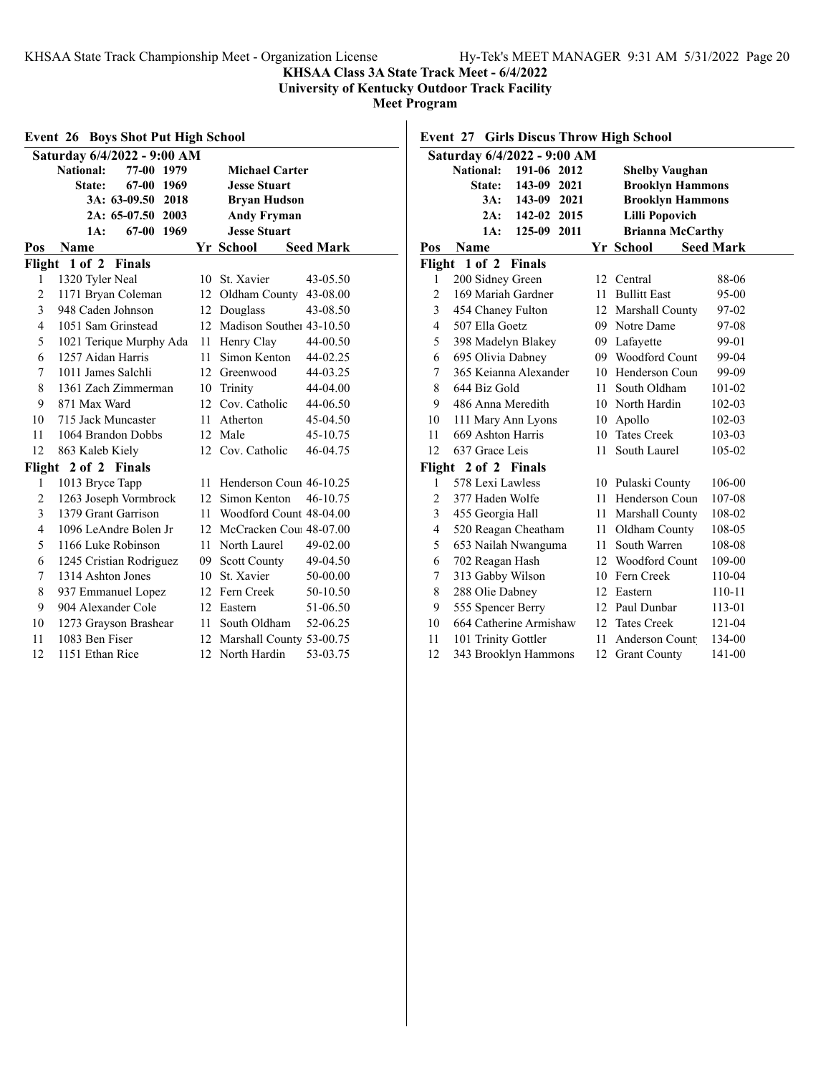**KHSAA Class 3A State Track Meet - 6/4/2022**

**University of Kentucky Outdoor Track Facility**

**Meet Program**

|                | <b>Boys Shot Put High School</b><br>Event 26            |    |                             |                  |  |  |  |
|----------------|---------------------------------------------------------|----|-----------------------------|------------------|--|--|--|
|                | Saturday 6/4/2022 - 9:00 AM                             |    |                             |                  |  |  |  |
|                | <b>National:</b><br>77-00 1979<br><b>Michael Carter</b> |    |                             |                  |  |  |  |
|                | 67-00 1969<br>State:<br><b>Jesse Stuart</b>             |    |                             |                  |  |  |  |
|                | 3A: 63-09.50 2018<br><b>Bryan Hudson</b>                |    |                             |                  |  |  |  |
|                | 2A: 65-07.50 2003                                       |    | <b>Andy Fryman</b>          |                  |  |  |  |
|                | 67-00<br>1969<br>1A:                                    |    | <b>Jesse Stuart</b>         |                  |  |  |  |
| Pos            | Name                                                    |    | Yr School                   | <b>Seed Mark</b> |  |  |  |
|                | Flight 1 of 2 Finals                                    |    |                             |                  |  |  |  |
| 1              | 1320 Tyler Neal                                         | 10 | St. Xavier                  | 43-05.50         |  |  |  |
| 2              | 1171 Bryan Coleman                                      | 12 | Oldham County               | 43-08.00         |  |  |  |
| 3              | 948 Caden Johnson                                       | 12 | Douglass                    | 43-08.50         |  |  |  |
| 4              | 1051 Sam Grinstead                                      |    | 12 Madison Souther 43-10.50 |                  |  |  |  |
| 5              | 1021 Terique Murphy Ada                                 |    | 11 Henry Clay               | 44-00.50         |  |  |  |
| 6              | 1257 Aidan Harris                                       | 11 | Simon Kenton                | 44-02.25         |  |  |  |
| 7              | 1011 James Salchli                                      | 12 | Greenwood                   | 44-03.25         |  |  |  |
| 8              | 1361 Zach Zimmerman                                     | 10 | Trinity                     | 44-04.00         |  |  |  |
| 9              | 871 Max Ward                                            |    | 12 Cov. Catholic            | 44-06.50         |  |  |  |
| 10             | 715 Jack Muncaster                                      | 11 | Atherton                    | 45-04.50         |  |  |  |
| 11             | 1064 Brandon Dobbs                                      |    | 12 Male                     | 45-10.75         |  |  |  |
| 12             | 863 Kaleb Kiely                                         | 12 | Cov. Catholic               | 46-04.75         |  |  |  |
| Flight         | 2 of 2 Finals                                           |    |                             |                  |  |  |  |
| 1              | 1013 Bryce Tapp                                         | 11 | Henderson Coun 46-10.25     |                  |  |  |  |
| 2              | 1263 Joseph Vormbrock                                   |    | 12 Simon Kenton             | 46-10.75         |  |  |  |
| 3              | 1379 Grant Garrison                                     | 11 | Woodford Count 48-04.00     |                  |  |  |  |
| $\overline{4}$ | 1096 LeAndre Bolen Jr                                   | 12 | McCracken Cou 48-07.00      |                  |  |  |  |
| 5              | 1166 Luke Robinson                                      | 11 | North Laurel                | 49-02.00         |  |  |  |
| 6              | 1245 Cristian Rodriguez                                 |    | 09 Scott County             | 49-04.50         |  |  |  |
| 7              | 1314 Ashton Jones                                       |    | 10 St. Xavier               | 50-00.00         |  |  |  |
| 8              | 937 Emmanuel Lopez                                      |    | 12 Fern Creek               | 50-10.50         |  |  |  |
| 9              | 904 Alexander Cole                                      |    | 12 Eastern                  | 51-06.50         |  |  |  |
| 10             | 1273 Grayson Brashear                                   | 11 | South Oldham                | 52-06.25         |  |  |  |
| 11             | 1083 Ben Fiser                                          |    | 12 Marshall County 53-00.75 |                  |  |  |  |
| 12             | 1151 Ethan Rice                                         | 12 | North Hardin                | 53-03.75         |  |  |  |

### **Event 27 Girls Discus Throw High School**

|                | Saturday 6/4/2022 - 9:00 AM     |    |                         |                  |
|----------------|---------------------------------|----|-------------------------|------------------|
|                | <b>National:</b><br>191-06 2012 |    | <b>Shelby Vaughan</b>   |                  |
|                | 143-09<br>2021<br><b>State:</b> |    | <b>Brooklyn Hammons</b> |                  |
|                | 3A:<br>143-09 2021              |    | <b>Brooklyn Hammons</b> |                  |
|                | 2A:<br>142-02 2015              |    | <b>Lilli Popovich</b>   |                  |
|                | 125-09<br>2011<br>1A:           |    | <b>Brianna McCarthy</b> |                  |
| Pos            | Name                            |    | Yr School               | <b>Seed Mark</b> |
|                | Flight 1 of 2 Finals            |    |                         |                  |
| 1              | 200 Sidney Green                |    | 12 Central              | 88-06            |
| $\overline{c}$ | 169 Mariah Gardner              | 11 | <b>Bullitt East</b>     | 95-00            |
| 3              | 454 Chaney Fulton               |    | 12 Marshall County      | 97-02            |
| 4              | 507 Ella Goetz                  |    | 09 Notre Dame           | 97-08            |
| 5              | 398 Madelyn Blakey              |    | 09 Lafayette            | 99-01            |
| 6              | 695 Olivia Dabney               |    | 09 Woodford Count       | 99-04            |
| 7              | 365 Keianna Alexander           |    | 10 Henderson Coun       | 99-09            |
| 8              | 644 Biz Gold                    | 11 | South Oldham            | 101-02           |
| 9              | 486 Anna Meredith               |    | 10 North Hardin         | 102-03           |
| 10             | 111 Mary Ann Lyons              | 10 | Apollo                  | 102-03           |
| 11             | 669 Ashton Harris               |    | 10 Tates Creek          | 103-03           |
| 12             | 637 Grace Leis                  | 11 | South Laurel            | 105-02           |
| Flight         | 2 of 2 Finals                   |    |                         |                  |
| 1              | 578 Lexi Lawless                |    | 10 Pulaski County       | 106-00           |
| 2              | 377 Haden Wolfe                 | 11 | Henderson Coun          | 107-08           |
| 3              | 455 Georgia Hall                | 11 | Marshall County         | 108-02           |
| 4              | 520 Reagan Cheatham             | 11 | Oldham County           | 108-05           |
| 5              | 653 Nailah Nwanguma             | 11 | South Warren            | 108-08           |
| 6              | 702 Reagan Hash                 |    | 12 Woodford Count       | 109-00           |
| 7              | 313 Gabby Wilson                | 10 | Fern Creek              | 110-04           |
| 8              | 288 Olie Dabney                 | 12 | Eastern                 | 110-11           |
| 9              | 555 Spencer Berry               |    | 12 Paul Dunbar          | 113-01           |
| 10             | 664 Catherine Armishaw          |    | 12 Tates Creek          | 121-04           |
| 11             | 101 Trinity Gottler             | 11 | <b>Anderson Count</b>   | 134-00           |
| 12             | 343 Brooklyn Hammons            | 12 | <b>Grant County</b>     | 141-00           |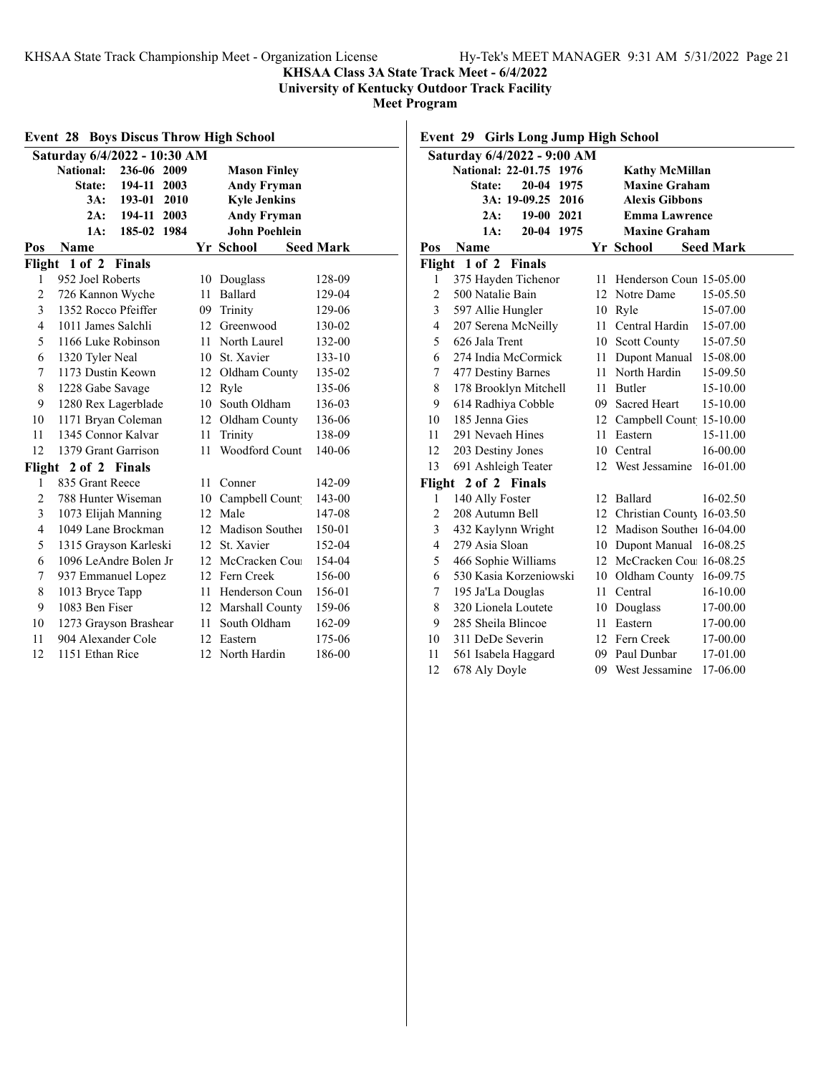**KHSAA Class 3A State Track Meet - 6/4/2022**

**University of Kentucky Outdoor Track Facility**

**Meet Program**

| <b>Boys Discus Throw High School</b><br>Event 28 |                              |      |                      |                  |  |
|--------------------------------------------------|------------------------------|------|----------------------|------------------|--|
|                                                  | Saturday 6/4/2022 - 10:30 AM |      |                      |                  |  |
|                                                  | National:<br>236-06 2009     |      | <b>Mason Finley</b>  |                  |  |
|                                                  | 194-11<br><b>State:</b>      | 2003 | <b>Andy Fryman</b>   |                  |  |
|                                                  | 3A:<br>193-01                | 2010 | <b>Kyle Jenkins</b>  |                  |  |
|                                                  | 194-11<br>2A:                | 2003 | <b>Andy Fryman</b>   |                  |  |
|                                                  | 1A:<br>185-02                | 1984 | <b>John Poehlein</b> |                  |  |
| Pos                                              | Name                         |      | Yr School            | <b>Seed Mark</b> |  |
| Flight                                           | $1$ of $2$<br><b>Finals</b>  |      |                      |                  |  |
| 1                                                | 952 Joel Roberts             | 10   | Douglass             | 128-09           |  |
| $\overline{2}$                                   | 726 Kannon Wyche             | 11   | Ballard              | 129-04           |  |
| 3                                                | 1352 Rocco Pfeiffer          |      | 09 Trinity           | 129-06           |  |
| 4                                                | 1011 James Salchli           |      | 12 Greenwood         | 130-02           |  |
| 5                                                | 1166 Luke Robinson           |      | 11 North Laurel      | 132-00           |  |
| 6                                                | 1320 Tyler Neal              | 10   | St. Xavier           | 133-10           |  |
| 7                                                | 1173 Dustin Keown            | 12   | Oldham County        | 135-02           |  |
| 8                                                | 1228 Gabe Savage             | 12   | Ryle                 | 135-06           |  |
| 9                                                | 1280 Rex Lagerblade          |      | 10 South Oldham      | 136-03           |  |
| 10                                               | 1171 Bryan Coleman           |      | 12 Oldham County     | 136-06           |  |
| 11                                               | 1345 Connor Kalvar           | 11   | Trinity              | 138-09           |  |
| 12                                               | 1379 Grant Garrison          | 11   | Woodford Count       | 140-06           |  |
|                                                  | Flight 2 of 2 Finals         |      |                      |                  |  |
| 1                                                | 835 Grant Reece              | 11.  | Conner               | 142-09           |  |
| $\overline{2}$                                   | 788 Hunter Wiseman           |      | 10 Campbell Count    | 143-00           |  |
| 3                                                | 1073 Elijah Manning          | 12   | Male                 | 147-08           |  |
| 4                                                | 1049 Lane Brockman           | 12   | Madison Souther      | 150-01           |  |
| 5                                                | 1315 Grayson Karleski        | 12   | St. Xavier           | 152-04           |  |
| 6                                                | 1096 LeAndre Bolen Jr        |      | 12 McCracken Cou     | 154-04           |  |
| 7                                                | 937 Emmanuel Lopez           |      | 12 Fern Creek        | 156-00           |  |
| 8                                                | 1013 Bryce Tapp              |      | 11 Henderson Coun    | 156-01           |  |
| 9                                                | 1083 Ben Fiser               | 12   | Marshall County      | 159-06           |  |
| 10                                               | 1273 Grayson Brashear        | 11   | South Oldham         | 162-09           |  |
| 11                                               | 904 Alexander Cole           |      | 12 Eastern           | 175-06           |  |
| 12                                               | 1151 Ethan Rice              | 12   | North Hardin         | 186-00           |  |

**Event 29 Girls Long Jump High School**

| Saturday 6/4/2022 - 9:00 AM |                             |        |                              |                  |  |
|-----------------------------|-----------------------------|--------|------------------------------|------------------|--|
|                             | National: 22-01.75 1976     |        | <b>Kathy McMillan</b>        |                  |  |
|                             | $20 - 04$<br>1975<br>State: |        | <b>Maxine Graham</b>         |                  |  |
|                             | 3A: 19-09.25 2016           |        | <b>Alexis Gibbons</b>        |                  |  |
|                             | 19-00 2021<br>2A:           |        | <b>Emma Lawrence</b>         |                  |  |
|                             | 1A:<br>20-04 1975           |        | <b>Maxine Graham</b>         |                  |  |
| Pos                         | Name                        |        | Yr School                    | <b>Seed Mark</b> |  |
| Flight                      | $1$ of $2$<br><b>Finals</b> |        |                              |                  |  |
| 1                           | 375 Hayden Tichenor         | 11     | Henderson Coun 15-05.00      |                  |  |
| $\overline{2}$              | 500 Natalie Bain            |        | 12 Notre Dame                | 15-05.50         |  |
| 3                           | 597 Allie Hungler           |        | 10 Ryle                      | 15-07.00         |  |
| $\overline{\mathcal{L}}$    | 207 Serena McNeilly         | 11     | Central Hardin               | 15-07.00         |  |
| 5                           | 626 Jala Trent              | 10     | <b>Scott County</b>          | 15-07.50         |  |
| 6                           | 274 India McCormick         |        | 11 Dupont Manual             | 15-08.00         |  |
| 7                           | 477 Destiny Barnes          |        | 11 North Hardin              | 15-09.50         |  |
| 8                           | 178 Brooklyn Mitchell       |        | 11 Butler                    | 15-10.00         |  |
| 9                           | 614 Radhiya Cobble          |        | 09 Sacred Heart              | 15-10.00         |  |
| 10                          | 185 Jenna Gies              | 12     | Campbell Count 15-10.00      |                  |  |
| 11                          | 291 Nevaeh Hines            | 11     | Eastern                      | 15-11.00         |  |
| 12                          | 203 Destiny Jones           |        | 10 Central                   | 16-00.00         |  |
| 13                          | 691 Ashleigh Teater         |        | 12 West Jessamine            | 16-01.00         |  |
| Flight                      | 2 of 2 Finals               |        |                              |                  |  |
| 1                           | 140 Ally Foster             |        | 12 Ballard                   | 16-02.50         |  |
| $\overline{2}$              | 208 Autumn Bell             |        | 12 Christian County 16-03.50 |                  |  |
| 3                           | 432 Kaylynn Wright          |        | 12 Madison Souther 16-04.00  |                  |  |
| $\overline{4}$              | 279 Asia Sloan              |        | 10 Dupont Manual             | 16-08.25         |  |
| 5                           | 466 Sophie Williams         |        | 12 McCracken Cou 16-08.25    |                  |  |
| 6                           | 530 Kasia Korzeniowski      |        | 10 Oldham County 16-09.75    |                  |  |
| 7                           | 195 Ja'La Douglas           | $11 -$ | Central                      | 16-10.00         |  |
| 8                           | 320 Lionela Loutete         |        | 10 Douglass                  | 17-00.00         |  |
| 9                           | 285 Sheila Blincoe          |        | 11 Eastern                   | 17-00.00         |  |
| 10                          | 311 DeDe Severin            |        | 12 Fern Creek                | 17-00.00         |  |
| 11                          | 561 Isabela Haggard         |        | 09 Paul Dunbar               | 17-01.00         |  |
| 12                          | 678 Aly Doyle               |        | 09 West Jessamine            | 17-06.00         |  |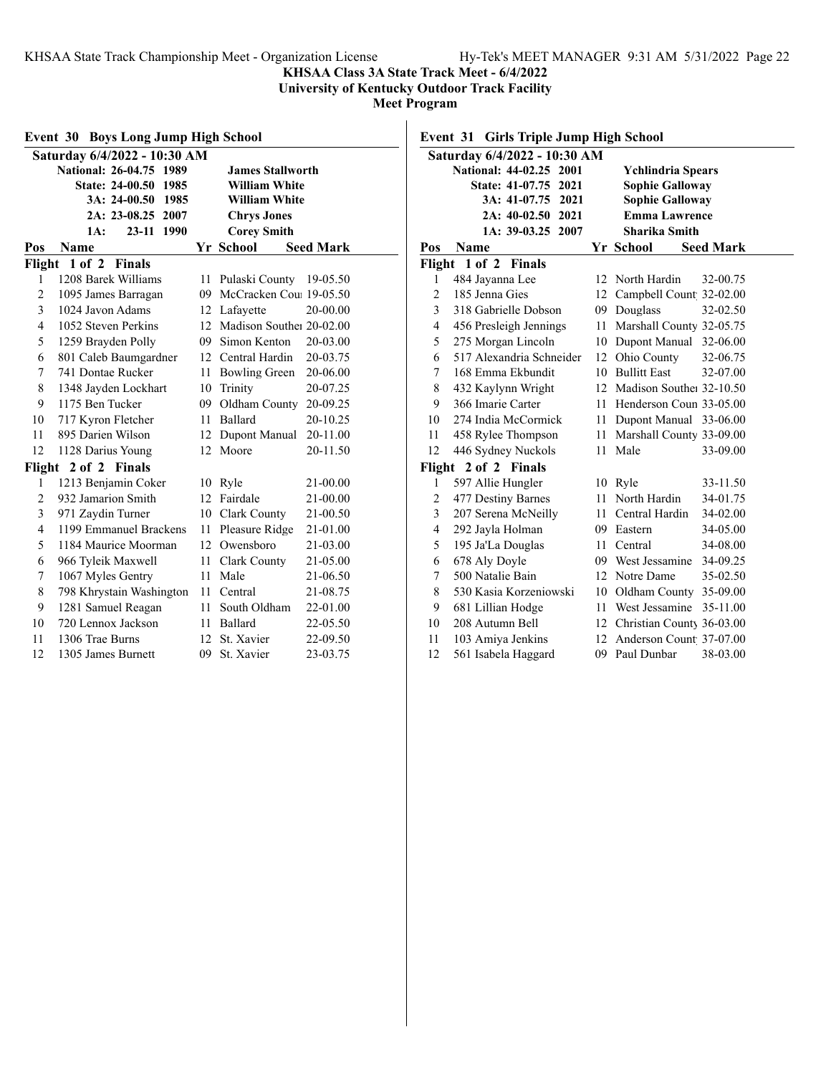### **KHSAA Class 3A State Track Meet - 6/4/2022**

**University of Kentucky Outdoor Track Facility**

**Meet Program**

|                | <b>Event 30 Boys Long Jump High School</b> |                  |                             |                  |
|----------------|--------------------------------------------|------------------|-----------------------------|------------------|
|                | Saturday 6/4/2022 - 10:30 AM               |                  |                             |                  |
|                | National: 26-04.75 1989                    |                  | <b>James Stallworth</b>     |                  |
|                | State: 24-00.50 1985                       |                  | <b>William White</b>        |                  |
|                | 3A: 24-00.50 1985                          |                  | <b>William White</b>        |                  |
|                | 2A: 23-08.25 2007                          |                  | <b>Chrys Jones</b>          |                  |
|                | $23-11$<br>1990<br>1A:                     |                  | <b>Corey Smith</b>          |                  |
| Pos            | Name                                       |                  | Yr School                   | <b>Seed Mark</b> |
| Flight         | 1 of 2 Finals                              |                  |                             |                  |
| 1              | 1208 Barek Williams                        | 11               | Pulaski County              | 19-05.50         |
| $\overline{2}$ | 1095 James Barragan                        | 09.              | McCracken Cou: 19-05.50     |                  |
| 3              | 1024 Javon Adams                           |                  | 12 Lafavette                | 20-00.00         |
| 4              | 1052 Steven Perkins                        |                  | 12 Madison Souther 20-02.00 |                  |
| 5              | 1259 Brayden Polly                         |                  | 09 Simon Kenton             | 20-03.00         |
| 6              | 801 Caleb Baumgardner                      |                  | 12 Central Hardin           | 20-03.75         |
| 7              | 741 Dontae Rucker                          | 11               | <b>Bowling Green</b>        | 20-06.00         |
| 8              | 1348 Jayden Lockhart                       | 10               | Trinity                     | 20-07.25         |
| 9              | 1175 Ben Tucker                            | 09               | Oldham County 20-09.25      |                  |
| 10             | 717 Kyron Fletcher                         | 11               | <b>Ballard</b>              | 20-10.25         |
| 11             | 895 Darien Wilson                          |                  | 12 Dupont Manual            | 20-11.00         |
| 12             | 1128 Darius Young                          | 12               | Moore                       | 20-11.50         |
| Flight         | 2 of 2 Finals                              |                  |                             |                  |
| 1              | 1213 Benjamin Coker                        |                  | 10 Ryle                     | 21-00.00         |
| $\overline{c}$ | 932 Jamarion Smith                         |                  | 12 Fairdale                 | 21-00.00         |
| 3              | 971 Zaydin Turner                          |                  | 10 Clark County             | 21-00.50         |
| $\overline{4}$ | 1199 Emmanuel Brackens                     |                  | 11 Pleasure Ridge           | 21-01.00         |
| 5              | 1184 Maurice Moorman                       |                  | 12 Owensboro                | 21-03.00         |
| 6              | 966 Tyleik Maxwell                         |                  | 11 Clark County             | 21-05.00         |
| 7              | 1067 Myles Gentry                          | 11               | Male                        | 21-06.50         |
| 8              | 798 Khrystain Washington                   | 11               | Central                     | 21-08.75         |
| 9              | 1281 Samuel Reagan                         | 11               | South Oldham                | 22-01.00         |
| 10             | 720 Lennox Jackson                         | 11               | Ballard                     | 22-05.50         |
| 11             | 1306 Trae Burns                            | 12 <sup>12</sup> | St. Xavier                  | 22-09.50         |
| 12             | 1305 James Burnett                         | 09               | St. Xavier                  | 23-03.75         |

### **Event 31 Girls Triple Jump High School**

|                | Saturday 6/4/2022 - 10:30 AM   |                  |                              |                  |  |  |  |
|----------------|--------------------------------|------------------|------------------------------|------------------|--|--|--|
|                | National: 44-02.25 2001        |                  | <b>Ychlindria Spears</b>     |                  |  |  |  |
|                | <b>State: 41-07.75</b><br>2021 |                  | <b>Sophie Galloway</b>       |                  |  |  |  |
|                | 3A: 41-07.75 2021              |                  | <b>Sophie Galloway</b>       |                  |  |  |  |
|                | 2A: 40-02.50 2021              |                  | <b>Emma Lawrence</b>         |                  |  |  |  |
|                | 1A: 39-03.25 2007              |                  | Sharika Smith                |                  |  |  |  |
| Pos            | Name                           |                  | Yr School                    | <b>Seed Mark</b> |  |  |  |
|                | Flight 1 of 2 Finals           |                  |                              |                  |  |  |  |
| 1              | 484 Jayanna Lee                | 12               | North Hardin                 | 32-00.75         |  |  |  |
| 2              | 185 Jenna Gies                 | 12               | Campbell Count 32-02.00      |                  |  |  |  |
| 3              | 318 Gabrielle Dobson           |                  | 09 Douglass                  | 32-02.50         |  |  |  |
| 4              | 456 Presleigh Jennings         |                  | 11 Marshall County 32-05.75  |                  |  |  |  |
| 5              | 275 Morgan Lincoln             |                  | 10 Dupont Manual 32-06.00    |                  |  |  |  |
| 6              | 517 Alexandria Schneider       | 12 <sup>12</sup> | Ohio County                  | 32-06.75         |  |  |  |
| 7              | 168 Emma Ekbundit              |                  | 10 Bullitt East              | 32-07.00         |  |  |  |
| 8              | 432 Kaylynn Wright             |                  | 12 Madison Souther 32-10.50  |                  |  |  |  |
| 9              | 366 Imarie Carter              |                  | 11 Henderson Coun 33-05.00   |                  |  |  |  |
| 10             | 274 India McCormick            | 11 -             | Dupont Manual 33-06.00       |                  |  |  |  |
| 11             | 458 Rylee Thompson             |                  | 11 Marshall County 33-09.00  |                  |  |  |  |
| 12             | 446 Sydney Nuckols             | 11 -             | Male                         | 33-09.00         |  |  |  |
| Flight         | 2 of 2 Finals                  |                  |                              |                  |  |  |  |
| 1              | 597 Allie Hungler              | 10               | Ryle                         | 33-11.50         |  |  |  |
| $\overline{c}$ | 477 Destiny Barnes             | 11               | North Hardin                 | 34-01.75         |  |  |  |
| 3              | 207 Serena McNeilly            | $11 -$           | Central Hardin               | 34-02.00         |  |  |  |
| 4              | 292 Jayla Holman               |                  | 09 Eastern                   | 34-05.00         |  |  |  |
| 5              | 195 Ja'La Douglas              |                  | 11 Central                   | 34-08.00         |  |  |  |
| 6              | 678 Aly Doyle                  |                  | 09 West Jessamine            | 34-09.25         |  |  |  |
| 7              | 500 Natalie Bain               |                  | 12 Notre Dame                | 35-02.50         |  |  |  |
| 8              | 530 Kasia Korzeniowski         | 10               | Oldham County                | 35-09.00         |  |  |  |
| 9              | 681 Lillian Hodge              |                  | 11 West Jessamine            | 35-11.00         |  |  |  |
| 10             | 208 Autumn Bell                |                  | 12 Christian County 36-03.00 |                  |  |  |  |
| 11             | 103 Amiya Jenkins              |                  | 12 Anderson Count 37-07.00   |                  |  |  |  |
| 12             | 561 Isabela Haggard            | 09               | Paul Dunbar                  | 38-03.00         |  |  |  |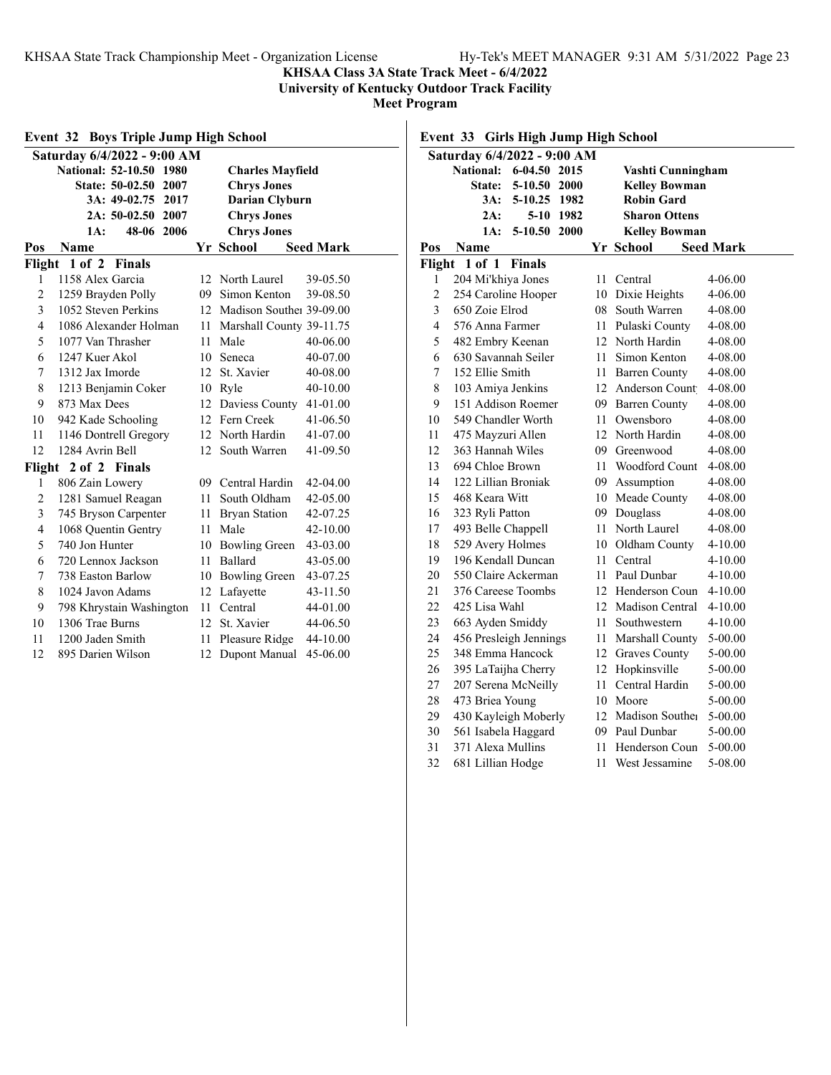**KHSAA Class 3A State Track Meet - 6/4/2022**

**University of Kentucky Outdoor Track Facility**

**Meet Program**

|                                         | <b>Event 32 Boys Triple Jump High School</b> |                  |                             |                  |
|-----------------------------------------|----------------------------------------------|------------------|-----------------------------|------------------|
|                                         | Saturday 6/4/2022 - 9:00 AM                  |                  |                             |                  |
|                                         | National: 52-10.50 1980                      |                  | <b>Charles Mayfield</b>     |                  |
|                                         | State: 50-02.50 2007                         |                  | <b>Chrys Jones</b>          |                  |
|                                         | 3A: 49-02.75<br>2017                         |                  | <b>Darian Clyburn</b>       |                  |
|                                         | 2A: 50-02.50 2007                            |                  | <b>Chrys Jones</b>          |                  |
| 48-06 2006<br><b>Chrys Jones</b><br>1A: |                                              |                  |                             |                  |
| Pos                                     | Name                                         |                  | Yr School                   | <b>Seed Mark</b> |
| Flight                                  | $1$ of $2$<br><b>Finals</b>                  |                  |                             |                  |
| 1                                       | 1158 Alex Garcia                             |                  | 12 North Laurel             | 39-05.50         |
| $\overline{2}$                          | 1259 Brayden Polly                           |                  | 09 Simon Kenton             | 39-08.50         |
| 3                                       | 1052 Steven Perkins                          |                  | 12 Madison Souther 39-09.00 |                  |
| $\overline{4}$                          | 1086 Alexander Holman                        |                  | 11 Marshall County 39-11.75 |                  |
| 5                                       | 1077 Van Thrasher                            | 11               | Male                        | 40-06.00         |
| 6                                       | 1247 Kuer Akol                               | 10               | Seneca                      | 40-07.00         |
| 7                                       | 1312 Jax Imorde                              | 12 <sup>12</sup> | St. Xavier                  | 40-08.00         |
| 8                                       | 1213 Benjamin Coker                          |                  | 10 Ryle                     | 40-10.00         |
| 9                                       | 873 Max Dees                                 |                  | 12 Daviess County 41-01.00  |                  |
| 10                                      | 942 Kade Schooling                           |                  | 12 Fern Creek               | 41-06.50         |
| 11                                      | 1146 Dontrell Gregory                        |                  | 12 North Hardin             | 41-07.00         |
| 12                                      | 1284 Avrin Bell                              | 12 <sup>1</sup>  | South Warren                | 41-09.50         |
|                                         | Flight 2 of 2 Finals                         |                  |                             |                  |
| 1                                       | 806 Zain Lowery                              |                  | 09 Central Hardin           | 42-04.00         |
| 2                                       | 1281 Samuel Reagan                           | 11               | South Oldham                | 42-05.00         |
| 3                                       | 745 Bryson Carpenter                         |                  | 11 Bryan Station            | 42-07.25         |
| $\overline{4}$                          | 1068 Quentin Gentry                          | 11               | Male                        | 42-10.00         |
| 5                                       | 740 Jon Hunter                               |                  | 10 Bowling Green            | 43-03.00         |
| 6                                       | 720 Lennox Jackson                           |                  | 11 Ballard                  | 43-05.00         |
| 7                                       | 738 Easton Barlow                            |                  | 10 Bowling Green            | 43-07.25         |
| 8                                       | 1024 Javon Adams                             |                  | 12 Lafayette                | 43-11.50         |
| 9                                       | 798 Khrystain Washington                     | 11               | Central                     | 44-01.00         |
| 10                                      | 1306 Trae Burns                              | 12 <sup>12</sup> | St. Xavier                  | 44-06.50         |
| 11                                      | 1200 Jaden Smith                             | 11               | Pleasure Ridge              | 44-10.00         |
| 12                                      | 895 Darien Wilson                            | 12               | Dupont Manual               | 45-06.00         |

**Event 33 Girls High Jump High School**

| Saturday 6/4/2022 - 9:00 AM |                        |               |           |     |                      |                  |
|-----------------------------|------------------------|---------------|-----------|-----|----------------------|------------------|
|                             | <b>National:</b>       | 6-04.50 2015  |           |     | Vashti Cunningham    |                  |
|                             | <b>State:</b>          | 5-10.50 2000  |           |     | <b>Kelley Bowman</b> |                  |
|                             | 3A:                    | 5-10.25 1982  |           |     | <b>Robin Gard</b>    |                  |
|                             | 2A:                    |               | 5-10 1982 |     | <b>Sharon Ottens</b> |                  |
|                             | 1A:                    | 5-10.50 2000  |           |     | <b>Kelley Bowman</b> |                  |
| Pos                         | Name                   |               |           |     | Yr School            | <b>Seed Mark</b> |
| Flight                      | $1$ of $1$             | <b>Finals</b> |           |     |                      |                  |
| 1                           | 204 Mi'khiya Jones     |               |           | 11  | Central              | 4-06.00          |
| $\overline{c}$              | 254 Caroline Hooper    |               |           |     | 10 Dixie Heights     | 4-06.00          |
| 3                           | 650 Zoie Elrod         |               |           |     | 08 South Warren      | 4-08.00          |
| 4                           | 576 Anna Farmer        |               |           | 11  | Pulaski County       | 4-08.00          |
| 5                           | 482 Embry Keenan       |               |           |     | 12 North Hardin      | 4-08.00          |
| 6                           | 630 Savannah Seiler    |               |           | 11  | Simon Kenton         | 4-08.00          |
| 7                           | 152 Ellie Smith        |               |           | 11  | <b>Barren County</b> | 4-08.00          |
| 8                           | 103 Amiya Jenkins      |               |           | 12  | Anderson Count       | 4-08.00          |
| 9                           | 151 Addison Roemer     |               |           | 09  | <b>Barren County</b> | 4-08.00          |
| 10                          | 549 Chandler Worth     |               |           | 11  | Owensboro            | 4-08.00          |
| 11                          | 475 Mayzuri Allen      |               |           |     | 12 North Hardin      | 4-08.00          |
| 12                          | 363 Hannah Wiles       |               |           |     | 09 Greenwood         | 4-08.00          |
| 13                          | 694 Chloe Brown        |               |           | 11  | Woodford Count       | 4-08.00          |
| 14                          | 122 Lillian Broniak    |               |           | 09  | Assumption           | 4-08.00          |
| 15                          | 468 Keara Witt         |               |           | 10  | Meade County         | 4-08.00          |
| 16                          | 323 Ryli Patton        |               |           | 09  | Douglass             | 4-08.00          |
| 17                          | 493 Belle Chappell     |               |           | 11  | North Laurel         | 4-08.00          |
| 18                          | 529 Avery Holmes       |               |           |     | 10 Oldham County     | 4-10.00          |
| 19                          | 196 Kendall Duncan     |               |           | 11  | Central              | 4-10.00          |
| 20                          | 550 Claire Ackerman    |               |           | 11  | Paul Dunbar          | 4-10.00          |
| 21                          | 376 Careese Toombs     |               |           |     | 12 Henderson Coun    | 4-10.00          |
| 22                          | 425 Lisa Wahl          |               |           | 12. | Madison Central      | 4-10.00          |
| 23                          | 663 Ayden Smiddy       |               |           | 11  | Southwestern         | 4-10.00          |
| 24                          | 456 Presleigh Jennings |               |           | 11  | Marshall County      | 5-00.00          |
| 25                          | 348 Emma Hancock       |               |           |     | 12 Graves County     | 5-00.00          |
| 26                          | 395 LaTaijha Cherry    |               |           |     | 12 Hopkinsville      | 5-00.00          |
| 27                          | 207 Serena McNeilly    |               |           | 11  | Central Hardin       | 5-00.00          |
| 28                          | 473 Briea Young        |               |           |     | 10 Moore             | 5-00.00          |
| 29                          | 430 Kayleigh Moberly   |               |           |     | 12 Madison Souther   | 5-00.00          |
| 30                          | 561 Isabela Haggard    |               |           | 09  | Paul Dunbar          | 5-00.00          |
| 31                          | 371 Alexa Mullins      |               |           | 11  | Henderson Coun       | 5-00.00          |
| 32                          | 681 Lillian Hodge      |               |           | 11  | West Jessamine       | 5-08.00          |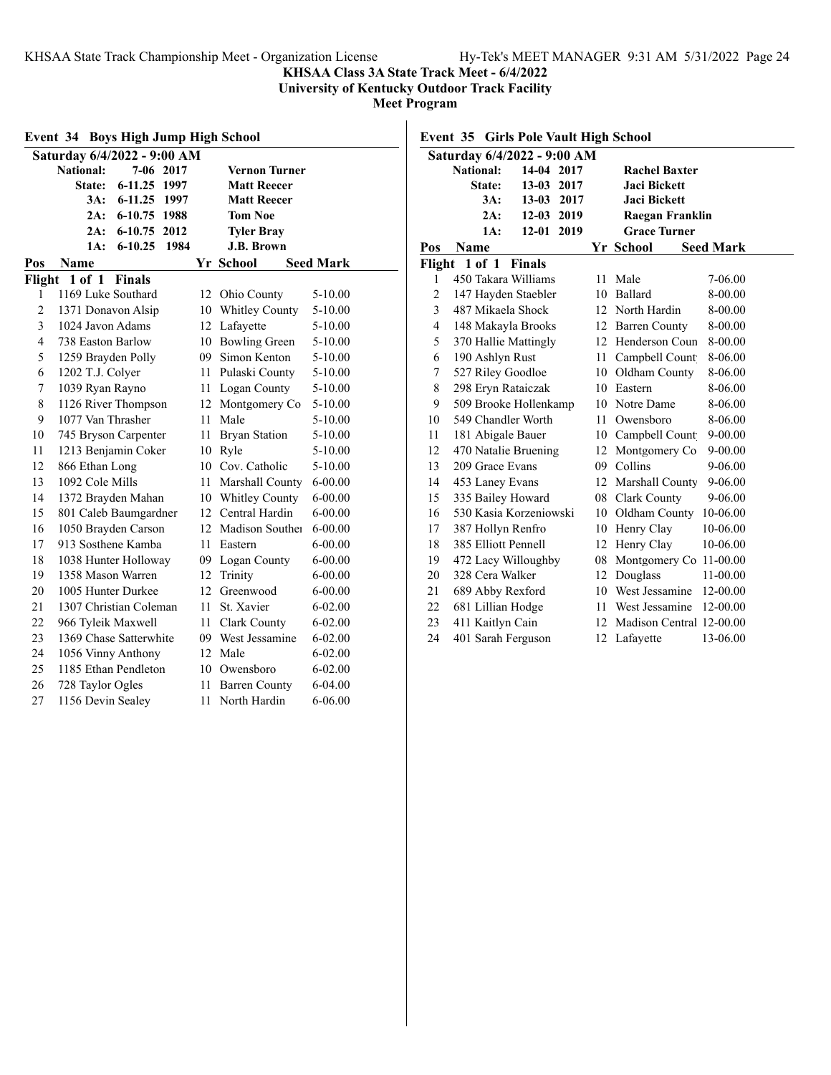**KHSAA Class 3A State Track Meet - 6/4/2022**

**University of Kentucky Outdoor Track Facility**

**Meet Program**

| <b>Event 34 Boys High Jump High School</b> |                               |      |                        |                  |  |  |
|--------------------------------------------|-------------------------------|------|------------------------|------------------|--|--|
|                                            | Saturday 6/4/2022 - 9:00 AM   |      |                        |                  |  |  |
|                                            | <b>National:</b><br>7-06 2017 |      | <b>Vernon Turner</b>   |                  |  |  |
|                                            | State:<br>6-11.25 1997        |      | <b>Matt Reecer</b>     |                  |  |  |
|                                            | 3A:<br>$6 - 11.25$<br>1997    |      | <b>Matt Reecer</b>     |                  |  |  |
|                                            | 2A:<br>6-10.75 1988           |      | <b>Tom Noe</b>         |                  |  |  |
|                                            | 2A:<br>6-10.75 2012           |      | <b>Tyler Bray</b>      |                  |  |  |
|                                            | 1A:<br>$6 - 10.25$<br>1984    |      | <b>J.B. Brown</b>      |                  |  |  |
| Pos                                        | Name                          |      | Yr School              | <b>Seed Mark</b> |  |  |
| Flight                                     | $1$ of $1$<br><b>Finals</b>   |      |                        |                  |  |  |
| 1                                          | 1169 Luke Southard            |      | 12 Ohio County         | $5 - 10.00$      |  |  |
| 2                                          | 1371 Donavon Alsip            |      | 10 Whitley County      | 5-10.00          |  |  |
| 3                                          | 1024 Javon Adams              |      | 12 Lafayette           | 5-10.00          |  |  |
| $\overline{\mathbf{4}}$                    | 738 Easton Barlow             |      | 10 Bowling Green       | 5-10.00          |  |  |
| 5                                          | 1259 Brayden Polly            |      | 09 Simon Kenton        | 5-10.00          |  |  |
| 6                                          | 1202 T.J. Colyer              |      | 11 Pulaski County      | $5 - 10.00$      |  |  |
| 7                                          | 1039 Ryan Rayno               |      | 11 Logan County        | 5-10.00          |  |  |
| 8                                          | 1126 River Thompson           |      | 12 Montgomery Co       | 5-10.00          |  |  |
| 9                                          | 1077 Van Thrasher             | 11   | Male                   | 5-10.00          |  |  |
| 10                                         | 745 Bryson Carpenter          | 11   | <b>Bryan Station</b>   | 5-10.00          |  |  |
| 11                                         | 1213 Benjamin Coker           |      | 10 Ryle                | 5-10.00          |  |  |
| 12                                         | 866 Ethan Long                |      | 10 Cov. Catholic       | 5-10.00          |  |  |
| 13                                         | 1092 Cole Mills               | 11   | <b>Marshall County</b> | $6 - 00.00$      |  |  |
| 14                                         | 1372 Brayden Mahan            |      | 10 Whitley County      | $6 - 00.00$      |  |  |
| 15                                         | 801 Caleb Baumgardner         |      | 12 Central Hardin      | $6 - 00.00$      |  |  |
| 16                                         | 1050 Brayden Carson           |      | 12 Madison Souther     | $6 - 00.00$      |  |  |
| 17                                         | 913 Sosthene Kamba            | 11   | Eastern                | $6 - 00.00$      |  |  |
| 18                                         | 1038 Hunter Holloway          |      | 09 Logan County        | $6 - 00.00$      |  |  |
| 19                                         | 1358 Mason Warren             |      | 12 Trinity             | $6 - 00.00$      |  |  |
| 20                                         | 1005 Hunter Durkee            | 12   | Greenwood              | $6 - 00.00$      |  |  |
| 21                                         | 1307 Christian Coleman        | 11   | St. Xavier             | $6 - 02.00$      |  |  |
| 22                                         | 966 Tyleik Maxwell            | 11 - | <b>Clark County</b>    | $6 - 02.00$      |  |  |
| 23                                         | 1369 Chase Satterwhite        |      | 09 West Jessamine      | $6 - 02.00$      |  |  |
| 24                                         | 1056 Vinny Anthony            | 12   | Male                   | $6 - 02.00$      |  |  |
| 25                                         | 1185 Ethan Pendleton          | 10   | Owensboro              | $6 - 02.00$      |  |  |
| 26                                         | 728 Taylor Ogles              | 11   | <b>Barren County</b>   | 6-04.00          |  |  |
| 27                                         | 1156 Devin Sealey             | 11   | North Hardin           | 6-06.00          |  |  |

**Event 35 Girls Pole Vault High School**

|                | Saturday 6/4/2022 - 9:00 AM |            |      |    |                          |                  |
|----------------|-----------------------------|------------|------|----|--------------------------|------------------|
|                | <b>National:</b>            | 14-04 2017 |      |    | <b>Rachel Baxter</b>     |                  |
|                | State:                      | $13 - 03$  | 2017 |    | Jaci Bickett             |                  |
|                | 3A:                         | $13 - 03$  | 2017 |    | <b>Jaci Bickett</b>      |                  |
|                | 2A:                         | 12-03 2019 |      |    | Raegan Franklin          |                  |
|                | 1A:                         | 12-01 2019 |      |    | <b>Grace Turner</b>      |                  |
| Pos            | Name                        |            |      |    | Yr School                | <b>Seed Mark</b> |
|                | Flight 1 of 1 Finals        |            |      |    |                          |                  |
| 1              | 450 Takara Williams         |            |      | 11 | Male                     | 7-06.00          |
| $\overline{2}$ | 147 Hayden Staebler         |            |      | 10 | Ballard                  | 8-00.00          |
| 3              | 487 Mikaela Shock           |            |      | 12 | North Hardin             | 8-00.00          |
| $\overline{4}$ | 148 Makayla Brooks          |            |      |    | 12 Barren County         | 8-00.00          |
| 5              | 370 Hallie Mattingly        |            |      |    | 12 Henderson Coun        | 8-00.00          |
| 6              | 190 Ashlyn Rust             |            |      | 11 | Campbell Count           | 8-06.00          |
| 7              | 527 Riley Goodloe           |            |      |    | 10 Oldham County         | 8-06.00          |
| 8              | 298 Eryn Rataiczak          |            |      | 10 | Eastern                  | 8-06.00          |
| 9              | 509 Brooke Hollenkamp       |            |      | 10 | Notre Dame               | 8-06.00          |
| 10             | 549 Chandler Worth          |            |      | 11 | Owensboro                | 8-06.00          |
| 11             | 181 Abigale Bauer           |            |      |    | 10 Campbell Count        | $9 - 00.00$      |
| 12             | 470 Natalie Bruening        |            |      | 12 | Montgomery Co            | $9 - 00.00$      |
| 13             | 209 Grace Evans             |            |      |    | 09 Collins               | 9-06.00          |
| 14             | 453 Laney Evans             |            |      |    | 12 Marshall County       | 9-06.00          |
| 15             | 335 Bailey Howard           |            |      | 08 | Clark County             | 9-06.00          |
| 16             | 530 Kasia Korzeniowski      |            |      | 10 | Oldham County            | 10-06.00         |
| 17             | 387 Hollyn Renfro           |            |      | 10 | Henry Clay               | 10-06.00         |
| 18             | 385 Elliott Pennell         |            |      | 12 | Henry Clay               | 10-06.00         |
| 19             | 472 Lacy Willoughby         |            |      | 08 | Montgomery Co 11-00.00   |                  |
| 20             | 328 Cera Walker             |            |      | 12 | Douglass                 | 11-00.00         |
| 21             | 689 Abby Rexford            |            |      | 10 | West Jessamine           | 12-00.00         |
| 22             | 681 Lillian Hodge           |            |      | 11 | West Jessamine           | 12-00.00         |
| 23             | 411 Kaitlyn Cain            |            |      | 12 | Madison Central 12-00.00 |                  |
| 24             | 401 Sarah Ferguson          |            |      | 12 | Lafayette                | 13-06.00         |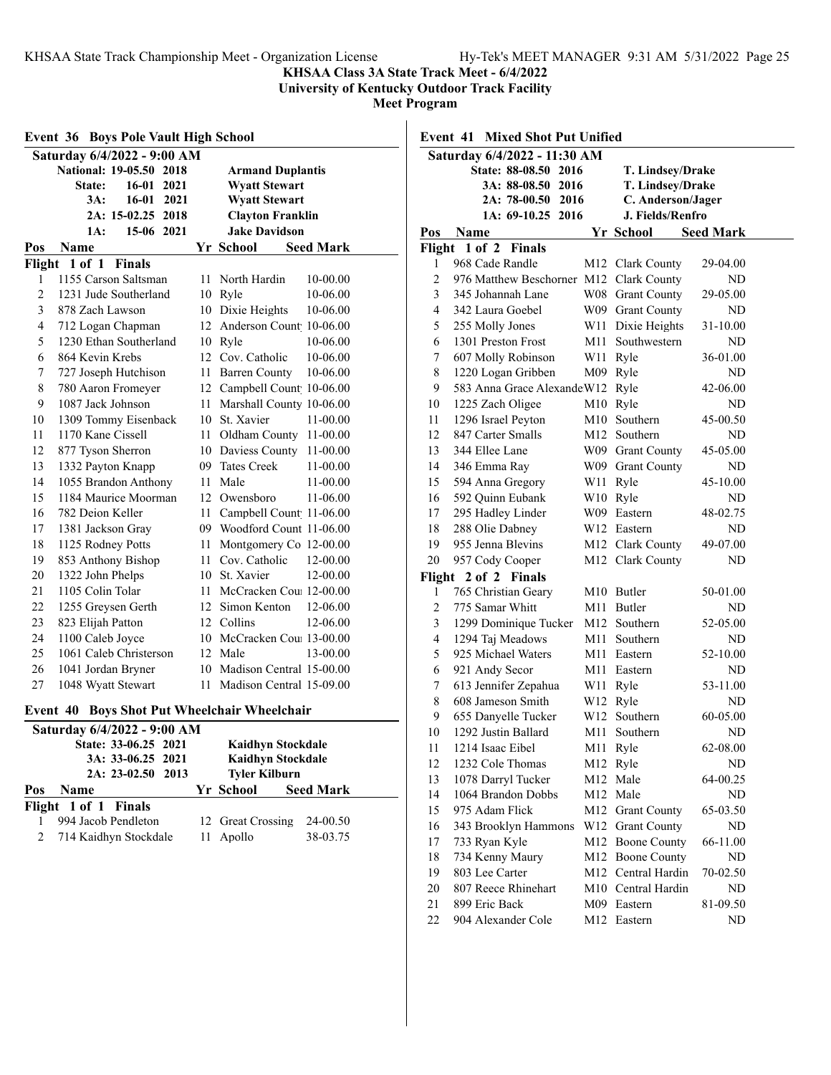**KHSAA Class 3A State Track Meet - 6/4/2022**

**University of Kentucky Outdoor Track Facility**

|                | <b>Event 36 Boys Pole Vault High School</b> |      |                               |  |  |
|----------------|---------------------------------------------|------|-------------------------------|--|--|
|                | Saturday 6/4/2022 - 9:00 AM                 |      |                               |  |  |
|                | National: 19-05.50 2018                     |      | <b>Armand Duplantis</b>       |  |  |
|                | State:<br>16-01<br>2021                     |      | <b>Wyatt Stewart</b>          |  |  |
|                | 16-01 2021<br>3A:                           |      | <b>Wyatt Stewart</b>          |  |  |
|                | 2A: 15-02.25 2018                           |      | <b>Clayton Franklin</b>       |  |  |
|                | 1A:<br>15-06 2021                           |      | <b>Jake Davidson</b>          |  |  |
| Pos            | Name                                        |      | Yr School<br><b>Seed Mark</b> |  |  |
| Flight         | 1 of 1 Finals                               |      |                               |  |  |
| 1              | 1155 Carson Saltsman                        | 11   | North Hardin<br>10-00.00      |  |  |
| $\overline{c}$ | 1231 Jude Southerland                       |      | 10 Ryle<br>10-06.00           |  |  |
| 3              | 878 Zach Lawson                             |      | 10 Dixie Heights<br>10-06.00  |  |  |
| $\overline{4}$ | 712 Logan Chapman                           |      | 12 Anderson Count 10-06.00    |  |  |
| 5              | 1230 Ethan Southerland                      |      | 10 Ryle<br>10-06.00           |  |  |
| 6              | 864 Kevin Krebs                             |      | 12 Cov. Catholic<br>10-06.00  |  |  |
| 7              | 727 Joseph Hutchison                        |      | 11 Barren County<br>10-06.00  |  |  |
| 8              | 780 Aaron Fromeyer                          |      | 12 Campbell Count 10-06.00    |  |  |
| 9              | 1087 Jack Johnson                           |      | 11 Marshall County 10-06.00   |  |  |
| 10             | 1309 Tommy Eisenback                        |      | 10 St. Xavier<br>11-00.00     |  |  |
| 11             | 1170 Kane Cissell                           | 11   | Oldham County 11-00.00        |  |  |
| 12             | 877 Tyson Sherron                           |      | 10 Daviess County<br>11-00.00 |  |  |
| 13             | 1332 Payton Knapp                           |      | 09 Tates Creek<br>11-00.00    |  |  |
| 14             | 1055 Brandon Anthony                        |      | 11 Male<br>11-00.00           |  |  |
| 15             | 1184 Maurice Moorman                        | 12   | Owensboro<br>11-06.00         |  |  |
| 16             | 782 Deion Keller                            | 11 - | Campbell Count 11-06.00       |  |  |
| 17             | 1381 Jackson Gray                           |      | 09 Woodford Count 11-06.00    |  |  |
| 18             | 1125 Rodney Potts                           |      | 11 Montgomery Co 12-00.00     |  |  |
| 19             | 853 Anthony Bishop                          |      | 11 Cov. Catholic<br>12-00.00  |  |  |
| 20             | 1322 John Phelps                            |      | 10 St. Xavier<br>12-00.00     |  |  |
| 21             | 1105 Colin Tolar                            |      | 11 McCracken Cou: 12-00.00    |  |  |
| 22             | 1255 Greysen Gerth                          |      | 12 Simon Kenton<br>12-06.00   |  |  |
| 23             | 823 Elijah Patton                           |      | 12 Collins<br>12-06.00        |  |  |
| 24             | 1100 Caleb Joyce                            |      | 10 McCracken Cou 13-00.00     |  |  |
| 25             | 1061 Caleb Christerson                      |      | 12 Male<br>13-00.00           |  |  |
| 26             | 1041 Jordan Bryner                          |      | 10 Madison Central 15-00.00   |  |  |
| 27             | 1048 Wyatt Stewart                          | 11 - | Madison Central 15-09.00      |  |  |
| Event 40       | <b>Boys Shot Put Wheelchair Wheelchair</b>  |      |                               |  |  |
|                | Saturday 6/4/2022 - 9:00 AM                 |      |                               |  |  |
|                | State: 33-06.25<br>2021                     |      | <b>Kaidhyn Stockdale</b>      |  |  |
|                | 3A: 33-06.25<br>2021                        |      | Kaidhyn Stockdale             |  |  |
|                | 2A: 23-02.50<br>2013                        |      | <b>Tyler Kilburn</b>          |  |  |
| Pos            | Name                                        |      | Yr School<br><b>Seed Mark</b> |  |  |
| Flight         | 1 of 1<br><b>Finals</b>                     |      |                               |  |  |
| 1              | 994 Jacob Pendleton                         |      | 12 Great Crossing<br>24-00.50 |  |  |
| 2              | 714 Kaidhyn Stockdale                       | 11   | Apollo<br>38-03.75            |  |  |
|                |                                             |      |                               |  |  |

| <b>Event 41 Mixed Shot Put Unified</b> |                                         |     |                          |                  |
|----------------------------------------|-----------------------------------------|-----|--------------------------|------------------|
|                                        | Saturday 6/4/2022 - 11:30 AM            |     |                          |                  |
|                                        | State: 88-08.50 2016                    |     | T. Lindsey/Drake         |                  |
|                                        | 3A: 88-08.50<br>2016                    |     | T. Lindsey/Drake         |                  |
|                                        | 2A: 78-00.50 2016                       |     | C. Anderson/Jager        |                  |
|                                        | 1A: 69-10.25 2016                       |     | J. Fields/Renfro         |                  |
| Pos                                    | Name                                    |     | Yr School                | <b>Seed Mark</b> |
| Flight                                 | 1 of 2<br>Finals                        |     |                          |                  |
| 1                                      | 968 Cade Randle                         | M12 | Clark County             | 29-04.00         |
| $\overline{c}$                         | 976 Matthew Beschorner M12 Clark County |     |                          | ND               |
| 3                                      | 345 Johannah Lane                       |     | W08 Grant County         | 29-05.00         |
| $\overline{4}$                         | 342 Laura Goebel                        |     | W09 Grant County         | ND               |
| 5                                      | 255 Molly Jones                         | W11 | Dixie Heights            | 31-10.00         |
| 6                                      | 1301 Preston Frost                      | M11 | Southwestern             | ND               |
| 7                                      | 607 Molly Robinson                      | W11 | Ryle                     | 36-01.00         |
| 8                                      | 1220 Logan Gribben                      | M09 | Ryle                     | ND               |
| 9                                      | 583 Anna Grace Alexande W12             |     | Ryle                     | 42-06.00         |
| 10                                     | 1225 Zach Oligee                        | M10 | Ryle                     | ND               |
| 11                                     | 1296 Israel Peyton                      | M10 | Southern                 | 45-00.50         |
| 12                                     | 847 Carter Smalls                       |     | M <sub>12</sub> Southern | ND               |
| 13                                     | 344 Ellee Lane                          |     | W09 Grant County         | 45-05.00         |
| 14                                     | 346 Emma Ray                            |     | W09 Grant County         | ND               |
| 15                                     | 594 Anna Gregory                        | W11 | Ryle                     | 45-10.00         |
| 16                                     | 592 Quinn Eubank                        |     | W10 Ryle                 | ND               |
| 17                                     | 295 Hadley Linder                       |     | W09 Eastern              | 48-02.75         |
| 18                                     | 288 Olie Dabney                         |     | W12 Eastern              | ND               |
| 19                                     | 955 Jenna Blevins                       |     | M12 Clark County         | 49-07.00         |
| 20                                     | 957 Cody Cooper                         |     | M12 Clark County         | ND               |
| Flight                                 | 2 of 2 Finals                           |     |                          |                  |
| 1                                      | 765 Christian Geary                     | M10 | Butler                   | 50-01.00         |
| 2                                      | 775 Samar Whitt                         | M11 | Butler                   | ND               |
| 3                                      | 1299 Dominique Tucker                   | M12 | Southern                 | 52-05.00         |
| $\overline{4}$                         | 1294 Taj Meadows                        | M11 | Southern                 | ND               |
| 5                                      | 925 Michael Waters                      | M11 | Eastern                  | 52-10.00         |
| 6                                      | 921 Andy Secor                          | M11 | Eastern                  | ND               |
| 7                                      | 613 Jennifer Zepahua                    | W11 | Ryle                     | 53-11.00         |
| 8                                      | 608 Jameson Smith                       |     | W12 Ryle                 | ND               |
| 9                                      | 655 Danyelle Tucker                     | W12 | Southern                 | 60-05.00         |
| 10                                     | 1292 Justin Ballard                     | M11 | Southern                 | ND               |
| 11                                     | 1214 Isaac Eibel                        | M11 | Ryle                     | 62-08.00         |
| 12                                     | 1232 Cole Thomas                        | M12 | Ryle                     | ND               |
| 13                                     | 1078 Darryl Tucker                      | M12 | Male                     | 64-00.25         |
| 14                                     | 1064 Brandon Dobbs                      | M12 | Male                     | ND               |
| 15                                     | 975 Adam Flick                          | M12 | <b>Grant County</b>      | 65-03.50         |
| 16                                     | 343 Brooklyn Hammons                    | W12 | <b>Grant County</b>      | ND               |
| 17                                     | 733 Ryan Kyle                           |     | M12 Boone County         | 66-11.00         |
| 18                                     | 734 Kenny Maury                         |     | M12 Boone County         | ND               |
| 19                                     | 803 Lee Carter                          |     | M12 Central Hardin       | 70-02.50         |
| 20                                     | 807 Reece Rhinehart                     |     | M10 Central Hardin       | ND               |
| 21                                     | 899 Eric Back                           |     | M09 Eastern              | 81-09.50         |
| 22                                     | 904 Alexander Cole                      |     | M12 Eastern              | ND               |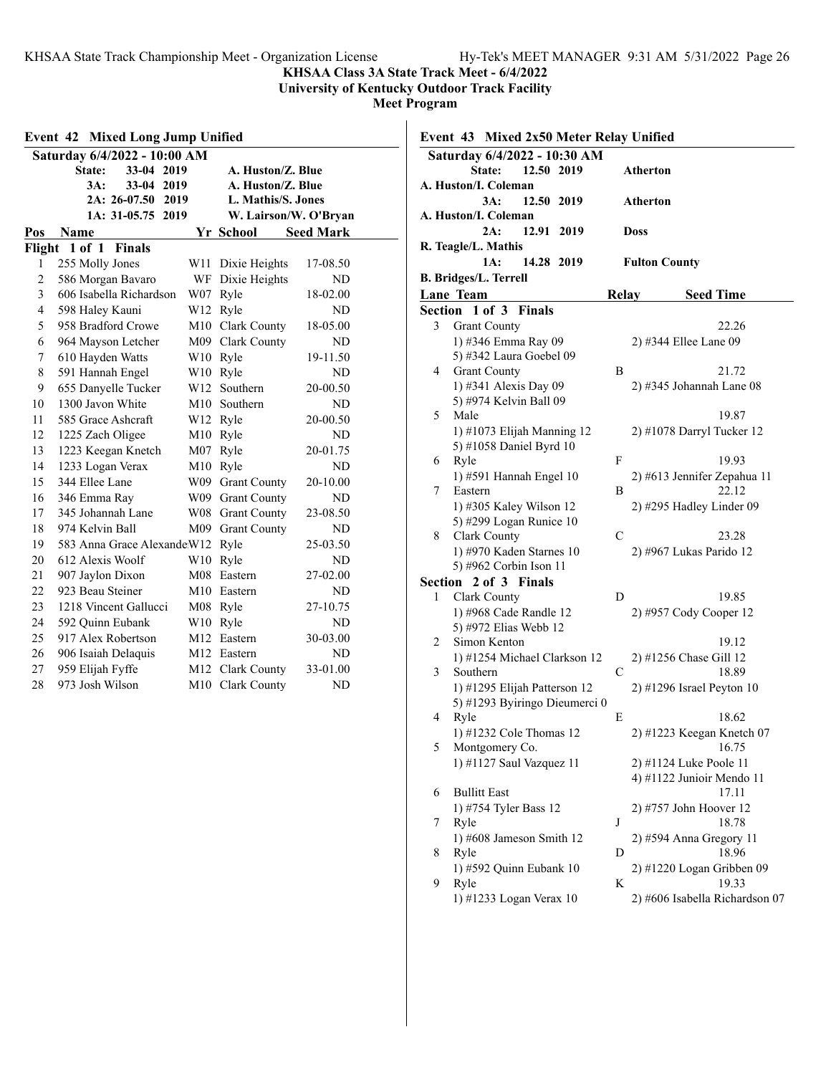**KHSAA Class 3A State Track Meet - 6/4/2022**

**University of Kentucky Outdoor Track Facility**

|                | <b>Mixed Long Jump Unified</b><br>Event 42 |     |                      |                       |
|----------------|--------------------------------------------|-----|----------------------|-----------------------|
|                | Saturday 6/4/2022 - 10:00 AM               |     |                      |                       |
|                | State:<br>$33 - 04$<br>2019                |     | A. Huston/Z. Blue    |                       |
|                | $33 - 04$<br>3A:<br>2019                   |     | A. Huston/Z. Blue    |                       |
|                | $2A: 26-07.50$<br>2019                     |     | L. Mathis/S. Jones   |                       |
|                | $1A: 31-05.75$<br>2019                     |     |                      | W. Lairson/W. O'Bryan |
| Pos            | Name                                       |     | Yr School            | <b>Seed Mark</b>      |
| Flight         | $1$ of $1$<br><b>Finals</b>                |     |                      |                       |
| 1              | 255 Molly Jones                            | W11 | Dixie Heights        | 17-08.50              |
| $\overline{2}$ | 586 Morgan Bavaro                          | WF  | Dixie Heights        | <b>ND</b>             |
| 3              | 606 Isabella Richardson                    | W07 | Ryle                 | 18-02.00              |
| $\overline{4}$ | 598 Haley Kauni                            | W12 | Ryle                 | <b>ND</b>             |
| 5              | 958 Bradford Crowe                         |     | M10 Clark County     | 18-05.00              |
| 6              | 964 Mayson Letcher                         |     | M09 Clark County     | ND                    |
| 7              | 610 Hayden Watts                           |     | W <sub>10</sub> Ryle | 19-11.50              |
| 8              | 591 Hannah Engel                           |     | W10 Ryle             | <b>ND</b>             |
| 9              | 655 Danyelle Tucker                        | W12 | Southern             | 20-00.50              |
| 10             | 1300 Javon White                           |     | M10 Southern         | ND                    |
| 11             | 585 Grace Ashcraft                         |     | W12 Ryle             | 20-00.50              |
| 12             | 1225 Zach Oligee                           | M10 | Ryle                 | <b>ND</b>             |
| 13             | 1223 Keegan Knetch                         | M07 | Ryle                 | 20-01.75              |
| 14             | 1233 Logan Verax                           | M10 | Ryle                 | ND                    |
| 15             | 344 Ellee Lane                             | W09 | <b>Grant County</b>  | 20-10.00              |
| 16             | 346 Emma Ray                               | W09 | <b>Grant County</b>  | ND                    |
| 17             | 345 Johannah Lane                          | W08 | <b>Grant County</b>  | 23-08.50              |
| 18             | 974 Kelvin Ball                            | M09 | <b>Grant County</b>  | ND                    |
| 19             | 583 Anna Grace Alexande W12                |     | Ryle                 | 25-03.50              |
| 20             | 612 Alexis Woolf                           | W10 | Ryle                 | ND                    |
| 21             | 907 Jaylon Dixon                           | M08 | Eastern              | 27-02.00              |
| 22             | 923 Beau Steiner                           |     | M10 Eastern          | ND                    |
| 23             | 1218 Vincent Gallucci                      | M08 | Ryle                 | 27-10.75              |
| 24             | 592 Quinn Eubank                           | W10 | Ryle                 | <b>ND</b>             |
| 25             | 917 Alex Robertson                         |     | M12 Eastern          | 30-03.00              |
| 26             | 906 Isaiah Delaquis                        |     | M12 Eastern          | ND                    |
| 27             | 959 Elijah Fyffe                           | M12 | Clark County         | 33-01.00              |
| 28             | 973 Josh Wilson                            | M10 | Clark County         | <b>ND</b>             |
|                |                                            |     |                      |                       |

| Event 43 Mixed 2x50 Meter Relay Unified |                                                      |              |                                                     |
|-----------------------------------------|------------------------------------------------------|--------------|-----------------------------------------------------|
|                                         | Saturday 6/4/2022 - 10:30 AM<br>12.50 2019<br>State: |              | Atherton                                            |
|                                         | A. Huston/I. Coleman<br>3A:<br>12.50<br>2019         |              | Atherton                                            |
|                                         | A. Huston/I. Coleman<br>2A:<br>12.91<br>2019         |              | <b>Doss</b>                                         |
|                                         | R. Teagle/L. Mathis                                  |              |                                                     |
|                                         | 1A:<br>14.28 2019                                    |              | <b>Fulton County</b>                                |
|                                         | <b>B. Bridges/L. Terrell</b>                         |              |                                                     |
|                                         | <b>Lane Team</b>                                     | <b>Relay</b> | <b>Seed Time</b>                                    |
|                                         | Section 1 of 3<br><b>Finals</b>                      |              |                                                     |
| 3                                       | <b>Grant County</b>                                  |              | 22.26                                               |
|                                         | 1) #346 Emma Ray 09                                  |              | 2) #344 Ellee Lane 09                               |
|                                         | 5) #342 Laura Goebel 09                              |              |                                                     |
| 4                                       | <b>Grant County</b>                                  | B            | 21.72                                               |
|                                         | 1) #341 Alexis Day 09                                |              | 2) #345 Johannah Lane 08                            |
|                                         | 5) #974 Kelvin Ball 09                               |              |                                                     |
| 5                                       | Male                                                 |              | 19.87                                               |
|                                         | 1) #1073 Elijah Manning 12                           |              | 2) #1078 Darryl Tucker 12                           |
| 6                                       | 5) #1058 Daniel Byrd 10<br>Ryle                      | F            | 19.93                                               |
|                                         | 1) #591 Hannah Engel 10                              |              | 2) #613 Jennifer Zepahua 11                         |
| 7                                       | Eastern                                              | B            | 22.12                                               |
|                                         | 1) #305 Kaley Wilson 12                              |              | 2) #295 Hadley Linder 09                            |
|                                         | 5) #299 Logan Runice 10                              |              |                                                     |
| 8                                       | Clark County                                         | С            | 23.28                                               |
|                                         | 1) #970 Kaden Starnes 10                             |              | 2) #967 Lukas Parido 12                             |
|                                         | 5) #962 Corbin Ison 11                               |              |                                                     |
| Section                                 | 2 of 3 Finals                                        |              |                                                     |
| 1                                       | Clark County                                         | D            | 19.85                                               |
|                                         | 1) #968 Cade Randle 12                               |              | 2) #957 Cody Cooper 12                              |
|                                         | 5) #972 Elias Webb 12                                |              |                                                     |
| 2                                       | Simon Kenton                                         |              | 19.12                                               |
|                                         | 1) #1254 Michael Clarkson 12                         |              | 2) #1256 Chase Gill 12                              |
| 3                                       | Southern                                             | С            | 18.89                                               |
|                                         | 1) #1295 Elijah Patterson 12                         |              | $2)$ #1296 Israel Peyton 10                         |
|                                         | 5) #1293 Byiringo Dieumerci 0                        |              |                                                     |
| 4                                       | Ryle                                                 | E            | 18.62                                               |
|                                         | 1) #1232 Cole Thomas 12                              |              | 2) #1223 Keegan Knetch 07                           |
| 5                                       | Montgomery Co.                                       |              | 16.75                                               |
|                                         | 1) #1127 Saul Vazquez 11                             |              | 2) #1124 Luke Poole 11<br>4) #1122 Junioir Mendo 11 |
| 6                                       | <b>Bullitt East</b>                                  |              | 17.11                                               |
|                                         | 1) #754 Tyler Bass 12                                |              | 2) #757 John Hoover 12                              |
| 7                                       | Ryle                                                 | J            | 18.78                                               |
|                                         | 1) #608 Jameson Smith 12                             |              | 2) #594 Anna Gregory 11                             |
| 8                                       | Ryle                                                 | D            | 18.96                                               |
|                                         | 1) #592 Quinn Eubank 10                              |              | 2) #1220 Logan Gribben 09                           |
| 9                                       | Ryle                                                 | K            | 19.33                                               |
|                                         | 1) #1233 Logan Verax 10                              |              | 2) #606 Isabella Richardson 07                      |
|                                         |                                                      |              |                                                     |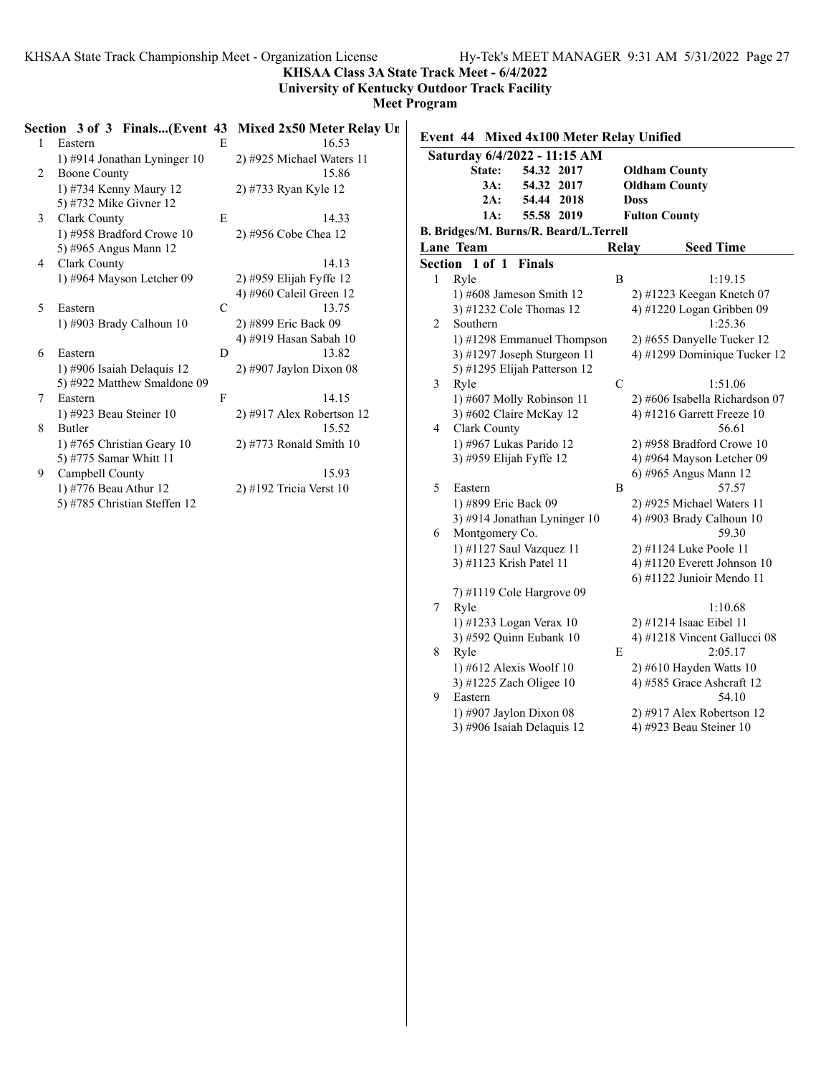**KHSAA Class 3A State Track Meet - 6/4/2022**

**University of Kentucky Outdoor Track Facility**

**Meet Program**

|   |                              |   | $\frac{1}{2}$ of $\frac{1}{2}$ Finals(Event 45 $\frac{1}{2}$ Mixed 2x30 meter Keiay OI |
|---|------------------------------|---|----------------------------------------------------------------------------------------|
| 1 | Eastern                      | E | 16.53                                                                                  |
|   | 1) #914 Jonathan Lyninger 10 |   | 2) #925 Michael Waters 11                                                              |
| 2 | <b>Boone County</b>          |   | 15.86                                                                                  |
|   | 1) #734 Kenny Maury 12       |   | 2) #733 Ryan Kyle 12                                                                   |
|   | 5) #732 Mike Givner 12       |   |                                                                                        |
| 3 | Clark County                 | E | 14.33                                                                                  |
|   | 1) #958 Bradford Crowe 10    |   | 2) #956 Cobe Chea 12                                                                   |
|   | 5) #965 Angus Mann 12        |   |                                                                                        |
| 4 | Clark County                 |   | 14.13                                                                                  |
|   | 1) #964 Mayson Letcher 09    |   | 2) #959 Elijah Fyffe 12                                                                |
|   |                              |   | 4) #960 Caleil Green 12                                                                |
| 5 | Eastern                      | C | 13.75                                                                                  |
|   | 1) #903 Brady Calhoun 10     |   | 2) #899 Eric Back 09                                                                   |
|   |                              |   | 4) #919 Hasan Sabah 10                                                                 |
| 6 | Eastern                      | D | 13.82                                                                                  |
|   | 1) #906 Isaiah Delaquis 12   |   | 2) #907 Jaylon Dixon 08                                                                |
|   | 5) #922 Matthew Smaldone 09  |   |                                                                                        |
| 7 | Eastern                      | F | 14.15                                                                                  |
|   | 1) #923 Beau Steiner 10      |   | $2)$ #917 Alex Robertson 12                                                            |
| 8 | Butler                       |   | 15.52                                                                                  |
|   | 1) #765 Christian Geary 10   |   | $2)$ #773 Ronald Smith 10                                                              |
|   | 5) #775 Samar Whitt 11       |   |                                                                                        |
| 9 | Campbell County              |   | 15.93                                                                                  |
|   | 1) #776 Beau Athur 12        |   | $2)$ #192 Tricia Verst 10                                                              |
|   | 5) #785 Christian Steffen 12 |   |                                                                                        |
|   |                              |   |                                                                                        |

### **Section 3 of 3 Finals...(Event 43 Mixed 2x50 Meter Relay Un**

| Event 44 Mixed 4x100 Meter Relay Unified |                                                                                                                              |       |                                                                                                   |
|------------------------------------------|------------------------------------------------------------------------------------------------------------------------------|-------|---------------------------------------------------------------------------------------------------|
|                                          | Saturday 6/4/2022 - 11:15 AM<br>State:<br>54.32<br>2017<br>3A:<br>54.32<br>2017<br>2A:<br>54.44<br>2018<br>55.58 2019<br>1A: |       | <b>Oldham County</b><br><b>Oldham County</b><br><b>Doss</b><br><b>Fulton County</b>               |
|                                          | B. Bridges/M. Burns/R. Beard/L. Terrell                                                                                      |       |                                                                                                   |
|                                          | Lane Team<br>1 of 1                                                                                                          | Relay | <b>Seed Time</b>                                                                                  |
| Section<br>$\mathbf{1}$                  | Finals<br>Ryle                                                                                                               | B     | 1:19.15                                                                                           |
| 2                                        | 1) #608 Jameson Smith 12<br>3) #1232 Cole Thomas 12<br>Southern                                                              |       | 2) #1223 Keegan Knetch 07<br>4) #1220 Logan Gribben 09<br>1:25.36                                 |
|                                          | 1) #1298 Emmanuel Thompson<br>3) #1297 Joseph Sturgeon 11<br>5) #1295 Elijah Patterson 12                                    |       | 2) #655 Danyelle Tucker 12<br>4) #1299 Dominique Tucker 12                                        |
| 3                                        | Ryle<br>1) #607 Molly Robinson 11<br>3) #602 Claire McKay 12                                                                 | C     | 1:51.06<br>2) #606 Isabella Richardson 07<br>4) #1216 Garrett Freeze 10                           |
| 4<br>5                                   | Clark County<br>1) #967 Lukas Parido 12<br>3) #959 Elijah Fyffe 12<br>Eastern                                                | Β     | 56.61<br>2) #958 Bradford Crowe 10<br>4) #964 Mayson Letcher 09<br>6) #965 Angus Mann 12<br>57.57 |
|                                          | 1) #899 Eric Back 09<br>3) #914 Jonathan Lyninger 10                                                                         |       | 2) #925 Michael Waters 11<br>4) #903 Brady Calhoun 10                                             |
| 6                                        | Montgomery Co.<br>1) #1127 Saul Vazquez 11<br>3) #1123 Krish Patel 11<br>7) #1119 Cole Hargrove 09                           |       | 59.30<br>2) #1124 Luke Poole 11<br>4) #1120 Everett Johnson 10<br>6) #1122 Junioir Mendo 11       |
| 7                                        | Ryle<br>1) #1233 Logan Verax 10<br>3) #592 Quinn Eubank 10                                                                   |       | 1:10.68<br>2) #1214 Isaac Eibel 11<br>4) #1218 Vincent Gallucci 08                                |
| 8                                        | Ryle<br>1) #612 Alexis Woolf 10<br>3) #1225 Zach Oligee 10                                                                   | E     | 2:05.17<br>$2)$ #610 Hayden Watts 10<br>4) #585 Grace Ashcraft 12                                 |
| 9                                        | Eastern<br>1) #907 Jaylon Dixon 08<br>3) #906 Isaiah Delaquis 12                                                             |       | 54.10<br>2) #917 Alex Robertson 12<br>4) #923 Beau Steiner 10                                     |